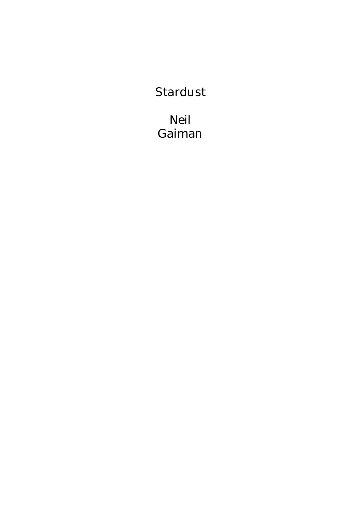Stardust

Neil Gaiman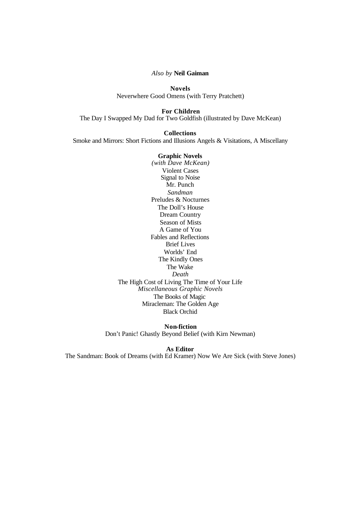*Also by* **Neil Gaiman**

**Novels**

Neverwhere Good Omens (with Terry Pratchett)

#### **For Children**

The Day I Swapped My Dad for Two Goldfish (illustrated by Dave McKean)

#### **Collections**

Smoke and Mirrors: Short Fictions and Illusions Angels & Visitations, A Miscellany

#### **Graphic Novels**

*(with Dave McKean)* Violent Cases Signal to Noise Mr. Punch *Sandman* Preludes & Nocturnes The Doll's House Dream Country Season of Mists A Game of You Fables and Reflections Brief Lives Worlds' End The Kindly Ones The Wake *Death* The High Cost of Living The Time of Your Life *Miscellaneous Graphic Novels* The Books of Magic Miracleman: The Golden Age Black Orchid

**Non-fiction** Don't Panic! Ghastly Beyond Belief (with Kirn Newman)

**As Editor** The Sandman: Book of Dreams (with Ed Kramer) Now We Are Sick (with Steve Jones)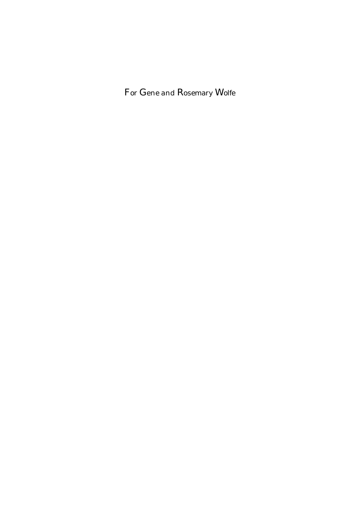For Gene and Rosemary Wolfe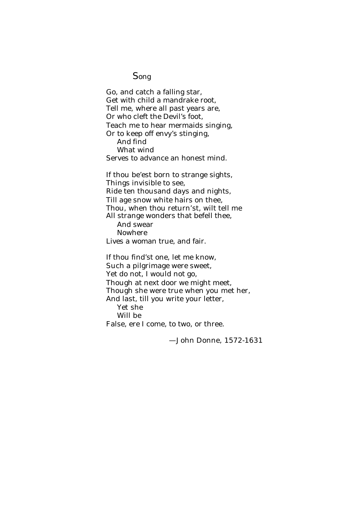#### *S*ong

Go, and catch a falling star, Get with child a mandrake root, Tell me, where all past years are, Or who cleft the Devil's foot, Teach me to hear mermaids singing, Or to keep off envy's stinging, And find What wind Serves to advance an honest mind.

If thou be'est born to strange sights, Things invisible to see, Ride ten thousand days and nights, Till age snow white hairs on thee, Thou, when thou return'st, wilt tell me All strange wonders that befell thee,

And swear Nowhere

Lives a woman true, and fair.

If thou find'st one, let me know, Such a pilgrimage were sweet, Yet do not, I would not go, Though at next door we might meet, Though she were true when you met her, And last, till you write your letter, Yet she Will be

False, ere I come, to two, or three.

—John Donne, 1572-1631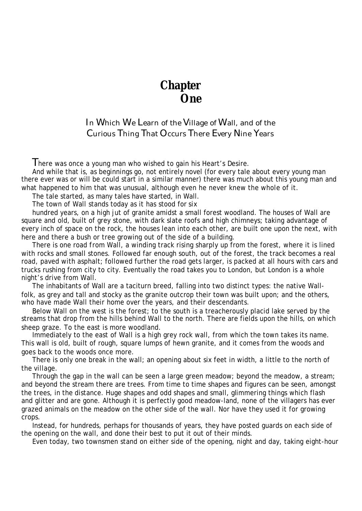# *Chapter One*

In Which We Learn of the Village of Wall, and of the Curious Thing That Occurs There Every Nine Years

There was once a young man who wished to gain his Heart's Desire.

And while that is, as beginnings go, not entirely novel (for every tale about every young man there ever was or will be could start in a similar manner) there was much about this young man and what happened to him that was unusual, although even he never knew the whole of it.

The tale started, as many tales have started, in Wall.

The town of Wall stands today as it has stood for *six*

hundred years, on a high jut of granite amidst a small forest woodland. The houses of Wall are square and old, built of grey stone, with dark slate roofs and high chimneys; taking advantage of every inch of space on the rock, the houses lean into each other, are built one upon the next, with here and there a bush or tree growing out of the side of a building.

There is one road from Wall, a winding track rising sharply up from the forest, where it is lined with rocks and small stones. Followed far enough south, out of the forest, the track becomes a real road, paved with asphalt; followed further the road gets larger, is packed at all hours with cars and trucks rushing from city to city. Eventually the road takes you to London, but London is a whole night's drive from Wall.

The inhabitants of Wall are a taciturn breed, falling into two distinct types: the native Wallfolk, as grey and tall and stocky as the granite outcrop their town was built upon; and the others, who have made Wall their home over the years, and their descendants.

Below Wall on the west is the forest; to the south is a treacherously placid lake served by the streams that drop from the hills behind Wall to the north. There are fields upon the hills, on which sheep graze. To the east is more woodland.

Immediately to the east of Wall is a high grey rock wall, from which the town takes its name. This wall is old, built of rough, square lumps of hewn granite, and it comes from the woods and goes back to the woods once more.

There is only one break in the wall; an opening about six feet in width, a little to the north of the village.

Through the gap in the wall can be seen a large green meadow; beyond the meadow, a stream; and beyond the stream there are trees. From time to time shapes and figures can be seen, amongst the trees, in the distance. Huge shapes and odd shapes and small, glimmering things which flash and glitter and are gone. Although it is perfectly good meadow-land, none of the villagers has ever grazed animals on the meadow on the other side of the wall. Nor have they used it for growing crops.

Instead, for hundreds, perhaps for thousands of years, they have posted guards on each side of the opening on the wall, and done their best to put it out of their minds.

Even today, two townsmen stand on either side of the opening, night and day, taking eight-hour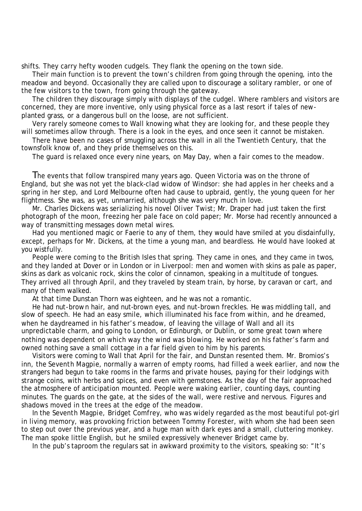shifts. They carry hefty wooden cudgels. They flank the opening on the town side.

Their main function is to prevent the town's children from going through the opening, into the meadow and beyond. Occasionally they are called upon to discourage a solitary rambler, or one of the few visitors to the town, from going through the gateway.

The children they discourage simply with displays of the cudgel. Where ramblers and visitors are concerned, they are more inventive, only using physical force as a last resort if tales of newplanted grass, or a dangerous bull on the loose, are not sufficient.

Very rarely someone comes to Wall knowing what they are looking for, and these people they will sometimes allow through. There is a look in the eyes, and once seen it cannot be mistaken.

There have been no cases of smuggling across the wall in all the Twentieth Century, that the townsfolk know of, and they pride themselves on this.

The guard is relaxed once every nine years, on May Day, when a fair comes to the meadow.

The events that follow transpired many years ago. Queen Victoria was on the throne of England, but she was not yet the black-clad widow of Windsor: she had apples in her cheeks and a spring in her step, and Lord Melbourne often had cause to upbraid, gently, the young queen for her flightmess. She was, as yet, unmarried, although she was very much in love.

Mr. Charles Dickens was serializing his novel *Oliver Twist;* Mr. Draper had just taken the first photograph of the moon, freezing her pale face on cold paper; Mr. Morse had recently announced a way of transmitting messages down metal wires.

Had you mentioned magic or Faerie to any of them, they would have smiled at you disdainfully, except, perhaps for Mr. Dickens, at the time a young man, and beardless. He would have looked at you wistfully.

People were coming to the British Isles that spring. They came in ones, and they came in twos, and they landed at Dover or in London or in Liverpool: men and women with skins as pale as paper, skins as dark as volcanic rock, skins the color of cinnamon, speaking in a multitude of tongues. They arrived all through April, and they traveled by steam train, by horse, by caravan or cart, and many of them walked.

At that time Dunstan Thorn was eighteen, and he was not a romantic.

He had nut-brown hair, and nut-brown eyes, and nut-brown freckles. He was middling tall, and slow of speech. He had an easy smile, which illuminated his face from within, and he dreamed, when he daydreamed in his father's meadow, of leaving the village of Wall and all its unpredictable charm, and going to London, or Edinburgh, or Dublin, or some great town where nothing was dependent on which way the wind was blowing. He worked on his father's farm and owned nothing save a small cottage in a far field given to him by his parents.

Visitors were coming to Wall that April for the fair, and Dunstan resented them. Mr. Bromios's inn, the *Seventh Magpie,* normally a warren of empty rooms, had filled a week earlier, and now the strangers had begun to take rooms in the farms and private houses, paying for their lodgings with strange coins, with herbs and spices, and even with gemstones. As the day of the fair approached the atmosphere of anticipation mounted. People were waking earlier, counting days, counting minutes. The guards on the gate, at the sides of the wall, were restive and nervous. Figures and shadows moved in the trees at the edge of the meadow.

In the *Seventh Magpie,* Bridget Comfrey, who was widely regarded as the most beautiful pot-girl in living memory, was provoking friction between Tommy Forester, with whom she had been seen to step out over the previous year, and a huge man with dark eyes and a small, cluttering monkey. The man spoke little English, but he smiled expressively whenever Bridget came by.

In the pub's taproom the regulars sat in awkward proximity to the visitors, speaking so: "It's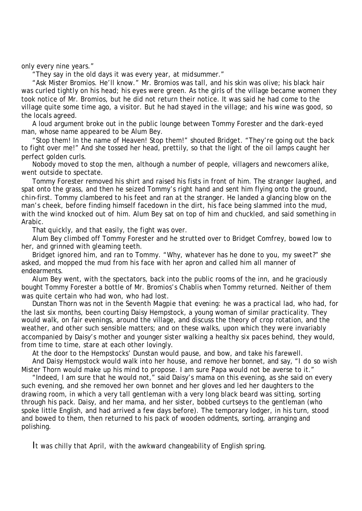only every nine years."

"They say in the old days it was every year, at midsummer."

"Ask Mister Bromios. He'll know." Mr. Bromios was tall, and his skin was olive; his black hair was curled tightly on his head; his eyes were green. As the girls of the village became women they took notice of Mr. Bromios, but he did not return their notice. It was said he had come to the village quite some time ago, a visitor. But he had stayed in the village; and his wine was good, so the locals agreed.

A loud argument broke out in the public lounge between Tommy Forester and the dark-eyed man, whose name appeared to be Alum Bey.

"Stop them! In the name of Heaven! Stop them!" shouted Bridget. "They're going out the back to fight over me!" And she tossed her head, prettily, so that the light of the oil lamps caught her perfect golden curls.

Nobody moved to stop the men, although a number of people, villagers and newcomers alike, went outside to spectate.

Tommy Forester removed his shirt and raised his fists in front of him. The stranger laughed, and spat onto the grass, and then he seized Tommy's right hand and sent him flying onto the ground, chin-first. Tommy clambered to his feet and ran at the stranger. He landed a glancing blow on the man's cheek, before finding himself facedown in the dirt, his face being slammed into the mud, with the wind knocked out of him. Alum Bey sat on top of him and chuckled, and said something in Arabic.

That quickly, and that easily, the fight was over.

Alum Bey climbed off Tommy Forester and he strutted over to Bridget Comfrey, bowed low to her, and grinned with gleaming teeth.

Bridget ignored him, and ran to Tommy. "Why, whatever has he done to you, my sweet?" she asked, and mopped the mud from his face with her apron and called him all manner of endearments.

Alum Bey went, with the spectators, back into the public rooms of the inn, and he graciously bought Tommy Forester a bottle of Mr. Bromios's Chablis when Tommy returned. Neither of them was quite certain who had won, who had lost.

Dunstan Thorn was not in the *Seventh Magpie* that evening: he was a practical lad, who had, for the last six months, been courting Daisy Hempstock, a young woman of similar practicality. They would walk, on fair evenings, around the village, and discuss the theory of crop rotation, and the weather, and other such sensible matters; and on these walks, upon which they were invariably accompanied by Daisy's mother and younger sister walking a healthy six paces behind, they would, from time to time, stare at each other lovingly.

At the door to the Hempstocks' Dunstan would pause, and bow, and take his farewell.

And Daisy Hempstock would walk into her house, and remove her bonnet, and say, "I *do* so wish Mister Thorn would make up his mind to propose. I am sure Papa would not be averse to it."

"Indeed, I am sure that he would not," said Daisy's mama on this evening, as she said on every such evening, and she removed her own bonnet and her gloves and led her daughters to the drawing room, in which a very tall gentleman with a very long black beard was sitting, sorting through his pack. Daisy, and her mama, and her sister, bobbed curtseys to the gentleman (who spoke little English, and had arrived a few days before). The temporary lodger, in his turn, stood and bowed to them, then returned to his pack of wooden oddments, sorting, arranging and polishing.

It was chilly that April, with the awkward changeability of English spring.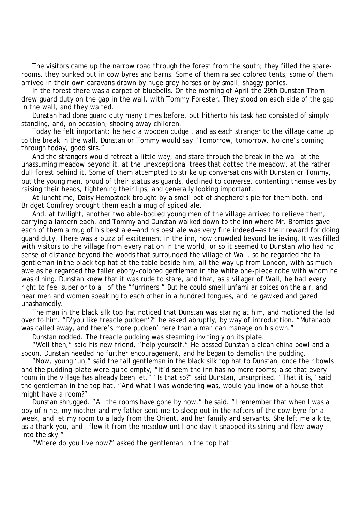The visitors came up the narrow road through the forest from the south; they filled the sparerooms, they bunked out in cow byres and barns. Some of them raised colored tents, some of them arrived in their own caravans drawn by huge grey horses or by small, shaggy ponies.

In the forest there was a carpet of bluebells. On the morning of April the 29th Dunstan Thorn drew guard duty on the gap in the wall, with Tommy Forester. They stood on each side of the gap in the wall, and they waited.

Dunstan had done guard duty many times before, but hitherto his task had consisted of simply standing, and, on occasion, shooing away children.

Today he felt important: he held a wooden cudgel, and as each stranger to the village came up to the break in the wall, Dunstan or Tommy would say "Tomorrow, tomorrow. No one's coming through today, good sirs."

And the strangers would retreat a little way, and stare through the break in the wall at the unassuming meadow beyond it, at the unexceptional trees that dotted the meadow, at the rather dull forest behind it. Some of them attempted to strike up conversations with Dunstan or Tommy, but the young men, proud of their status as guards, declined to converse, contenting themselves by raising their heads, tightening their lips, and generally looking important.

At lunchtime, Daisy Hempstock brought by a small pot of shepherd's pie for them both, and Bridget Comfrey brought them each a mug of spiced ale.

And, at twilight, another two able-bodied young men of the village arrived to relieve them, carrying a lantern each, and Tommy and Dunstan walked down to the inn where Mr. Bromios gave each of them a mug of his best ale—and his best ale was very fine indeed—as their reward for doing guard duty. There was a *buzz* of excitement in the inn, now crowded beyond believing. It was filled with visitors to the village from every nation in the world, or so it seemed to Dunstan who had no sense of distance beyond the woods that surrounded the village of Wall, so he regarded the tall gentleman in the black top hat at the table beside him, all the way up from London, with as much awe as he regarded the taller ebony-colored gentleman in the white one-piece robe with whom he was dining. Dunstan knew that it was rude to stare, and that, as a villager of Wall, he had every right to feel superior to all of the "furriners." But he could smell unfamilar spices on the air, and hear men and women speaking to each other in a hundred tongues, and he gawked and gazed unashamedly.

The man in the black silk top hat noticed that Dunstan was staring at him, and motioned the lad over to him. "D'you like treacle pudden'?" he asked abruptly, by way of introduc tion. "Mutanabbi was called away, and there's more pudden' here than a man can manage on his own."

Dunstan nodded. The treacle pudding was steaming invitingly on its plate.

"Well then," said his new friend, "help yourself." He passed Dunstan a clean china bowl and a spoon. Dunstan needed no further encouragement, and he began to demolish the pudding.

"Now, young 'un," said the tall gentleman in the black silk top hat to Dunstan, once their bowls and the pudding-plate were quite empty, "it'd seem the inn has no more rooms; also that every room in the village has already been let." "Is that so?" said Dunstan, unsurprised. "That it is," said the gentleman in the top hat. "And what I was wondering was, would you know of a house that might have a room?"

Dunstan shrugged. "All the rooms have gone by now," he said. "I remember that when I was a boy of nine, my mother and my father sent me to sleep out in the rafters of the cow byre for a week, and let my room to a lady from the Orient, and her family and servants. She left me a kite, as a thank you, and I flew it from the meadow until one day it snapped its string and flew away into the sky."

"Where do you live now?" asked the gentleman in the top hat.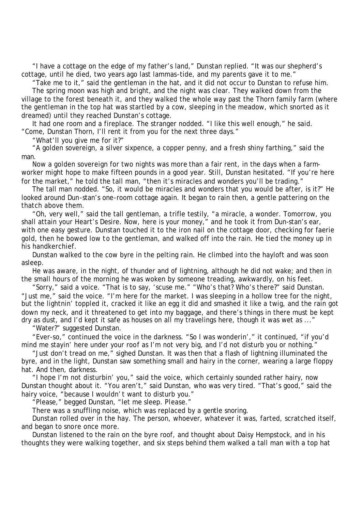"I have a cottage on the edge of my father's land," Dunstan replied. "It was our shepherd's cottage, until he died, two years ago last lammas-tide, and my parents gave it to me."

"Take me to it," said the gentleman in the hat, and it did not occur to Dunstan to refuse him.

The spring moon was high and bright, and the night was clear. They walked down from the village to the forest beneath it, and they walked the whole way past the Thorn family farm (where the gentleman in the top hat was startled by a cow, sleeping in the meadow, which snorted as it dreamed) until they reached Dunstan's cottage.

It had one room and a fireplace. The stranger nodded. "I like this well enough," he said. "Come, Dunstan Thorn, I'll rent it from you for the next three days."

"What'll you give me for it?"

"A golden sovereign, a silver sixpence, a copper penny, and a fresh shiny farthing," said the man.

Now a golden sovereign for two nights was more than a fair rent, in the days when a farmworker might hope to make fifteen pounds in a good year. Still, Dunstan hesitated. "If you're here for the market," he told the tall man, "then it's miracles and wonders you'll be trading."

The tall man nodded. "So, it would be miracles and wonders that you would be after, is it?" He looked around Dun-stan's one-room cottage again. It began to rain then, a gentle pattering on the thatch above them.

"Oh, very well," said the tall gentleman, a trifle testily, "a miracle, a wonder. Tomorrow, you shall attain your Heart's Desire. Now, here is your money," and he took it from Dun-stan's ear, with one easy gesture. Dunstan touched it to the iron nail on the cottage door, checking for faerie gold, then he bowed low to the gentleman, and walked off into the rain. He tied the money up in his handkerchief.

Dunstan walked to the cow byre in the pelting rain. He climbed into the hayloft and was soon asleep.

He was aware, in the night, of thunder and of lightning, although he did not wake; and then in the small hours of the morning he was woken by someone treading, awkwardly, on his feet.

"Sorry," said a voice. "That is to say, 'scuse me." "Who's that? Who's there?" said Dunstan. "Just me," said the voice. "I'm here for the market. I was sleeping in a hollow tree for the night, but the lightnin' toppled it, cracked it like an egg it did and smashed it like a twig, and the rain got down my neck, and it threatened to get into my baggage, and there's things in there must be kept dry as dust, and I'd kept it safe as houses on all my travelings here, though it was wet as ..."

"Water?" suggested Dunstan.

"Ever-so," continued the voice in the darkness. "So I was wonderin'," it continued, "if you'd mind me stayin' here under your roof as I'm not very big, and I'd not disturb you or nothing."

"Just don't tread on me," sighed Dunstan. It was then that a flash of lightning illuminated the byre, and in the light, Dunstan saw something small and hairy in the corner, wearing a large floppy hat. And then, darkness.

"I hope I'm not disturbin' you," said the voice, which certainly sounded rather hairy, now Dunstan thought about it. "You aren't," said Dunstan, who was very tired. "That's good," said the hairy voice, "because I wouldn't want to disturb you."

"Please," begged Dunstan, "let me sleep. *Please."*

There was a snuffling noise, which was replaced by a gentle snoring.

Dunstan rolled over in the hay. The person, whoever, whatever it was, farted, scratched itself, and began to snore once more.

Dunstan listened to the rain on the byre roof, and thought about Daisy Hempstock, and in his thoughts they were walking together, and six steps behind them walked a tall man with a top hat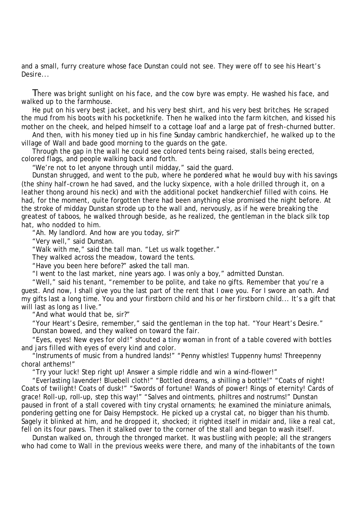and a small, furry creature whose face Dunstan could not see. They were off to see his Heart's Desire...

There was bright sunlight on his face, and the cow byre was empty. He washed his face, and walked up to the farmhouse.

He put on his very best jacket, and his very best shirt, and his very best britches. He scraped the mud from his boots with his pocketknife. Then he walked into the farm kitchen, and kissed his mother on the cheek, and helped himself to a cottage loaf and a large pat of fresh-churned butter.

And then, with his money tied up in his fine Sunday cambric handkerchief, he walked up to the village of Wall and bade good morning to the guards on the gate.

Through the gap in the wall he could see colored tents being raised, stalls being erected, colored flags, and people walking back and forth.

"We're not to let anyone through until midday," said the guard.

Dunstan shrugged, and went to the pub, where he pondered what he would buy with his savings (the shiny half-crown he had saved, and the lucky sixpence, with a hole drilled through it, on a leather thong around his neck) and with the additional pocket handkerchief filled with coins. He had, for the moment, quite forgotten there had been anything else promised the night before. At the stroke of midday Dunstan strode up to the wall and, nervously, as if he were breaking the greatest of taboos, he walked through beside, as he realized, the gentleman in the black silk top hat, who nodded to him.

"Ah. My landlord. And how are you today, sir?"

"Very well," said Dunstan.

"Walk with me," said the tall man. "Let us walk together."

They walked across the meadow, toward the tents.

"Have you been here before?" asked the tall man.

"I went to the last market, nine years ago. I was only a boy," admitted Dunstan.

"Well," said his tenant, "remember to be polite, and take no gifts. Remember that you're a guest. And now, I shall give you the last part of the rent that I owe you. For I swore an oath. And my gifts last a long time. You and your firstborn child and his or her firstborn child... It's a gift that will last as long as I live."

"And what would that be, sir?"

"Your Heart's Desire, remember," said the gentleman in the top hat. "Your Heart's Desire." Dunstan bowed, and they walked on toward the fair.

"Eyes, eyes! New eyes for old!" shouted a tiny woman in front of a table covered with bottles and jars filled with eyes of every kind and color.

"Instruments of music from a hundred lands!" "Penny whistles! Tuppenny hums! Threepenny choral anthems!"

"Try your luck! Step right up! Answer a simple riddle and win a wind-flower!"

"Everlasting lavender! Bluebell cloth!" "Bottled dreams, a shilling a bottle!" "Coats of night! Coats of twilight! Coats of dusk!" "Swords of fortune! Wands of power! Rings of eternity! Cards of grace! Roll-up, roll-up, step this way!" "Salves and ointments, philtres and nostrums!" Dunstan paused in front of a stall covered with tiny crystal ornaments; he examined the miniature animals, pondering getting one for Daisy Hempstock. He picked up a crystal cat, no bigger than his thumb. Sagely it blinked at him, and he dropped it, shocked; it righted itself in midair and, like a real cat, fell on its four paws. Then it stalked over to the corner of the stall and began to wash itself.

Dunstan walked on, through the thronged market. It was bustling with people; all the strangers who had come to Wall in the previous weeks were there, and many of the inhabitants of the town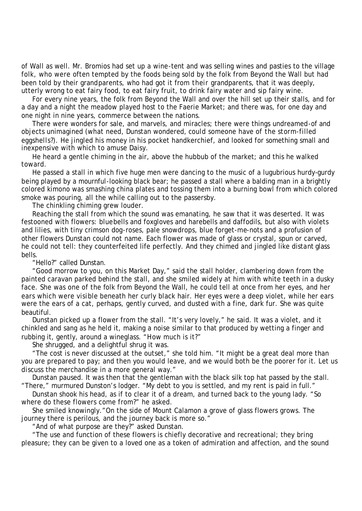of Wall as well. Mr. Bromios had set up a wine-tent and was selling wines and pasties to the village folk, who were often tempted by the foods being sold by the folk from Beyond the Wall but had been told by their grandparents, who had got it from *their* grandparents, that it was deeply, utterly wrong to eat fairy food, to eat fairy fruit, to drink fairy water and sip fairy wine.

For every nine years, the folk from Beyond the Wall and over the hill set up their stalls, and for a day and a night the meadow played host to the Faerie Market; and there was, for one day and one night in nine years, commerce between the nations.

There were wonders for sale, and marvels, and miracles; there were things undreamed-of and objects unimagined *(what need,* Dunstan wondered, *could someone have of the storm-filled eggshells?).* He jingled his money in his pocket handkerchief, and looked for something small and inexpensive with which to amuse Daisy.

He heard a gentle chiming in the air, above the hubbub of the market; and this he walked toward.

He passed a stall in which five huge men were dancing to the music of a lugubrious hurdy-gurdy being played by a mournful-looking black bear; he passed a stall where a balding man in a brightly colored kimono was smashing china plates and tossing them into a burning bowl from which colored smoke was pouring, all the while calling out to the passersby.

The chinkling chiming grew louder.

Reaching the stall from which the sound was emanating, he saw that it was deserted. It was festooned with flowers: bluebells and foxgloves and harebells and daffodils, but also with violets and lilies, with tiny crimson dog-roses, pale snowdrops, blue forget-me-nots and a profusion of other flowers Dunstan could not name. Each flower was made of glass or crystal, spun or carved, he could not tell: they counterfeited life perfectly. And they chimed and jingled like distant glass bells.

"Hello?" called Dunstan.

"Good morrow to you, on this Market Day," said the stall holder, clambering down from the painted caravan parked behind the stall, and she smiled widely at him with white teeth in a dusky face. She was one of the folk from Beyond the Wall, he could tell at once from her eyes, and her ears which were visible beneath her curly black hair. Her eyes were a deep violet, while her ears were the ears of a cat, perhaps, gently curved, and dusted with a fine, dark fur. She was quite beautiful.

Dunstan picked up a flower from the stall. "It's very lovely," he said. It was a violet, and it chinkled and sang as he held it, making a noise similar to that produced by wetting a finger and rubbing it, gently, around a wineglass. "How much is it?"

She shrugged, and a delightful shrug it was.

"The cost is never discussed at the outset," she told him. "It might be a great deal more than you are prepared to pay; and then you would leave, and we would both be the poorer for it. Let us discuss the merchandise in a more general way."

Dunstan paused. It was then that the gentleman with the black silk top hat passed by the stall. "There," murmured Dunston's lodger. "My debt to you is settled, and my rent is paid in full."

Dunstan shook his head, as if to clear it of a dream, and turned back to the young lady. "So where do these flowers come from?" he asked.

She smiled knowingly."On the side of Mount Calamon a grove of glass flowers grows. The journey there is perilous, and the journey back is more so."

"And of what purpose are they?" asked Dunstan.

"The use and function of these flowers is chiefly decorative and recreational; they bring pleasure; they can be given to a loved one as a token of admiration and affection, and the sound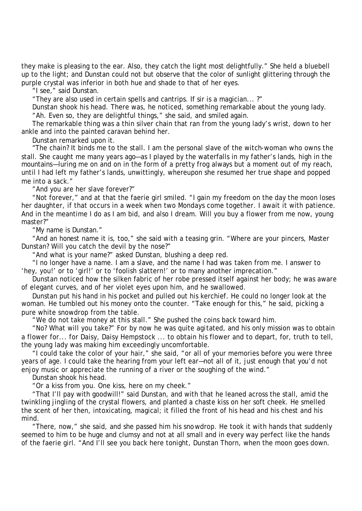they make is pleasing to the ear. Also, they catch the light most delightfully." She held a bluebell up to the light; and Dunstan could not but observe that the color of sunlight glittering through the purple crystal was inferior in both hue and shade to that of her eyes.

"I see," said Dunstan.

"They are also used in certain spells and cantrips. If sir is a magician... ?"

Dunstan shook his head. There was, he noticed, something remarkable about the young lady. "Ah. Even so, they are delightful things," she said, and smiled again.

The remarkable thing was a thin silver chain that ran from the young lady's wrist, down to her ankle and into the painted caravan behind her.

Dunstan remarked upon it.

"The chain? It binds me to the stall. I am the personal slave of the witch-woman who owns the stall. She caught me many years ago—as I played by the waterfalls in my father's lands, high in the mountains—luring me on and on in the form of a pretty frog always but a moment out of my reach, until I had left my father's lands, unwittingly, whereupon she resumed her true shape and popped me into a sack."

"And you are her slave forever?"

"Not forever," and at that the faerie girl smiled. "I gain my freedom on the day the moon loses her daughter, if that occurs in a week when two Mondays come together. I await it with patience. And in the meantime I do as I am bid, and also I dream. Will you buy a flower from me now, young master?"

"My name is Dunstan."

"And an honest name it is, too," she said with a teasing grin. "Where are your pincers, Master Dunstan? Will you catch the devil by the nose?"

"And what is your name?" asked Dunstan, blushing a deep red.

"I no longer have a name. I am a slave, and the name I had was taken from me. I answer to 'hey, you!' or to 'girl!' or to 'foolish slattern!' or to many another imprecation."

Dunstan noticed how the silken fabric of her robe pressed itself against her body; he was aware of elegant curves, and of her violet eyes upon him, and he swallowed.

Dunstan put his hand in his pocket and pulled out his kerchief. He could no longer look at the woman. He tumbled out his money onto the counter. "Take enough for this," he said, picking a pure white snowdrop from the table.

"We do not take money at this stall." She pushed the coins back toward him.

"No? What will you take?" For by now he was quite agitated, and his only mission was to obtain a flower for... for Daisy, Daisy Hempstock ... to obtain his flower and to depart, for, truth to tell, the young lady was making him exceedingly uncomfortable.

"I could take the color of your hair," she said, "or all of your memories before you were three years of age. I could take the hearing from your left ear—not all of it, just enough that you'd not enjoy music or appreciate the running of a river or the soughing of the wind."

Dunstan shook his head.

"Or a kiss from you. One kiss, here on my cheek."

"That I'll pay with goodwill!" said Dunstan, and with that he leaned across the stall, amid the twinkling jingling of the crystal flowers, and planted a chaste kiss on her soft cheek. He smelled the scent of her then, intoxicating, magical; it filled the front of his head and his chest and his mind.

"There, now," she said, and she passed him his snowdrop. He took it with hands that suddenly seemed to him to be huge and clumsy and not at all small and in every way perfect like the hands of the faerie girl. "And I'll see you back here tonight, Dunstan Thorn, when the moon goes down.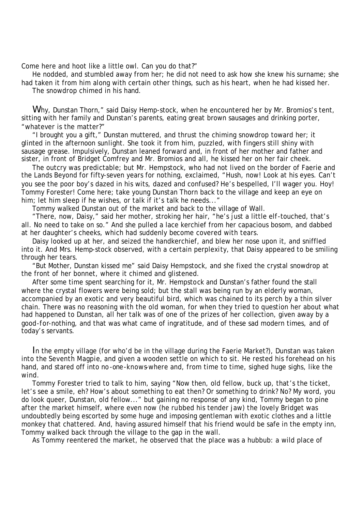Come here and hoot like a little owl. Can you do that?"

He nodded, and stumbled away from her; he did not need to ask how she knew his surname; she had taken it from him along with certain other things, such as his heart, when he had kissed her. The snowdrop chimed in his hand.

Why, Dunstan Thorn," said Daisy Hemp-stock, when he encountered her by Mr. Bromios's tent, sitting with her family and Dunstan's parents, eating great brown sausages and drinking porter, "whatever is the matter?"

"I brought you a gift," Dunstan muttered, and thrust the chiming snowdrop toward her; it glinted in the afternoon sunlight. She took it from him, puzzled, with fingers still shiny with sausage grease. Impulsively, Dunstan leaned forward and, in front of her mother and father and sister, in front of Bridget Comfrey and Mr. Bromios and all, he kissed her on her fair cheek.

The outcry was predictable; but Mr. Hempstock, who had not lived on the border of Faerie and the Lands Beyond for fifty-seven years for nothing, exclaimed, "Hush, now! Look at his eyes. Can't you see the poor boy's dazed in his wits, dazed and confused? He's bespelled, I'll wager you. Hoy! Tommy Forester! Come here; take young Dunstan Thorn back to the village and keep an eye on him; let him sleep if he wishes, or talk if it's talk he needs..."

Tommy walked Dunstan out of the market and back to the village of Wall.

"There, now, Daisy," said her mother, stroking her hair, "he's just a little elf-touched, that's all. No need to take on so." And she pulled a lace kerchief from her capacious bosom, and dabbed at her daughter's cheeks, which had suddenly become covered with tears.

Daisy looked up at her, and seized the handkerchief, and blew her nose upon it, and sniffled into it. And Mrs. Hemp-stock observed, with a certain perplexity, that Daisy appeared to be smiling through her tears.

"But Mother, Dunstan *kissed me"* said Daisy Hempstock, and she fixed the crystal snowdrop at the front of her bonnet, where it chimed and glistened.

After some time spent searching for it, Mr. Hempstock and Dunstan's father found the stall where the crystal flowers were being sold; but the stall was being run by an elderly woman, accompanied by an exotic and very beautiful bird, which was chained to its perch by a thin silver chain. There was no reasoning with the old woman, for when they tried to question her about what had happened to Dunstan, all her talk was of one of the prizes of her collection, given away by a good-for-nothing, and that was what came of ingratitude, and of these sad modern times, and of today's servants.

In the empty village (for who'd be in the village during the Faerie Market?), Dunstan was taken into the *Seventh Magpie,* and given a wooden settle on which to sit. He rested his forehead on his hand, and stared off into no-one-knows-where and, from time to time, sighed huge sighs, like the wind.

Tommy Forester tried to talk to him, saying "Now then, old fellow, buck up, that's the ticket, let's see a smile, eh? How's about something to eat then? Or something to drink? No? My word, you do look queer, Dunstan, old fellow..." but gaining no response of any kind, Tommy began to pine after the market himself, where even now (he rubbed his tender jaw) the lovely Bridget was undoubtedly being escorted by some huge and imposing gentleman with exotic clothes and a little monkey that chattered. And, having assured himself that his friend would be safe in the empty inn, Tommy walked back through the village to the gap in the wall.

As Tommy reentered the market, he observed that the place was a hubbub: a wild place of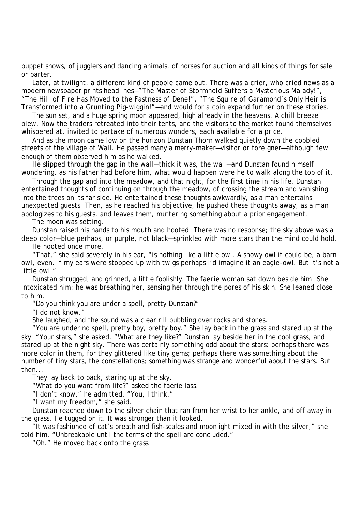puppet shows, of jugglers and dancing animals, of horses for auction and all kinds of things for sale or barter.

Later, at twilight, a different kind of people came out. There was a crier, who cried news as a modern newspaper prints headlines—*"The Master of Stormhold Suffers a Mysterious Malady!", "The Hill of Fire Has Moved to the Fastness of Dene!", "The Squire of Garamond's Only Heir is Transformed into a Grunting Pig-wiggin!"—*and would for a coin expand further on these stories.

The sun set, and a huge spring moon appeared, high already in the heavens. A chill breeze blew. Now the traders retreated into their tents, and the visitors to the market found themselves whispered at, invited to partake of numerous wonders, each available for a price.

And as the moon came low on the horizon Dunstan Thorn walked quietly down the cobbled streets of the village of Wall. He passed many a merry-maker—visitor or foreigner—although few enough of them observed him as he walked.

He slipped through the gap in the wall—thick it was, the wall—and Dunstan found himself wondering, as his father had before him, what would happen were he to walk along the top of it.

Through the gap and into the meadow, and that night, for the first time in his life, Dunstan entertained thoughts of continuing on through the meadow, of crossing the stream and vanishing into the trees on its far side. He entertained these thoughts awkwardly, as a man entertains unexpected guests. Then, as he reached his objective, he pushed these thoughts away, as a man apologizes to his guests, and leaves them, muttering something about a prior engagement.

The moon was setting.

Dunstan raised his hands to his mouth and hooted. There was no response; the sky above was a deep color—blue perhaps, or purple, not black—sprinkled with more stars than the mind could hold.

He hooted once more.

"That," she said severely in his ear, "is nothing like a little owl. A snowy owl it could be, a barn owl, even. If my ears were stopped up with twigs perhaps I'd imagine it an eagle-owl. But it's not a little owl."

Dunstan shrugged, and grinned, a little foolishly. The faerie woman sat down beside him. She intoxicated him: he was breathing her, sensing her through the pores of his skin. She leaned close to him.

"Do you think you are under a spell, pretty Dunstan?"

"I do not know."

She laughed, and the sound was a clear rill bubbling over rocks and stones.

"You are under no spell, pretty boy, pretty boy." She lay back in the grass and stared up at the sky. "Your stars," she asked. "What are they like?" Dunstan lay beside her in the cool grass, and stared up at the night sky. There was certainly something odd about the stars: perhaps there was more color in them, for they glittered like tiny gems; perhaps there was something about the number of tiny stars, the constellations; something was strange and wonderful about the stars. But then...

They lay back to back, staring up at the sky.

"What do you want from life?" asked the faerie lass.

"I don't know," he admitted. "You, I think."

"I want my freedom," she said.

Dunstan reached down to the silver chain that ran from her wrist to her ankle, and off away in the grass. He tugged on it. It was stronger than it looked.

"It was fashioned of cat's breath and fish-scales and moonlight mixed in with the silver," she told him. "Unbreakable until the terms of the spell are concluded."

"Oh." He moved back onto the grass.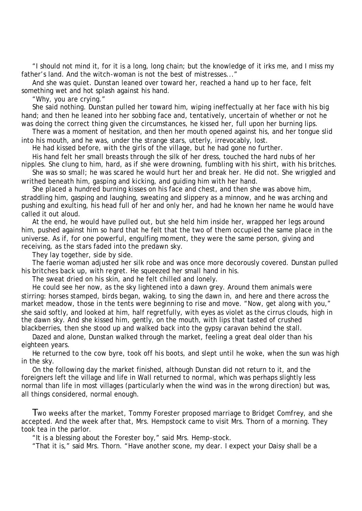"I should not mind it, for it is a long, long chain; but the knowledge of it irks me, and I miss my father's land. And the witch-woman is not the best of mistresses..."

And she was quiet. Dunstan leaned over toward her, reached a hand up to her face, felt something wet and hot splash against his hand.

"Why, you are crying."

She said nothing. Dunstan pulled her toward him, wiping ineffectually at her face with his big hand; and then he leaned into her sobbing face and, tentatively, uncertain of whether or not he was doing the correct thing given the circumstances, he kissed her, full upon her burning lips.

There was a moment of hesitation, and then her mouth opened against his, and her tongue slid into his mouth, and he was, under the strange stars, utterly, irrevocably, lost.

He had kissed before, with the girls of the village, but he had gone no further.

His hand felt her small breasts through the silk of her dress, touched the hard nubs of her nipples. She clung to him, hard, as if she were drowning, fumbling with his shirt, with his britches.

She was so small; he was scared he would hurt her and break her. He did not. She wriggled and writhed beneath him, gasping and kicking, and guiding him with her hand.

She placed a hundred burning kisses on his face and chest, and then she was above him, straddling him, gasping and laughing, sweating and slippery as a minnow, and he was arching and pushing and exulting, his head full of her and only her, and had he known her name he would have called it out aloud.

At the end, he would have pulled out, but she held him inside her, wrapped her legs around him, pushed against him so hard that he felt that the two of them occupied the same place in the universe. As if, for one powerful, engulfing moment, they were the same person, giving and receiving, as the stars faded into the predawn sky.

They lay together, side by side.

The faerie woman adjusted her silk robe and was once more decorously covered. Dunstan pulled his britches back up, with regret. He squeezed her small hand in his.

The sweat dried on his skin, and he felt chilled and lonely.

He could see her now, as the sky lightened into a dawn grey. Around them animals were stirring: horses stamped, birds began, waking, to sing the dawn in, and here and there across the market meadow, those in the tents were beginning to rise and move. "Now, get along with you," she said softly, and looked at him, half regretfully, with eyes as violet as the cirrus clouds, high in the dawn sky. And she kissed him, gently, on the mouth, with lips that tasted of crushed blackberries, then she stood up and walked back into the gypsy caravan behind the stall.

Dazed and alone, Dunstan walked through the market, feeling a great deal older than his eighteen years.

He returned to the cow byre, took off his boots, and slept until he woke, when the sun was high in the sky.

On the following day the market finished, although Dunstan did not return to it, and the foreigners left the village and life in Wall returned to normal, which was perhaps slightly less normal than life in most villages (particularly when the wind was in the wrong direction) but was, all things considered, normal enough.

Two weeks after the market, Tommy Forester proposed marriage to Bridget Comfrey, and she accepted. And the week after that, Mrs. Hempstock came to visit Mrs. Thorn of *a* morning. They took tea in the parlor.

"It is a blessing about the Forester boy," said Mrs. Hemp-stock.

"That it is," said Mrs. Thorn. "Have another scone, my dear. I expect your Daisy shall be a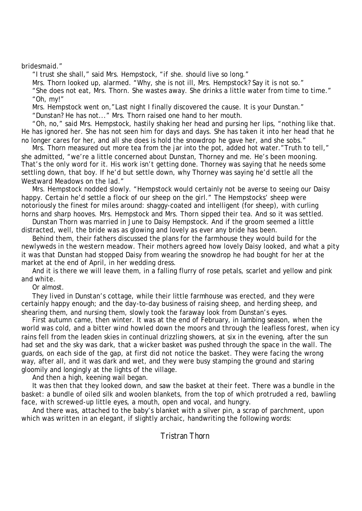bridesmaid."

"I trust she shall," said Mrs. Hempstock, *"if she.* should live so long."

Mrs. Thorn looked up, alarmed. "Why, she is not ill, Mrs. Hempstock? Say it is not so." "She does not eat, Mrs. Thorn. She wastes away. She drinks a little water from time to time." "Oh, my!"

Mrs. Hempstock went on, "Last night I finally discovered the cause. It is your Dunstan."

"Dunstan? He has not..." Mrs. Thorn raised one hand to her mouth.

"Oh, no," said Mrs. Hempstock, hastily shaking her head and pursing her lips, "nothing like that. He has ignored her. She has not seen him for days and days. She has taken it into her head that he no longer cares for her, and all she does is hold the snowdrop he gave her, and she sobs."

Mrs. Thorn measured out more tea from the jar into the pot, added hot water."Truth to tell," she admitted, "we're a little concerned about Dunstan, Thorney and me. He's been *mooning.*  That's the only word for it. His work isn't getting done. Thorney was saying that he needs some settling down, that boy. If he'd but settle down, why Thorney was saying he'd settle all the Westward Meadows on the lad."

Mrs. Hempstock nodded slowly. "Hempstock would certainly not be averse to seeing our Daisy happy. Certain he'd settle a flock of our sheep on the girl." The Hempstocks' sheep were notoriously the finest for miles around: shaggy-coated and intelligent (for sheep), with curling horns and sharp hooves. Mrs. Hempstock and Mrs. Thorn sipped their tea. And so it was settled.

Dunstan Thorn was married in June to Daisy Hempstock. And if the groom seemed a little distracted, well, the bride was as glowing and lovely as ever any bride has been.

Behind them, their fathers discussed the plans for the farmhouse they would build for the newlyweds in the western meadow. Their mothers agreed how lovely Daisy looked, and what a pity it was that Dunstan had stopped Daisy from wearing the snowdrop he had bought for her at the market at the end of April, in her wedding dress.

And it is there we will leave them, in a falling flurry of rose petals, scarlet and yellow and pink and white.

Or almost.

They lived in Dunstan's cottage, while their little farmhouse was erected, and they were certainly happy enough; and the day-to-day business of raising sheep, and herding sheep, and shearing them, and nursing them, slowly took the faraway look from Dunstan's eyes.

First autumn came, then winter. It was at the end of February, in lambing season, when the world was cold, and a bitter wind howled down the moors and through the leafless forest, when icy rains fell from the leaden skies in continual drizzling showers, at six in the evening, after the sun had set and the sky was dark, that a wicker basket was pushed through the space in the wall. The guards, on each side of the gap, at first did not notice the basket. They were facing the wrong way, after all, and it was dark and wet, and they were busy stamping the ground and staring gloomily and longingly at the lights of the village.

And then a high, keening wail began.

It was then that they looked down, and saw the basket at their feet. There was a bundle in the basket: a bundle of oiled silk and woolen blankets, from the top of which protruded a red, bawling face, with screwed-up little eyes, a mouth, open and vocal, and hungry.

And there was, attached to the baby's blanket with a silver pin, a scrap of parchment, upon which was written in an elegant, if slightly archaic, handwriting the following words:

### *Tristran Thorn*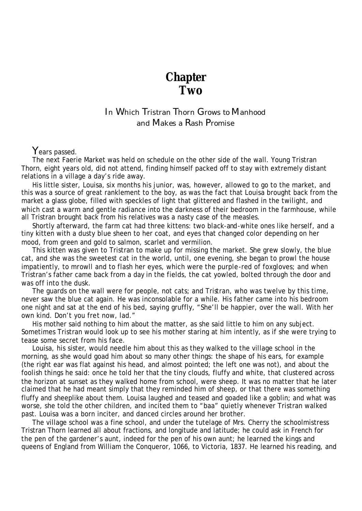## *Chapter Two*

### In Which Tristran Thorn Grows to Manhood and Makes a Rash Promise

Years passed.

The next Faerie Market was held on schedule on the other side of the wall. Young Tristran Thorn, eight years old, did not attend, finding himself packed off to stay with extremely distant relations in a village a day's ride away.

His little sister, Louisa, six months his junior, was, however, allowed to go to the market, and this was a source of great ranklement to the boy, as was the fact that Louisa brought back from the market a glass globe, filled with speckles of light that glittered and flashed in the twilight, and which cast a warm and gentle radiance into the darkness of their bedroom in the farmhouse, while all Tristran brought back from his relatives was a nasty case of the measles.

Shortly afterward, the farm cat had three kittens: two black-and-white ones like herself, and a tiny kitten with a dusty blue sheen to her coat, and eyes that changed color depending on her mood, from green and gold to salmon, scarlet and vermilion.

This kitten was given to Tristran to make up for missing the market. She grew slowly, the blue cat, and she was the sweetest cat in the world, until, one evening, she began to prowl the house impatiently, to *mrowll* and to flash her eyes, which were the purple-red of foxgloves; and when Tristran's father came back from a day in the fields, the cat yowled, bolted through the door and was off into the dusk.

The guards on the wall were for people, not cats; and Tristran, who was twelve by this time, never saw the blue cat again. He was inconsolable for a while. His father came into his bedroom one night and sat at the end of his bed, saying gruffly, "She'll be happier, over the wall. With her own kind. Don't you fret now, lad."

His mother said nothing to him about the matter, as she said little to him on any subject. Sometimes Tristran would look up to see his mother staring at him intently, as if she were trying to tease some secret from his face.

Louisa, his sister, would needle him about this as they walked to the village school in the morning, as she would goad him about so many other things: the shape of his ears, for example (the right ear was flat against his head, and almost pointed; the left one was not), and about the foolish things he said: once he told her that the tiny clouds, fluffy and white, that clustered across the horizon at sunset as they walked home from school, were sheep. It was no matter that he later claimed that he had meant simply that they reminded him of sheep, or that there was something fluffy and sheeplike about them. Louisa laughed and teased and goaded like a goblin; and what was worse, she told the other children, and incited them to "baa" quietly whenever Tristran walked past. Louisa was a born inciter, and danced circles around her brother.

The village school was a fine school, and under the tutelage of Mrs. Cherry the schoolmistress Tristran Thorn learned all about fractions, and longitude and latitude; he could ask in French for the pen of the gardener's aunt, indeed for the pen of his own aunt; he learned the kings and queens of England from William the Conqueror, 1066, to Victoria, 1837. He learned his reading, and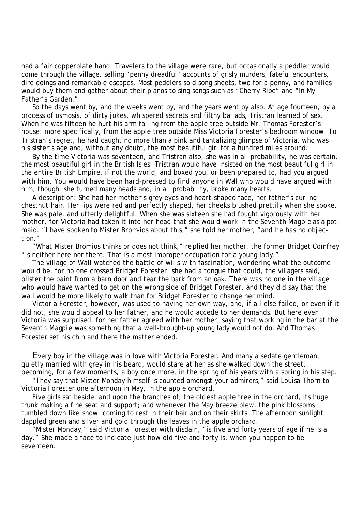had a fair copperplate hand. Travelers to the village were rare, but occasionally a peddler would come through the village, selling "penny dreadful" accounts of grisly murders, fateful encounters, dire doings and remarkable escapes. Most peddlers sold song sheets, two for a penny, and families would buy them and gather about their pianos to sing songs such as "Cherry Ripe" and "In My Father's Garden."

So the days went by, and the weeks went by, and the years went by also. At age fourteen, by a process of osmosis, of dirty jokes, whispered secrets and filthy ballads, Tristran learned of sex. When he was fifteen he hurt his arm falling from the apple tree outside Mr. Thomas Forester's house: more specifically, from the apple tree outside Miss Victoria Forester's bedroom window. To Tristran's regret, he had caught no more than a pink and tantalizing glimpse of Victoria, who was his sister's age and, without any doubt, the most beautiful girl for a hundred miles around.

By the time Victoria was seventeen, and Tristran also, she was in all probability, he was certain, the most beautiful girl in the British Isles. Tristran would have insisted on the most beautiful girl in the entire British Empire, if not the world, and boxed you, or been prepared to, had you argued with him. You would have been hard-pressed to find anyone in Wall who would have argued with him, though; she turned many heads and, in all probability, broke many hearts.

A description: She had her mother's grey eyes and heart-shaped face, her father's curling chestnut hair. Her lips were red and perfectly shaped, her cheeks blushed prettily when she spoke. She was pale, and utterly delightful. When she was sixteen she had fought vigorously with her mother, for Victoria had taken it into her head that she would work in the *Seventh Magpie* as a potmaid. "I have spoken to Mister Brom-ios about this," she told her mother, "and *he* has no objection."

"What Mister Bromios thinks or does not think," replied her mother, the former Bridget Comfrey "is neither here nor there. That is a most improper occupation for a young lady."

The village of Wall watched the battle of wills with fascination, wondering what the outcome would be, for no one crossed Bridget Forester: she had a tongue that could, the villagers said, blister the paint from a barn door and tear the bark from an oak. There was no one in the village who would have wanted to get on the wrong side of Bridget Forester, and they did say that the wall would be more likely to walk than for Bridget Forester to change her mind.

Victoria Forester, however, was used to having her own way, and, if all else failed, or even if it did not, she would appeal to her father, and he would accede to her demands. But here even Victoria was surprised, for her father agreed with her mother, saying that working in the bar at the *Seventh Magpie* was something that a well-brought-up young lady would not do. And Thomas Forester set his chin and there the matter ended.

Every boy in the village was in love with Victoria Forester. And many a sedate gentleman, quietly married with grey in his beard, would stare at her as she walked down the street, becoming, for a few moments, a boy once more, in the spring of his years with a spring in his step.

"They say that Mister Monday himself is counted amongst your admirers," said Louisa Thorn to Victoria Forester one afternoon in May, in the apple orchard.

Five girls sat beside, and upon the branches of, the oldest apple tree in the orchard, its huge trunk making a fine seat and support; and whenever the May breeze blew, the pink blossoms tumbled down like snow, coming to rest in their hair and on their skirts. The afternoon sunlight dappled green and silver and gold through the leaves in the apple orchard.

"Mister Monday," said Victoria Forester with disdain, "is five and forty years of age if he is a day." She made a face to indicate just how old five-and-forty is, when you happen to be seventeen.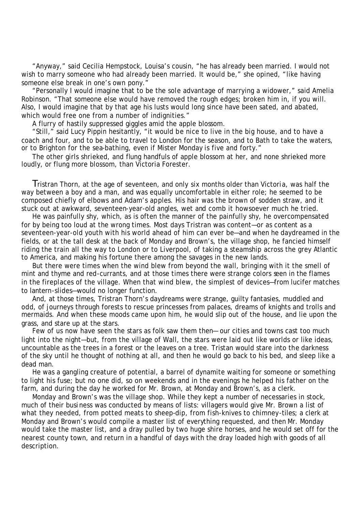"Anyway," said Cecilia Hempstock, Louisa's cousin, "he has already been married. I would not wish to marry someone who had already been married. It would be," she opined, "like having someone else break in one's own pony."

"Personally I would imagine that to be the *sole* advantage of marrying a widower," said Amelia Robinson. "That someone else would have removed the rough edges; broken him in, if you will. Also, I would imagine that by that age his lusts would long since have been sated, and abated, which would free one from a number of indignities."

A flurry of hastily suppressed giggles amid the apple blossom.

"Still," said Lucy Pippin hesitantly, "it would be nice to live in the big house, and to have a coach and four, and to be able to travel to London for the season, and to Bath to take the waters, or to Brighton for the sea-bathing, even if Mister Monday *is* five and forty."

The other girls shrieked, and flung handfuls of apple blossom at her, and none shrieked more loudly, or flung more blossom, than Victoria Forester.

Tristran Thorn, at the age of seventeen, and only *six* months older than Victoria, was half the way between a boy and a man, and was equally uncomfortable in either role; he seemed to be composed chiefly of elbows and Adam's apples. His hair was the brown of sodden straw, and it stuck out at awkward, seventeen-year-old angles, wet and comb it howsoever much he tried.

He was painfully shy, which, as is often the manner of the painfully shy, he overcompensated for by being too loud at the wrong times. Most days Tristran was content—or as content as a seventeen-year-old youth with his world ahead of him can ever be—and when he daydreamed in the fields, or at the tall desk at the back of Monday and Brown's, the village shop, he fancied himself riding the train all the way to London or to Liverpool, of taking a steamship across the grey Atlantic to America, and making his fortune there among the savages in the new lands.

But there were times when the wind blew from beyond the wall, bringing with it the smell of mint and thyme and red-currants, and at those times there were strange colors seen in the flames in the fireplaces of the village. When that wind blew, the simplest of devices—from lucifer matches to lantern-slides—would no longer function.

And, at those times, Tristran Thorn's daydreams were strange, guilty fantasies, muddled and odd, of journeys through forests to rescue princesses from palaces, dreams of knights and trolls and mermaids. And when these moods came upon him, he would slip out of the house, and lie upon the grass, and stare up at the stars.

Few of us now have seen the stars as folk saw them then— our cities and towns cast too much light into the night—but, from the village of Wall, the stars were laid out like worlds or like ideas, uncountable as the trees in a forest or the leaves on a tree. Tristan would stare into the darkness of the sky until he thought of nothing at all, and then he would go back to his bed, and sleep like a dead man.

He was a gangling creature of potential, a barrel of dynamite waiting for someone or something to light his fuse; but no one did, so on weekends and in the evenings he helped his father on the farm, and during the day he worked for Mr. Brown, at Monday and Brown's, as a clerk.

Monday and Brown's was the village shop. While they kept a number of necessaries in stock, much of their business was conducted by means of lists: villagers would give Mr. Brown a list of what they needed, from potted meats to sheep-dip, from fish-knives to chimney-tiles; a clerk at Monday and Brown's would compile a master list of everything requested, and then Mr. Monday would take the master list, and a dray pulled by two huge shire horses, and he would set off for the nearest county town, and return in a handful of days with the dray loaded high with goods of all description.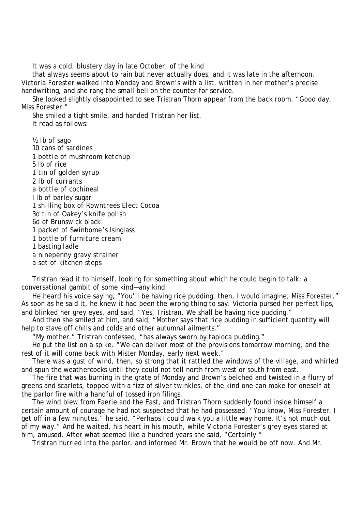It was a cold, blustery day in late October, of the kind

that always seems about to rain but never actually does, and it was late in the afternoon. Victoria Forester walked into Monday and Brown's with a list, written in her mother's precise handwriting, and she rang the small bell on the counter for service.

She looked slightly disappointed to see Tristran Thorn appear from the back room. "Good day, Miss Forester."

She smiled a tight smile, and handed Tristran her list. It read as follows:

*½ lb of sago 10 cans of sardines 1 bottle of mushroom ketchup 5 lb of rice 1 tin of golden syrup 2 lb of currants a bottle of cochineal I lb of barley sugar 1 shilling box of Rowntrees Elect Cocoa 3d tin of Oakey's knife polish 6d of Brunswick black 1 packet of Swinbome's Isinglass 1 bottle of furniture cream 1 basting ladle a ninepenny gravy strainer a set of kitchen steps*

Tristran read it to himself, looking for something about which he could begin to talk: a conversational gambit of some kind—any kind.

He heard his voice saying, "You'll be having rice pudding, then, I would imagine, Miss Forester." As soon as he said it, he knew it had been the wrong thing to say. Victoria pursed her perfect lips, and blinked her grey eyes, and said, "Yes, Tristran. We shall be having rice pudding."

And then she smiled at him, and said, "Mother says that rice pudding in sufficient quantity will help to stave off chills and colds and other autumnal ailments."

"My mother," Tristran confessed, "has always sworn by tapioca pudding."

He put the list on a spike. "We can deliver most of the provisions tomorrow morning, and the rest of it will come back with Mister Monday, early next week."

There was a gust of wind, then, so strong that it rattled the windows of the village, and whirled and spun the weathercocks until they could not tell north from west or south from east.

The fire that was burning in the grate of Monday and Brown's belched and twisted in a flurry of greens and scarlets, topped with a fizz of silver twinkles, of the kind one can make for oneself at the parlor fire with a handful of tossed iron filings.

The wind blew from Faerie and the East, and Tristran Thorn suddenly found inside himself a certain amount of courage he had not suspected that he had possessed. "You know, Miss Forester, I get off in a few minutes," he said. "Perhaps I could walk you a little way home. It's not much out of my way." And he waited, his heart in his mouth, while Victoria Forester's grey eyes stared at him, amused. After what seemed like a hundred years she said, "Certainly."

Tristran hurried into the parlor, and informed Mr. Brown that he would be off now. And Mr.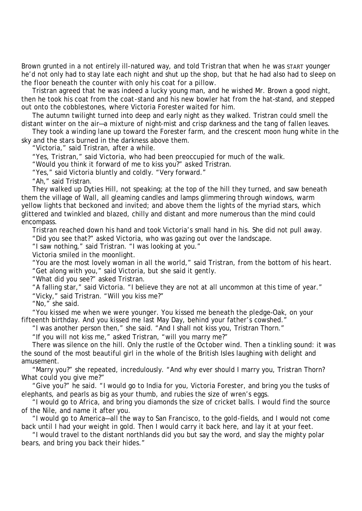Brown grunted in a not entirely ill-natured way, and told Tristran that when *he* was start younger he'd not only had to stay late each night and shut up the shop, but that he had also had to sleep on the floor beneath the counter with only his coat for a pillow.

Tristran agreed that he was indeed a lucky young man, and he wished Mr. Brown a good night, then he took his coat from the coat-stand and his new bowler hat from the hat-stand, and stepped out onto the cobblestones, where Victoria Forester waited for him.

The autumn twilight turned into deep and early night as they walked. Tristran could smell the distant winter on the air—a mixture of night-mist and crisp darkness and the tang of fallen leaves.

They took a winding lane up toward the Forester farm, and the crescent moon hung white in the sky and the stars burned in the darkness above them.

"Victoria," said Tristran, after a while.

"Yes, Tristran," said Victoria, who had been preoccupied for much of the walk.

"Would you think it forward of me to kiss you?" asked Tristran.

"Yes," said Victoria bluntly and coldly. "Very forward."

"Ah," said Tristran.

They walked up Dyties Hill, not speaking; at the top of the hill they turned, and saw beneath them the village of Wall, all gleaming candles and lamps glimmering through windows, warm yellow lights that beckoned and invited; and above them the lights of the myriad stars, which glittered and twinkled and blazed, chilly and distant and more numerous than the mind could encompass.

Tristran reached down his hand and took Victoria's small hand in his. She did not pull away.

"Did you see that?" asked Victoria, who was gazing out over the landscape.

"I saw nothing," said Tristran. "I was looking at you."

Victoria smiled in the moonlight.

"You are the most lovely woman in all the world," said Tristran, from the bottom of his heart. "Get along with you," said Victoria, but she said it gently.

"What did you see?" asked Tristran.

"A falling star," said Victoria. "I believe they are not at all uncommon at this time of year."

"Vicky," said Tristran. "Will you kiss me?"

"No," she said.

"You kissed me when we were younger. You kissed me beneath the pledge-Oak, on your fifteenth birthday. And you kissed me last May Day, behind your father's cowshed."

"I was another person then," she said. "And I shall not kiss you, Tristran Thorn."

"If you will not kiss me," asked Tristran, "will you marry me?"

There was silence on the hill. Only the rustle of the October wind. Then a tinkling sound: it was the sound of the most beautiful girl in the whole of the British Isles laughing with delight and amusement.

"Marry you?" she repeated, incredulously. "And why ever should I marry you, Tristran Thorn? What could you give me?"

"Give you?" he said. "I would go to India for you, Victoria Forester, and bring you the tusks of elephants, and pearls as big as your thumb, and rubies the size of wren's eggs.

"I would go to Africa, and bring you diamonds the size of cricket balls. I would find the source of the Nile, and name it after you.

"I would go to America—all the way to San Francisco, to the gold-fields, and I would not come back until I had your weight in gold. Then I would carry it back here, and lay it at your feet.

"I would travel to the distant northlands did you but say the word, and slay the mighty polar bears, and bring you back their hides."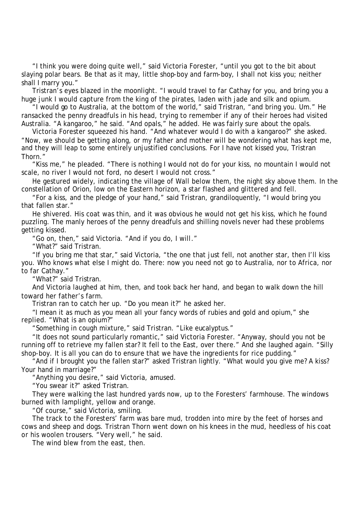"I think you were doing quite well," said Victoria Forester, "until you got to the bit about slaying polar bears. Be that as it may, little shop-boy and farm-boy, I shall not kiss you; neither shall I marry you."

Tristran's eyes blazed in the moonlight. "I would travel to far Cathay for you, and bring you a huge junk I would capture from the king of the pirates, laden with jade and silk and opium.

"I would go to Australia, at the bottom of the world," said Tristran, "and bring you. Um." He ransacked the penny dreadfuls in his head, trying to remember if any of their heroes had visited Australia. "A kangaroo," he said. "And opals," he added. He was fairly sure about the opals.

Victoria Forester squeezed his hand. "And whatever would I do with a kangaroo?" she asked. "Now, we should be getting along, or my father and mother will be wondering what has kept me, and they will leap to some entirely unjustified conclusions. For I have not kissed you, Tristran Thorn."

"Kiss me," he pleaded. "There is nothing I would not do for your kiss, no mountain I would not scale, no river I would not ford, no desert I would not cross."

He gestured widely, indicating the village of Wall below them, the night sky above them. In the constellation of Orion, low on the Eastern horizon, a star flashed and glittered and fell.

"For a kiss, and the pledge of your hand," said Tristran, grandiloquently, "I would bring you that fallen star."

He shivered. His coat was thin, and it was obvious he would not get his kiss, which he found puzzling. The manly heroes of the penny dreadfuls and shilling novels never had these problems getting kissed.

"Go on, then," said Victoria. "And if you do, I will."

"What?" said Tristran.

"If you bring me that star," said Victoria, "the one that just fell, not another star, then I'll kiss you. Who knows what else I might do. There: now you need not go to Australia, nor to Africa, nor to far Cathay."

"What?" said Tristran.

And Victoria laughed at him, then, and took back her hand, and began to walk down the hill toward her father's farm.

Tristran ran to catch her up. "Do you mean it?" he asked her.

"I mean it as much as you mean all your fancy words of rubies and gold and opium," she replied. "What *is* an opium?"

"Something in cough mixture," said Tristran. "Like eucalyptus."

"It does not sound particularly romantic," said Victoria Forester. "Anyway, should you not be running off to retrieve my fallen star? It fell to the East, over there." And she laughed again. "Silly shop-boy. It is all you can do to ensure that we have the ingredients for rice pudding."

"And if I brought you the fallen star?" asked Tristran lightly. "What would you give me? A kiss? Your hand in marriage?"

"Anything you desire," said Victoria, amused.

"You swear it?" asked Tristran.

They were walking the last hundred yards now, up to the Foresters' farmhouse. The windows burned with lamplight, yellow and orange.

"Of course," said Victoria, smiling.

The track to the Foresters' farm was bare mud, trodden into mire by the feet of horses and cows and sheep and dogs. Tristran Thorn went down on his knees in the mud, heedless of his coat or his woolen trousers. "Very well," he said.

The wind blew from the east, then.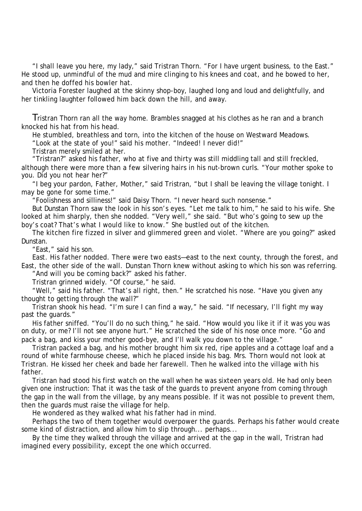"I shall leave you here, my lady," said Tristran Thorn. "For I have urgent business, to the East." He stood up, unmindful of the mud and mire clinging to his knees and coat, and he bowed to her, and then he doffed his bowler hat.

Victoria Forester laughed at the skinny shop-boy, laughed long and loud and delightfully, and her tinkling laughter followed him back down the hill, and away.

Tristran Thorn ran all the way home. Brambles snagged at his clothes as he ran and a branch knocked his hat from his head.

He stumbled, breathless and torn, into the kitchen of the house on Westward Meadows.

"Look at the state of you!" said his mother. "Indeed! I never did!"

Tristran merely smiled at her.

"Tristran?" asked his father, who at five and thirty was still middling tall and still freckled, although there were more than a few silvering hairs in his nut-brown curls. "Your mother spoke to you. Did you not hear her?"

"I beg your pardon, Father, Mother," said Tristran, "but I shall be leaving the village tonight. I may be gone for some time."

"Foolishness and silliness!" said Daisy Thorn. "I never heard such nonsense."

But Dunstan Thorn saw the look in his son's eyes. "Let me talk to him," he said to his wife. She looked at him sharply, then she nodded. "Very well," she said. "But who's going to sew up the boy's coat? That's what I would like to know." She bustled out of the kitchen.

The kitchen fire fizzed in silver and glimmered green and violet. "Where are you going?" asked Dunstan.

"East," said his son.

*East.* His father nodded. There were two easts—east to the next county, through the forest, and East, the other side of the wall. Dunstan Thorn knew without asking to which his son was referring.

"And will you be coming back?" asked his father.

Tristran grinned widely. "Of course," he said.

"Well," said his father. "That's all right, then." He scratched his nose. "Have you given any thought to getting through the wall?"

Tristran shook his head. "I'm sure I can find a way," he said. "If necessary, I'll fight my way past the guards."

His father sniffed. "You'll do no such thing," he said. "How would you like it if it was you was on duty, or me? I'll not see anyone hurt." He scratched the side of his nose once more. "Go and pack a bag, and kiss your mother good-bye, and I'll walk you down to the village."

Tristran packed a bag, and his mother brought him six red, ripe apples and a cottage loaf and a round of white farmhouse cheese, which he placed inside his bag. Mrs. Thorn would not look at Tristran. He kissed her cheek and bade her farewell. Then he walked into the village with his father.

Tristran had stood his first watch on the wall when he was sixteen years old. He had only been given one instruction: That it was the task of the guards to prevent anyone from coming through the gap in the wall from the village, by any means possible. If it was not possible to prevent them, then the guards must raise the village for help.

He wondered as they walked what his father had in mind.

Perhaps the two of them together would overpower the guards. Perhaps his father would create some kind of distraction, and allow him to slip through... perhaps...

By the time they walked through the village and arrived at the gap in the wall, Tristran had imagined every possibility, except the one which occurred.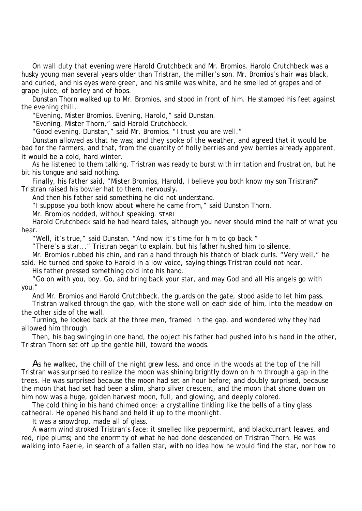On wall duty that evening were Harold Crutchbeck and Mr. Bromios. Harold Crutchbeck was a husky young man several years older than Tristran, the miller's son. Mr. Bromios's hair was black, and curled, and his eyes were green, and his smile was white, and he smelled of grapes and of grape juice, of barley and of hops.

Dunstan Thorn walked up to Mr. Bromios, and stood in front of him. He stamped his feet against the evening chill.

"Evening, Mister Bromios. Evening, Harold," said Dunstan.

"Evening, Mister Thorn," said Harold Crutchbeck.

"Good evening, Dunstan," said Mr. Bromios. "I trust you are well."

Dunstan allowed as that he was; and they spoke of the weather, and agreed that it would be bad for the farmers, and that, from the quantity of holly berries and yew berries already apparent, it would be a cold, hard winter.

As he listened to them talking, Tristran was ready to burst with irritation and frustration, but he bit his tongue and said nothing.

Finally, his father said, "Mister Bromios, Harold, I believe you both know my son Tristran?" Tristran raised his bowler hat to them, nervously.

And then his father said something he did not understand.

"I suppose you both know about where he came from," said Dunston Thorn.

Mr. Bromios nodded, without speaking. STARI

Harold Crutchbeck said he had heard tales, although you never should mind the half of what you hear.

"Well, it's true," said Dunstan. "And now it's time for him to go back."

"There's a star..." Tristran began to explain, but his father hushed him to silence.

Mr. Bromios rubbed his chin, and ran a hand through his thatch of black curls. "Very well," he said. He turned and spoke to Harold in a low voice, saying things Tristran could not hear.

His father pressed something cold into his hand.

"Go on with you, boy. Go, and bring back your star, and may God and all His angels go with you."

And Mr. Bromios and Harold Crutchbeck, the guards on the gate, stood aside to let him pass.

Tristran walked through the gap, with the stone wall on each side of him, into the meadow on the other side of the wall.

Turning, he looked back at the three men, framed in the gap, and wondered why they had allowed him through.

Then, his bag swinging in one hand, the object his father had pushed into his hand in the other, Tristran Thorn set off up the gentle hill, toward the woods.

As he walked, the chill of the night grew less, and once in the woods at the top of the hill Tristran was surprised to realize the moon was shining brightly down on him through a gap in the trees. He was surprised because the moon had set an hour before; and doubly surprised, because the moon that had set had been a slim, sharp silver crescent, and the moon that shone down on him now was a huge, golden harvest moon, full, and glowing, and deeply colored.

The cold thing in his hand chimed once: a crystalline tinkling like the bells of a tiny glass cathedral. He opened his hand and held it up to the moonlight.

It was a snowdrop, made all of glass.

A warm wind stroked Tristran's face: it smelled like peppermint, and blackcurrant leaves, and red, ripe plums; and the enormity of what he had done descended on Tristran Thorn. He was walking into Faerie, in search of a fallen star, with no idea how he would find the star, nor how to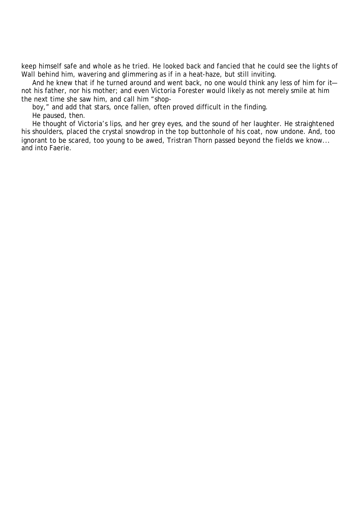keep himself safe and whole as he tried. He looked back and fancied that he could see the lights of Wall behind him, wavering and glimmering as if in a heat-haze, but still inviting.

And he knew that if he turned around and went back, no one would think any less of him for it not his father, nor his mother; and even Victoria Forester would likely as not merely smile at him the next time she saw him, and call him "shop-

boy," and add that stars, once fallen, often proved difficult in the finding.

He paused, then.

He thought of Victoria's lips, and her grey eyes, and the sound of her laughter. He straightened his shoulders, placed the crystal snowdrop in the top buttonhole of his coat, now undone. And, too ignorant to be scared, too young to be awed, Tristran Thorn passed beyond the fields we know... and into Faerie.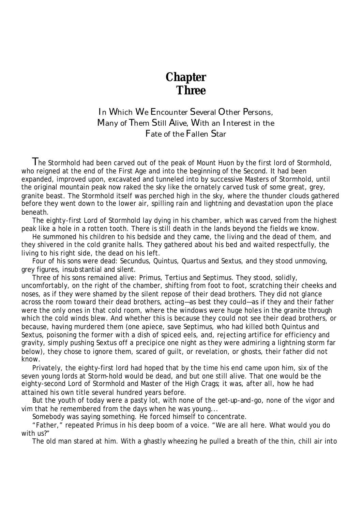# *Chapter Three*

### In Which We Encounter Several Other Persons, Many of Them Still Alive, With an Interest in the Fate of the Fallen Star

The Stormhold had been carved out of the peak of Mount Huon by the first lord of Stormhold, who reigned at the end of the First Age and into the beginning of the Second. It had been expanded, improved upon, excavated and tunneled into by successive Masters of Stormhold, until the original mountain peak now raked the sky like the ornately carved tusk of some great, grey, granite beast. The Stormhold itself was perched high in the sky, where the thunder clouds gathered before they went down to the lower air, spilling rain and lightning and devastation upon the place beneath.

The eighty-first Lord of Stormhold lay dying in his chamber, which was carved from the highest peak like a hole in a rotten tooth. There is still death in the lands beyond the fields we know.

He summoned his children to his bedside and they came, the living and the dead of them, and they shivered in the cold granite halls. They gathered about his bed and waited respectfully, the living to his right side, the dead on his left.

Four of his sons were dead: Secundus, Quintus, Quartus and Sextus, and they stood unmoving, grey figures, insubstantial and silent.

Three of his sons remained alive: Primus, Tertius and Septimus. They stood, solidly, uncomfortably, on the right of the chamber, shifting from foot to foot, scratching their cheeks and noses, as if they were shamed by the silent repose of their dead brothers. They did not glance across the room toward their dead brothers, acting—as best they could—as if they and their father were the only ones in that cold room, where the windows were huge holes in the granite through which the cold winds blew. And whether this is because they could not see their dead brothers, or because, having murdered them (one apiece, save Septimus, who had killed both Quintus and Sextus, poisoning the former with a dish of spiced eels, and, rejecting artifice for efficiency and gravity, simply pushing Sextus off a precipice one night as they were admiring a lightning storm far below), they chose to ignore them, scared of guilt, or revelation, or ghosts, their father did not know.

Privately, the eighty-first lord had hoped that by the time his end came upon him, six of the seven young lords at Storm-hold would be dead, and but one still alive. That one would be the eighty-second Lord of Stormhold and Master of the High Crags; it was, after all, how he had attained his own title several hundred years before.

But the youth of today were a pasty lot, with none of the get-up-and-go, none of the vigor and vim that he remembered from the days when he was young...

Somebody was saying something. He forced himself to concentrate.

"Father," repeated Primus in his deep boom of a voice. "We are all here. What would you do with us?"

The old man stared at him. With a ghastly wheezing he pulled a breath of the thin, chill air into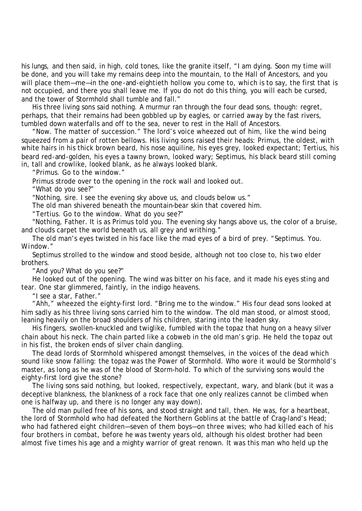his lungs, and then said, in high, cold tones, like the granite itself, "I am dying. Soon my time will be done, and you will take my remains deep into the mountain, to the Hall of Ancestors, and you will place them—me—in the one-and-eightieth hollow you come to, which is to say, the first that is not occupied, and there you shall leave me. If you do not do this thing, you will each be cursed, and the tower of Stormhold shall tumble and fall."

His three living sons said nothing. A murmur ran through the four dead sons, though: regret, perhaps, that their remains had been gobbled up by eagles, or carried away by the fast rivers, tumbled down waterfalls and off to the sea, never to rest in the Hall of Ancestors.

"Now. The matter of succession." The lord's voice wheezed out of him, like the wind being squeezed from a pair of rotten bellows. His living sons raised their heads: Primus, the oldest, with white hairs in his thick brown beard, his nose aquiline, his eyes grey, looked expectant; Tertius, his beard red-and-golden, his eyes a tawny brown, looked wary; Septimus, his black beard still coming in, tall and crowlike, looked blank, as he always looked blank.

"Primus. Go to the window."

Primus strode over to the opening in the rock wall and looked out.

"What do you see?"

"Nothing, sire. I see the evening sky above us, and clouds below us."

The old man shivered beneath the mountain-bear skin that covered him.

"Tertius. Go to the window. What do you see?"

"Nothing, Father. It is as Primus told you. The evening sky hangs above us, the color of a bruise, and clouds carpet the world beneath us, all grey and writhing."

The old man's eyes twisted in his face like the mad eyes of a bird of prey. "Septimus. You. Window."

Septimus strolled to the window and stood beside, although not too close to, his two elder brothers.

"And you? What do you see?"

He looked out of the opening. The wind was bitter on his face, and it made his eyes sting and tear. One star glimmered, faintly, in the indigo heavens.

"I see a star, Father."

"Ahh," wheezed the eighty-first lord. "Bring me to the window." His four dead sons looked at him sadly as his three living sons carried him to the window. The old man stood, or almost stood, leaning heavily on the broad shoulders of his children, staring into the leaden sky.

His fingers, swollen-knuckled and twiglike, fumbled with the topaz that hung on a heavy silver chain about his neck. The chain parted like a cobweb in the old man's grip. He held the topaz out in his fist, the broken ends of silver chain dangling.

The dead lords of Stormhold whispered amongst themselves, in the voices of the dead which sound like snow falling: the topaz was the Power of Stormhold. Who wore it would be Stormhold's master, as long as he was of the blood of Storm-hold. To which of the surviving sons would the eighty-first lord give the stone?

The living sons said nothing, but looked, respectively, expectant, wary, and blank (but it was a deceptive blankness, the blankness of a rock face that one only realizes cannot be climbed when one is halfway up, and there is no longer any way down).

The old man pulled free of his sons, and stood straight and tall, then. He was, for a heartbeat, the lord of Stormhold who had defeated the Northern Goblins at the battle of Crag-land's Head; who had fathered eight children—seven of them boys—on three wives; who had killed each of his four brothers in combat, before he was twenty years old, although his oldest brother had been almost five times his age and a mighty warrior of great renown. It was this man who held up the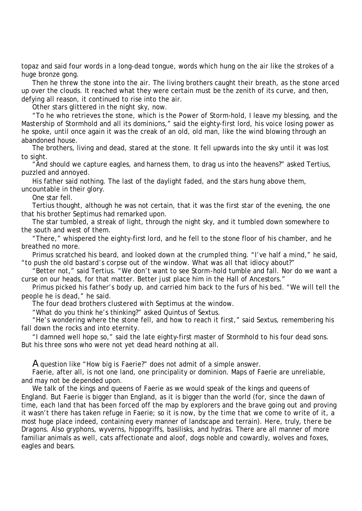topaz and said four words in a long-dead tongue, words which hung on the air like the strokes of a huge bronze gong.

Then he threw the stone into the air. The living brothers caught their breath, as the stone arced up over the clouds. It reached what they were certain must be the zenith of its curve, and then, defying all reason, it continued to rise into the air.

Other stars glittered in the night sky, now.

"To he who retrieves the stone, which is the Power of Storm-hold, I leave my blessing, and the Mastership of Stormhold and all its dominions," said the eighty-first lord, his voice losing power as he spoke, until once again it was the creak of an old, old man, like the wind blowing through an abandoned house.

The brothers, living and dead, stared at the stone. It fell upwards into the sky until it was lost to sight.

"And should we capture eagles, and harness them, to drag us into the heavens?" asked Tertius, puzzled and annoyed.

His father said nothing. The last of the daylight faded, and the stars hung above them,

uncountable in their glory.

One star fell.

Tertius thought, although he was not certain, that it was the first star of the evening, the one that his brother Septimus had remarked upon.

The star tumbled, a streak of light, through the night sky, and it tumbled down somewhere to the south and west of them.

"There," whispered the eighty-first lord, and he fell to the stone floor of his chamber, and he breathed no more.

Primus scratched his beard, and looked down at the crumpled thing. "I've half a mind," he said, "to push the old bastard's corpse out of the window. What was all that idiocy about?"

"Better not," said Tertius. "We don't want to see Storm-hold tumble and fall. Nor do we want a curse on our heads, for that matter. Better just place him in the Hall of Ancestors."

Primus picked his father's body up, and carried him back to the furs of his bed. "We will tell the people he is dead," he said.

The four dead brothers clustered with Septimus at the window.

"What do you think he's thinking?" asked Quintus of Sextus.

"He's wondering where the stone fell, and how to reach it first," said Sextus, remembering his fall down the rocks and into eternity.

"I damned well hope so," said the late eighty-first master of Stormhold to his four dead sons. But his three sons who were not yet dead heard nothing at all.

 $A$  question like "How big is Faerie?" does not admit of a simple answer.

Faerie, after all, is not one land, one principality or dominion. Maps of Faerie are unreliable, and may not be depended upon.

We talk of the kings and queens of Faerie as we would speak of the kings and queens of England. But Faerie is bigger than England, as it is bigger than the world (for, since the dawn of time, each land that has been forced off the map by explorers and the brave going out and proving it wasn't there has taken refuge in Faerie; so it is now, by the time that we come to write of it, a most huge place indeed, containing every manner of landscape and terrain). *Here,* truly, *there be Dragons.* Also gryphons, wyverns, hippogriffs, basilisks, and hydras. There are all manner of more familiar animals as well, cats affectionate and aloof, dogs noble and cowardly, wolves and foxes, eagles and bears.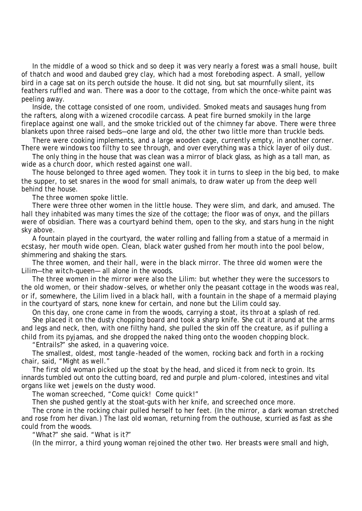In the middle of a wood so thick and so deep it was very nearly a forest was a small house, built of thatch and wood and daubed grey clay, which had a most foreboding aspect. A small, yellow bird in a cage sat on its perch outside the house. It did not sing, but sat mournfully silent, its feathers ruffled and wan. There was a door to the cottage, from which the once-white paint was peeling away.

Inside, the cottage consisted of one room, undivided. Smoked meats and sausages hung from the rafters, along with a wizened crocodile carcass. A peat fire burned smokily in the large fireplace against one wall, and the smoke trickled out of the chimney far above. There were three blankets upon three raised beds—one large and old, the other two little more than truckle beds.

There were cooking implements, and a large wooden cage, currently empty, in another corner. There were windows too filthy to see through, and over everything was a thick layer of oily dust.

The only thing in the house that was clean was a mirror of black glass, as high as a tall man, as wide as a church door, which rested against one wall.

The house belonged to three aged women. They took it in turns to sleep in the big bed, to make the supper, to set snares in the wood for small animals, to draw water up from the deep well behind the house.

The three women spoke little.

There were three other women in the little house. They were slim, and dark, and amused. The hall they inhabited was many times the size of the cottage; the floor was of onyx, and the pillars were of obsidian. There was a courtyard behind them, open to the sky, and stars hung in the night sky above.

A fountain played in the courtyard, the water rolling and falling from a statue of a mermaid in ecstasy, her mouth wide open. Clean, black water gushed from her mouth into the pool below, shimmering and shaking the stars.

The three women, and their hall, were in the black mirror. The three old women were the Lilim—the witch-queen— all alone in the woods.

The three women in the mirror were also the Lilim: but whether they were the successors to the old women, or their shadow-selves, or whether only the peasant cottage in the woods was real, or if, somewhere, the Lilim lived in a black hall, with a fountain in the shape of a mermaid playing in the courtyard of stars, none knew for certain, and none but the Lilim could say.

On this day, one crone came in from the woods, carrying a stoat, its throat a splash of red.

She placed it on the dusty chopping board and took a sharp knife. She cut it around at the arms and legs and neck, then, with one filthy hand, she pulled the skin off the creature, as if pulling a child from its pyjamas, and she dropped the naked thing onto the wooden chopping block.

"Entrails?" she asked, in a quavering voice.

The smallest, oldest, most tangle-headed of the women, rocking back and forth in a rocking chair, said, "Might as well."

The first old woman picked up the stoat by the head, and sliced it from neck to groin. Its innards tumbled out onto the cutting board, red and purple and plum-colored, intestines and vital organs like wet jewels on the dusty wood.

The woman screeched, "Come quick! Come quick!"

Then she pushed gently at the stoat-guts with her knife, and screeched once more.

The crone in the rocking chair pulled herself to her feet. (In the mirror, a dark woman stretched and rose from her divan.) The last old woman, returning from the outhouse, scurried as fast as she could from the woods.

"What?" she said. "What is it?"

(In the mirror, a third young woman rejoined the other two. Her breasts were small and high,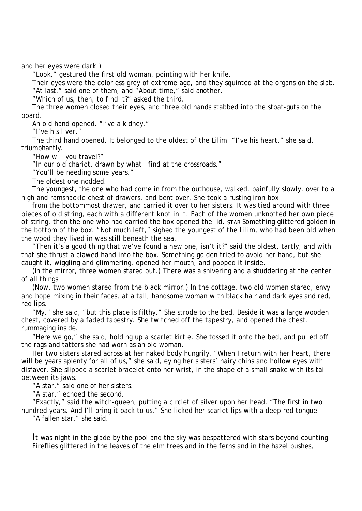and her eyes were dark.)

"Look," gestured the first old woman, pointing with her knife.

Their eyes were the colorless grey of extreme age, and they squinted at the organs on the slab. "At last," said one of them, and "About time," said another.

"Which of us, then, to find it?" asked the third.

The three women closed their eyes, and three old hands stabbed into the stoat-guts on the board.

An old hand opened. "I've a kidney."

"I've his liver."

The third hand opened. It belonged to the oldest of the Lilim. "I've his heart," she said, triumphantly.

"How will you travel?"

"In our old chariot, drawn by what I find at the crossroads."

"You'll be needing some years."

The oldest one nodded.

The youngest, the one who had come in from the outhouse, walked, painfully slowly, over to a high and ramshackle chest of drawers, and bent over. She took a rusting iron box

from the bottommost drawer, and carried it over to her sisters. It was tied around with three pieces of old string, each with a different knot in it. Each of the women unknotted her own piece of string, then the one who had carried the box opened the lid. STAB Something glittered golden in the bottom of the box. "Not much left," sighed the youngest of the Lilim, who had been old when the wood they lived in was still beneath the sea.

"Then it's a good thing that we've found a new one, isn't it?" said the oldest, tartly, and with that she thrust a clawed hand into the box. Something golden tried to avoid her hand, but she caught it, wiggling and glimmering, opened her mouth, and popped it inside.

(In the mirror, three women stared out.) There was a shivering and a shuddering at the center of all things.

(Now, two women stared from the black mirror.) In the cottage, two old women stared, envy and hope mixing in their faces, at a tall, handsome woman with black hair and dark eyes and red, red lips.

"My," she said, "but this place is filthy." She strode to the bed. Beside it was a large wooden chest, covered by a faded tapestry. She twitched off the tapestry, and opened the chest, rummaging inside.

"Here we go," she said, holding up a scarlet kirtle. She tossed it onto the bed, and pulled off the rags and tatters she had worn as an old woman.

Her two sisters stared across at her naked body hungrily. "When I return with her heart, there will be years aplenty for all of us," she said, eying her sisters' hairy chins and hollow eyes with disfavor. She slipped a scarlet bracelet onto her wrist, in the shape of a small snake with its tail between its jaws.

"A star," said one of her sisters.

"A star," echoed the second.

"Exactly," said the witch-queen, putting a circlet of silver upon her head. "The first in two hundred years. And I'll bring it back to us." She licked her scarlet lips with a deep red tongue. "A fallen star," she said.

It was night in the glade by the pool and the sky was bespattered with stars beyond counting. Fireflies glittered in the leaves of the elm trees and in the ferns and in the hazel bushes,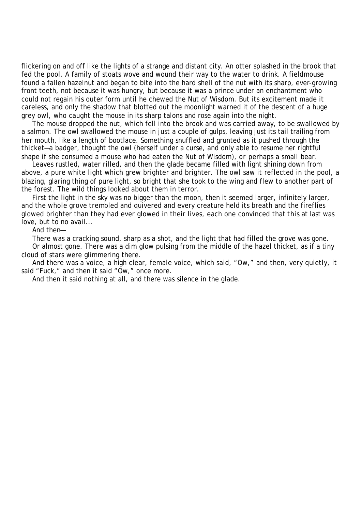flickering on and off like the lights of a strange and distant city. An otter splashed in the brook that fed the pool. A family of stoats wove and wound their way to the water to drink. A fieldmouse found a fallen hazelnut and began to bite into the hard shell of the nut with its sharp, ever-growing front teeth, not because it was hungry, but because it was a prince under an enchantment who could not regain his outer form until he chewed the Nut of Wisdom. But its excitement made it careless, and only the shadow that blotted out the moonlight warned it of the descent of a huge grey owl, who caught the mouse in its sharp talons and rose again into the night.

The mouse dropped the nut, which fell into the brook and was carried away, to be swallowed by a salmon. The owl swallowed the mouse in just a couple of gulps, leaving just its tail trailing from her mouth, like a length of bootlace. Something snuffled and grunted as it pushed through the thicket—*a badger,* thought the owl (herself under a curse, and only able to resume her rightful shape if she consumed a mouse who had eaten the Nut of Wisdom), *or perhaps a small bear.*

Leaves rustled, water rilled, and then the glade became filled with light shining down from above, a pure white light which grew brighter and brighter. The owl saw it reflected in the pool, a blazing, glaring thing of pure light, so bright that she took to the wing and flew to another part of the forest. The wild things looked about them in terror.

First the light in the sky was no bigger than the moon, then it seemed larger, infinitely larger, and the whole grove trembled and quivered and every creature held its breath and the fireflies glowed brighter than they had ever glowed in their lives, each one convinced that *this* at last was love, but to no avail...

And then—

There was a cracking sound, sharp as a shot, and the light that had filled the grove was gone. Or almost gone. There was a dim glow pulsing from the middle of the hazel thicket, as if a tiny cloud of stars were glimmering there.

And there was a voice, a high clear, female voice, which said, "Ow," and then, very quietly, it said "Fuck," and then it said "Ow," once more.

And then it said nothing at all, and there was silence in the glade.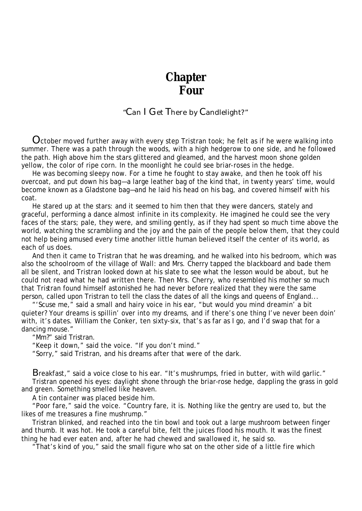## *Chapter Four*

"Can I Get There by Candlelight?"

October moved further away with every step Tristran took; he felt as if he were walking into summer. There was a path through the woods, with a high hedgerow to one side, and he followed the path. High above him the stars glittered and gleamed, and the harvest moon shone golden yellow, the color of ripe corn. In the moonlight he could see briar-roses in the hedge.

He was becoming sleepy now. For a time he fought to stay awake, and then he took off his overcoat, and put down his bag—a large leather bag of the kind that, in twenty years' time, would become known as a Gladstone bag—and he laid his head on his bag, and covered himself with his coat.

He stared up at the stars: and it seemed to him then that they were dancers, stately and graceful, performing a dance almost infinite in its complexity. He imagined he could see the very faces of the stars; pale, they were, and smiling gently, as if they had spent so much time above the world, watching the scrambling and the joy and the pain of the people below them, that they could not help being amused every time another little human believed itself the center of its world, as each of us does.

And then it came to Tristran that he was dreaming, and he walked into his bedroom, which was also the schoolroom of the village of Wall: and Mrs. Cherry tapped the blackboard and bade them all be silent, and Tristran looked down at his slate to see what the lesson would be about, but he could not read what he had written there. Then Mrs. Cherry, who resembled his mother so much that Tristran found himself astonished he had never before realized that they were the same person, called upon Tristran to tell the class the dates of all the kings and queens of England...

"'Scuse me," said a small and hairy voice in his ear, "but would you mind dreamin' a bit quieter? Your dreams is spillin' over into my dreams, and if there's one thing I've never been doin' with, it's dates. William the Conker, ten sixty-six, that's as far as I go, and I'd swap that for a dancing mouse."

"Mm?" said Tristran.

"Keep it down," said the voice. "If you don't mind."

"Sorry," said Tristran, and his dreams after that were of the dark.

Breakfast," said a voice close to his ear. "It's mushrumps, fried in butter, with wild garlic." Tristran opened his eyes: daylight shone through the briar-rose hedge, dappling the grass in gold and green. Something smelled like heaven.

A tin container was placed beside him.

"Poor fare," said the voice. "Country fare, it is. Nothing like the gentry are used to, but the likes of me treasures a fine mushrump."

Tristran blinked, and reached into the tin bowl and took out a large mushroom between finger and thumb. It was hot. He took a careful bite, felt the juices flood his mouth. It was the finest thing he had ever eaten and, after he had chewed and swallowed it, he said so.

"That's kind of you," said the small figure who sat on the other side of a little fire which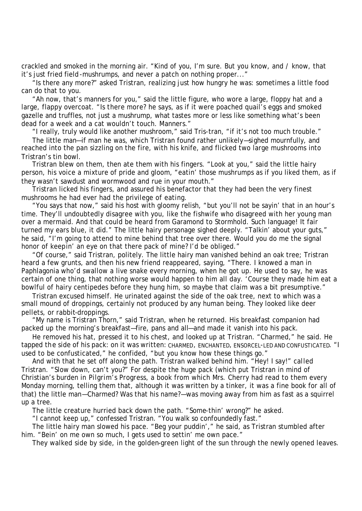crackled and smoked in the morning air. "Kind of you, I'm sure. But *you* know, and / know, that it's just fried field-mushrumps, and never a patch on nothing proper..."

"Is there any more?" asked Tristran, realizing just how hungry he was: sometimes a little food can do that to you.

"Ah now, that's manners for you," said the little figure, who wore a large, floppy hat and a large, flappy overcoat. *"Is there more?* he says, as if it were poached quail's eggs and smoked gazelle and truffles, not just a mushrump, what tastes more or less like something what's been dead for a week and a cat wouldn't touch. *Manners."*

"I really, truly would like another mushroom," said Tris-tran, "if it's not too much trouble."

The little man—if man he was, which Tristran found rather unlikely—sighed mournfully, and reached into the pan sizzling on the fire, with his knife, and flicked two large mushrooms into Tristran's tin bowl.

Tristran blew on them, then ate them with his fingers. "Look at you," said the little hairy person, his voice a mixture of pride and gloom, "eatin' those mushrumps as if you liked them, as if they wasn't sawdust and wormwood and rue in your mouth."

Tristran licked his fingers, and assured his benefactor that they had been the very finest mushrooms he had ever had the privilege of eating.

"You says that now," said his host with gloomy relish, "but you'll not be sayin' that in an hour's time. They'll undoubtedly disagree with you, like the fishwife who disagreed with her young man over a mermaid. And that could be heard from Garamond to Stormhold. Such language! It fair turned my ears blue, it did." The little hairy personage sighed deeply. "Talkin' about your guts," he said, "I'm going to attend to mine behind that tree over there. Would you do me the signal honor of keepin' an eye on that there pack of mine? I'd be obliged."

"Of course," said Tristran, politely. The little hairy man vanished behind an oak tree; Tristran heard a few grunts, and then his new friend reappeared, saying, "There. I knowed a man in Paphlagonia who'd swallow a live snake every morning, when he got up. He used to say, he was certain of one thing, that nothing worse would happen to him all day. 'Course they made him eat a bowlful of hairy centipedes before they hung him, so maybe that claim was a bit presumptive."

Tristran excused himself. He urinated against the side of the oak tree, next to which was a small mound of droppings, certainly not produced by any human being. They looked like deer pellets, or rabbit-droppings.

"My name is Tristran Thorn," said Tristran, when he returned. His breakfast companion had packed up the morning's breakfast—fire, pans and all—and made it vanish into his pack.

He removed his hat, pressed it to his chest, and looked up at Tristran. "Charmed," he said. He tapped the side of his pack: on it was written: CHARMED, ENCHANTED, ENSORCEL-LED AND CONFUSTICATED. "I used to be confusticated," he confided, "but you know how these things go."

And with that he set off along the path. Tristran walked behind him. "Hey! I say!" called Tristran. "Slow down, can't you?" For despite the huge pack (which put Tristran in mind of Christian's burden in *Pilgrim's Progress,* a book from which Mrs. Cherry had read to them every Monday morning, telling them that, although it was written by a tinker, it was a fine book for all of that) the little man—Charmed? Was that his name?—was moving away from him as fast as a squirrel up a tree.

The little creature hurried back down the path. "Some-thin' wrong?" he asked.

"I cannot keep up," confessed Tristran. "You walk so confoundedly fast."

The little hairy man slowed his pace. "Beg your puddin'," he said, as Tristran stumbled after him. "Bein' on me own so much, I gets used to settin' me own pace."

They walked side by side, in the golden-green light of the sun through the newly opened leaves.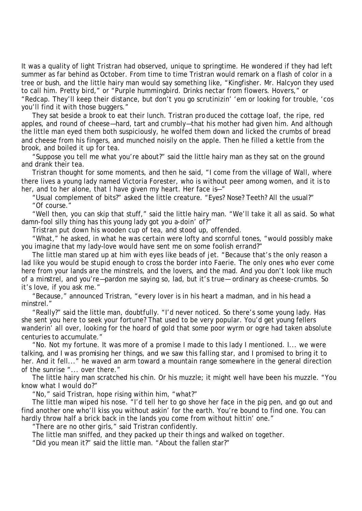It was a quality of light Tristran had observed, unique to springtime. He wondered if they had left summer as far behind as October. From time to time Tristran would remark on a flash of color in a tree or bush, and the little hairy man would say something like, "Kingfisher. Mr. Halcyon they used to call him. Pretty bird," or "Purple hummingbird. Drinks nectar from flowers. Hovers," or "Redcap. They'll keep their distance, but don't you go scrutinizin' 'em or looking for trouble, 'cos you'll find it with those buggers."

They sat beside a brook to eat their lunch. Tristran produced the cottage loaf, the ripe, red apples, and round of cheese—hard, tart and crumbly—that his mother had given him. And although the little man eyed them both suspiciously, he wolfed them down and licked the crumbs of bread and cheese from his fingers, and munched noisily on the apple. Then he filled a kettle from the brook, and boiled it up for tea.

"Suppose you tell me what you're about?" said the little hairy man as they sat on the ground and drank their tea.

Tristran thought for some moments, and then he said, "I come from the village of Wall, where there lives a young lady named Victoria Forester, who is without peer among women, and it is to her, and to her alone, that I have given my heart. Her face is-"

"Usual complement of bits?" asked the little creature. "Eyes? Nose? Teeth? All the usual?" "Of course."

"Well then, you can skip that stuff," said the little hairy man. "We'll take it all as said. So what damn-fool silly thing has this young lady got you a-doin' of?"

Tristran put down his wooden cup of tea, and stood up, offended.

"What," he asked, in what he was certain were lofty and scornful tones, "would possibly make you imagine that my lady-love would have sent me on some foolish errand?"

The little man stared up at him with eyes like beads of jet. "Because that's the only reason a lad like you would be stupid enough to cross the border into Faerie. The only ones who ever come here from your lands are the minstrels, and the lovers, and the mad. And you don't look like much of a minstrel, and you're—pardon me saying so, lad, but it's true— ordinary as cheese-crumbs. So it's love, if you ask me."

"Because," announced Tristran, "every lover is in his heart a madman, and in his head a minstrel."

"Really?" said the little man, doubtfully. "I'd never noticed. So there's some young lady. Has she sent you here to seek your fortune? That used to be very popular. You'd get young fellers wanderin' all over, looking for the hoard of gold that some poor wyrm or ogre had taken absolute centuries to accumulate."

"No. Not my fortune. It was more of a promise I made to this lady I mentioned. I... we were talking, and I was promising her things, and we saw this falling star, and I promised to bring it to her. And it fell..." he waved an arm toward a mountain range somewhere in the general direction of the sunrise "... over there."

The little hairy man scratched his chin. Or his muzzle; it might well have been his muzzle. "You know what I would do?"

"No," said Tristran, hope rising within him, "what?"

The little man wiped his nose. "I'd tell her to go shove her face in the pig pen, and go out and find another one who'll kiss you without askin' for the earth. You're bound to find one. You can hardly throw half a brick back in the lands you come from without hittin' one."

"There *are* no other girls," said Tristran confidently.

The little man sniffed, and they packed up their things and walked on together.

"Did you mean it?" said the little man. "About the fallen star?"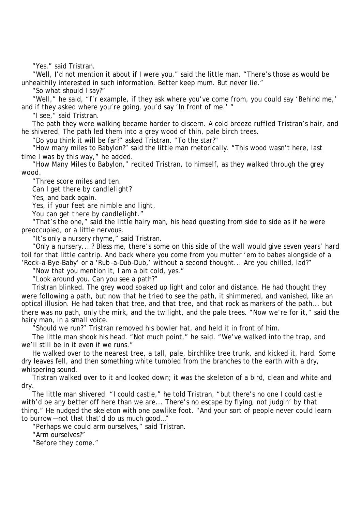"Yes," said Tristran.

"Well, I'd not mention it about if I were you," said the little man. "There's those as would be unhealthily interested in such information. Better keep mum. But never lie."

"So what should I say?"

"Well," he said, "f'r example, if they ask where you've come from, you could say 'Behind me,' and if they asked where you're going, you'd say 'In front of me.' "

"I see," said Tristran.

The path they were walking became harder to discern. A cold breeze ruffled Tristran's hair, and he shivered. The path led them into a grey wood of thin, pale birch trees.

"Do you think it will be far?" asked Tristran. "To the star?"

"How many miles to Babylon?" said the little man rhetorically. "This wood wasn't here, last time I was by this way," he added.

*"How Many Miles to Babylon,"* recited Tristran, to himself, as they walked through the grey wood.

*"Three score miles and ten.*

*Can I get there by candlelight?*

*Yes, and back again.*

*Yes, if your feet are nimble and light,*

*You can get there by candlelight."*

"That's the one," said the little hairy man, his head questing from side to side as if he were preoccupied, or a little nervous.

"It's only a nursery rhyme," said Tristran.

"Only a *nursery...* ? Bless me, there's some on this side of the wall would give seven years' hard toil for that little cantrip. And back where you come from you mutter 'em to babes alongside of a 'Rock-a-Bye-Baby' or a 'Rub-a-Dub-Dub,' without a second thought... Are you chilled, lad?"

"Now that you mention it, I am a bit cold, yes."

"Look around you. Can you see a path?"

Tristran blinked. The grey wood soaked up light and color and distance. He had thought they were following a path, but now that he tried to see the path, it shimmered, and vanished, like an optical illusion. He had taken *that* tree, and *that* tree, and *that* rock as markers of the path... but there was no path, only the mirk, and the twilight, and the pale trees. "Now we're for it," said the hairy man, in a small voice.

"Should we run?" Tristran removed his bowler hat, and held it in front of him.

The little man shook his head. "Not much point," he said. "We've walked into the trap, and we'll still be in it even if we runs."

He walked over to the nearest tree, a tall, pale, birchlike tree trunk, and kicked it, hard. Some dry leaves fell, and then something white tumbled from the branches to the earth with a dry, whispering sound.

Tristran walked over to it and looked down; it was the skeleton of a bird, clean and white and dry.

The little man shivered. "I could castle," he told Tristran, "but there's no one I could castle with'd be any better off here than we are... There's no escape by flying, not judgin' by *that*  thing." He nudged the skeleton with one pawlike foot. "And your sort of people never could learn to burrow—not that that'd do us much good…"

"Perhaps we could arm ourselves," said Tristran.

"Arm ourselves?"

"Before they come."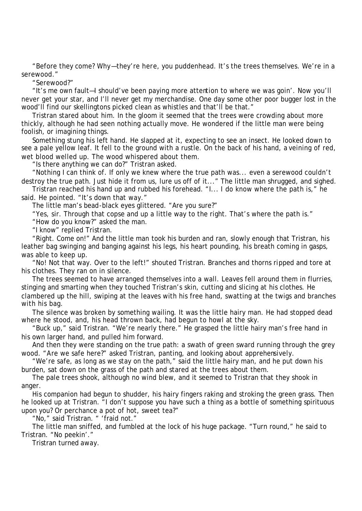"Before they *come?* Why—they're *here,* you puddenhead. It's the trees themselves. We're in a serewood."

"Serewood?"

"It's me own fault—I should've been paying more attention to where we was goin'. Now you'll never get your star, and I'll never get my merchandise. One day some other poor bugger lost in the wood'll find our skellingtons picked clean as whistles and that'll be that."

Tristran stared about him. In the gloom it seemed that the trees were crowding about more thickly, although he had seen nothing actually move. He wondered if the little man were being foolish, or imagining things.

Something stung his left hand. He slapped at it, expecting to see an insect. He looked down to see a pale yellow leaf. It fell to the ground with a rustle. On the back of his hand, a veining of red, wet blood welled up. The wood whispered about them.

"Is there anything we can do?" Tristran asked.

"Nothing I can think of. If only we knew where the true path was... even a serewood couldn't destroy the true path. Just hide it from us, lure us off of it..." The little man shrugged, and sighed.

Tristran reached his hand up and rubbed his forehead. "I... I *do* know where the path is," he said. He pointed. "It's down that way."

The little man's bead-black eyes glittered. "Are you sure?"

"Yes, sir. Through that copse and up a little way to the right. That's where the path is."

"How do you know?" asked the man.

"I *know"* replied Tristran.

"Right. Come on!" And the little man took his burden and ran, slowly enough that Tristran, his leather bag swinging and banging against his legs, his heart pounding, his breath coming in gasps, was able to keep up.

"No! Not that way. Over to the left!" shouted Tristran. Branches and thorns ripped and tore at his clothes. They ran on in silence.

The trees seemed to have arranged themselves into a wall. Leaves fell around them in flurries, stinging and smarting when they touched Tristran's skin, cutting and slicing at his clothes. He clambered up the hill, swiping at the leaves with his free hand, swatting at the twigs and branches with his bag.

The silence was broken by something wailing. It was the little hairy man. He had stopped dead where he stood, and, his head thrown back, had begun to howl at the sky.

"Buck up," said Tristran. "We're nearly there." He grasped the little hairy man's free hand in his own larger hand, and pulled him forward.

And then they were standing on the true path: a swath of green sward running through the grey wood. "Are we safe here?" asked Tristran, panting, and looking about apprehensively.

"We're safe, as long as we stay on the path," said the little hairy man, and he put down his burden, sat down on the grass of the path and stared at the trees about them.

The pale trees shook, although no wind blew, and it seemed to Tristran that they shook in anger.

His companion had begun to shudder, his hairy fingers raking and stroking the green grass. Then he looked up at Tristran. "I don't suppose you have such a thing as a bottle of something spirituous upon you? Or perchance a pot of hot, sweet tea?"

"No," said Tristran. " 'fraid not."

The little man sniffed, and fumbled at the lock of his huge package. "Turn round," he said to Tristran. "No peekin'."

Tristran turned away.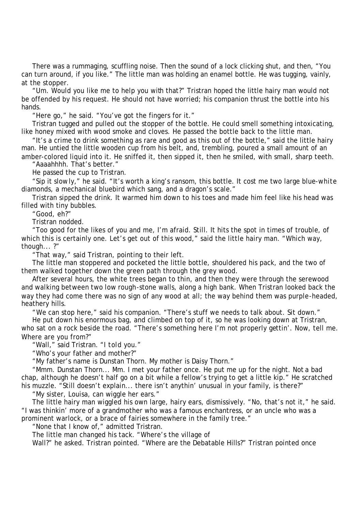There was a rummaging, scuffling noise. Then the sound of a lock clicking shut, and then, "You can turn around, if you like." The little man was holding an enamel bottle. He was tugging, vainly, at the stopper.

"Um. Would you like me to help you with that?" Tristran hoped the little hairy man would not be offended by his request. He should not have worried; his companion thrust the bottle into his hands.

"Here go," he said. "You've got the fingers for it."

Tristran tugged and pulled out the stopper of the bottle. He could smell something intoxicating, like honey mixed with wood smoke and cloves. He passed the bottle back to the little man.

"It's a crime to drink something as rare and good as this out of the bottle," said the little hairy man. He untied the little wooden cup from his belt, and, trembling, poured a small amount of an amber-colored liquid into it. He sniffed it, then sipped it, then he smiled, with small, sharp teeth.

"Aaaahhhh. That's better."

He passed the cup to Tristran.

"Sip it slowly," he said. "It's worth a king's ransom, this bottle. It cost me two large blue-white diamonds, a mechanical bluebird which sang, and a dragon's scale."

Tristran sipped the drink. It warmed him down to his toes and made him feel like his head was filled with tiny bubbles.

"Good, eh?"

Tristran nodded.

"Too good for the likes of you and me, I'm afraid. Still. It hits the spot in times of trouble, of which this is certainly one. Let's get out of this wood," said the little hairy man. "Which way, though... ?"

"That way," said Tristran, pointing to their left.

The little man stoppered and pocketed the little bottle, shouldered his pack, and the two of them walked together down the green path through the grey wood.

After several hours, the white trees began to thin, and then they were through the serewood and walking between two low rough-stone walls, along a high bank. When Tristran looked back the way they had come there was no sign of any wood at all; the way behind them was purple-headed, heathery hills.

"We can stop here," said his companion. "There's stuff we needs to talk about. Sit down."

He put down his enormous bag, and climbed on top of it, so he was looking down at Tristran, who sat on a rock beside the road. "There's something here I'm not properly gettin'. Now, tell me. Where are you from?"

"Wall," said Tristran. "I *told* you."

"Who's your father and mother?"

"My father's name is Dunstan Thorn. My mother is Daisy Thorn."

"Mmm. Dunstan Thorn... Mm. I met your father once. He put me up for the night. Not a bad chap, although he doesn't half go on a bit while a fellow's trying to get a little kip." He scratched his muzzle. "Still doesn't explain... there isn't anythin' *unusual* in your family, is there?"

"My sister, Louisa, can wiggle her ears."

The little hairy man wiggled his own large, hairy ears, dismissively. "No, that's not it," he said. "I was thinkin' more of a grandmother who was a famous enchantress, or an uncle who was a prominent warlock, or a brace of fairies somewhere in the family tree."

"None that I know of," admitted Tristran.

The little man changed his tack. "Where's the village of

Wall?" he asked. Tristran pointed. "Where are the Debatable Hills?" Tristran pointed once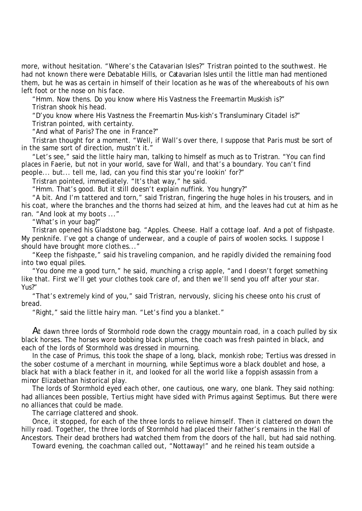more, without hesitation. "Where's the Catavarian Isles?" Tristran pointed to the southwest. He had not known there *were* Debatable Hills, or Catavarian Isles until the little man had mentioned them, but he was as certain in himself of their location as he was of the whereabouts of his own left foot or the nose on his face.

"Hmm. Now thens. Do you know where His Vastness the Freemartin Muskish is?" Tristran shook his head.

"D'you know where His Vastness the Freemartin Mus-kish's Transluminary Citadel is?" Tristran pointed, with certainty.

"And what of Paris? The one in France?"

Tristran thought for a moment. "Well, if Wall's over there, I suppose that Paris must be sort of in the same sort of direction, mustn't it."

"Let's see," said the little hairy man, talking to himself as much as to Tristran. "You can find places in Faerie, but not in your world, save for Wall, and that's a boundary. You can't find people... but... tell me, lad, can you find this star you're lookin' for?"

Tristran pointed, immediately. "It's that way," he said.

"Hmm. That's good. But it still doesn't explain nuffink. You hungry?"

"A bit. And I'm tattered and torn," said Tristran, fingering the huge holes in his trousers, and in his coat, where the branches and the thorns had seized at him, and the leaves had cut at him as he ran. "And look at my boots ..."

"What's in your bag?"

Tristran opened his Gladstone bag. "Apples. Cheese. Half a cottage loaf. And a pot of fishpaste. My penknife. I've got a change of underwear, and a couple of pairs of woolen socks. I suppose I should have brought more clothes..."

"Keep the fishpaste," said his traveling companion, and he rapidly divided the remaining food into two equal piles.

"You done me a good turn," he said, munching a crisp apple, "and I doesn't forget something like that. First we'll get your clothes took care of, and then we'll send you off after your star. Yus?"

"That's extremely kind of you," said Tristran, nervously, slicing his cheese onto his crust of bread.

"Right," said the little hairy man. "Let's find you a blanket."

At dawn three lords of Stormhold rode down the craggy mountain road, in a coach pulled by six black horses. The horses wore bobbing black plumes, the coach was fresh painted in black, and each of the lords of Stormhold was dressed in mourning.

In the case of Primus, this took the shape of a long, black, monkish robe; Tertius was dressed in the sober costume of a merchant in mourning, while Septimus wore a black doublet and hose, a black hat with a black feather in it, and looked for all the world like a foppish assassin from a minor Elizabethan historical play.

The lords of Stormhold eyed each other, one cautious, one wary, one blank. They said nothing: had alliances been possible, Tertius might have sided with Primus against Septimus. But there were no alliances that could be made.

The carriage clattered and shook.

Once, it stopped, for each of the three lords to relieve himself. Then it clattered on down the hilly road. Together, the three lords of Stormhold had placed their father's remains in the Hall of Ancestors. Their dead brothers had watched them from the doors of the hall, but had said nothing.

Toward evening, the coachman called out, "Nottaway!" and he reined his team outside a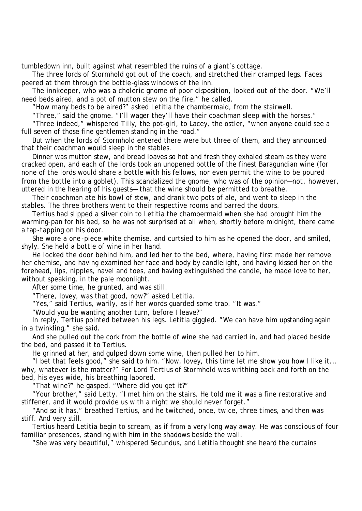tumbledown inn, built against what resembled the ruins of a giant's cottage.

The three lords of Stormhold got out of the coach, and stretched their cramped legs. Faces peered at them through the bottle-glass windows of the inn.

The innkeeper, who was a choleric gnome of poor disposition, looked out of the door. "We'll need beds aired, and a pot of mutton stew on the fire," he called.

"How many beds to be aired?" asked Letitia the chambermaid, from the stairwell.

"Three," said the gnome. "I'll wager they'll have their coachman sleep with the horses."

"Three indeed," whispered Tilly, the pot-girl, to Lacey, the ostler, "when anyone could see a full seven of those fine gentlemen standing in the road."

But when the lords of Stormhold entered there were but three of them, and they announced that their coachman would sleep in the stables.

Dinner was mutton stew, and bread loaves so hot and fresh they exhaled steam as they were cracked open, and each of the lords took an unopened bottle of the finest Baragundian wine (for none of the lords would share a bottle with his fellows, nor even permit the wine to be poured from the bottle into a goblet). This scandalized the gnome, who was of the opinion—*not,* however, uttered in the hearing of his guests— that the wine should be permitted to breathe.

Their coachman ate his bowl of stew, and drank two pots of ale, and went to sleep in the stables. The three brothers went to their respective rooms and barred the doors.

Tertius had slipped a silver coin to Letitia the chambermaid when she had brought him the warming-pan for his bed, so he was not surprised at all when, shortly before midnight, there came a tap-tapping on his door.

She wore a one-piece white chemise, and curtsied to him as he opened the door, and smiled, shyly. She held a bottle of wine in her hand.

He locked the door behind him, and led her to the bed, where, having first made her remove her chemise, and having examined her face and body by candlelight, and having kissed her on the forehead, lips, nipples, navel and toes, and having extinguished the candle, he made love to her, without speaking, in the pale moonlight.

After some time, he grunted, and was still.

"There, lovey, was that good, now?" asked Letitia.

"Yes," said Tertius, warily, as if her words guarded some trap. "It was."

"Would you be wanting another turn, before I leave?"

In reply, Tertius pointed between his legs. Letitia giggled. "We can have *him* upstanding again in a twinkling," she said.

And she pulled out the cork from the bottle of wine she had carried in, and had placed beside the bed, and passed it to Tertius.

He grinned at her, and gulped down some wine, then pulled her to him.

"I bet that feels good," she said to him. "Now, lovey, *this* time let me show you how *I* like it... why, whatever is the matter?" For Lord Tertius of Stormhold was writhing back and forth on the bed, his eyes wide, his breathing labored.

"That wine?" he gasped. "Where did you get it?"

"Your brother," said Letty. "I met him on the stairs. He told me it was a fine restorative and stiffener, and it would provide us with a night we should never forget."

"And so it has," breathed Tertius, and he twitched, once, twice, three times, and then was stiff. And very still.

Tertius heard Letitia begin to scream, as if from a very long way away. He was conscious of four familiar presences, standing with him in the shadows beside the wall.

"She was very beautiful," whispered Secundus, and Letitia thought she heard the curtains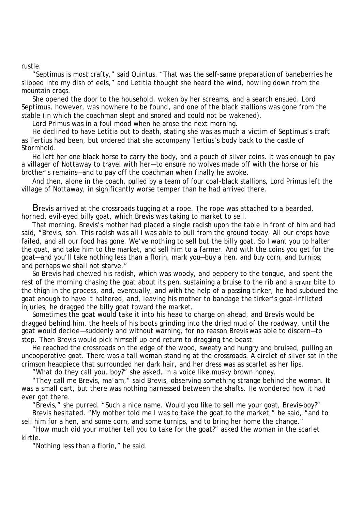#### rustle.

"Septimus is most crafty," said Quintus. "That was the self-same preparation of baneberries he slipped into my dish of eels," and Letitia thought she heard the wind, howling down from the mountain crags.

She opened the door to the household, woken by her screams, and a search ensued. Lord Septimus, however, was nowhere to be found, and one of the black stallions was gone from the stable (in which the coachman slept and snored and could not be wakened).

Lord Primus was in a foul mood when he arose the next morning.

He declined to have Letitia put to death, stating she was as much a victim of Septimus's craft as Tertius had been, but ordered that she accompany Tertius's body back to the castle of Stormhold.

He left her one black horse to carry the body, and a pouch of silver coins. It was enough to pay a villager of Nottaway to travel with her—to ensure no wolves made off with the horse or his brother's remains—and to pay off the coachman when finally he awoke.

And then, alone in the coach, pulled by a team of four coal-black stallions, Lord Primus left the village of Nottaway, in significantly worse temper than he had arrived there.

Brevis arrived at the crossroads tugging at a rope. The rope was attached to a bearded, horned, evil-eyed billy goat, which Brevis was taking to market to sell.

That morning, Brevis's mother had placed a single radish upon the table in front of him and had said, "Brevis, son. This radish was all I was able to pull from the ground today. All our crops have failed, and all our food has gone. We've nothing to sell but the billy goat. So I want you to halter the goat, and take him to the market, and sell him to a farmer. And with the coins you get for the goat—and you'll take nothing less than a florin, mark you—buy a hen, and buy corn, and turnips; and perhaps we shall not starve."

So Brevis had chewed his radish, which was woody, and peppery to the tongue, and spent the rest of the morning chasing the goat about its pen, sustaining a bruise to the rib and a STARE bite to the thigh in the process, and, eventually, and with the help of a passing tinker, he had subdued the goat enough to have it haltered, and, leaving his mother to bandage the tinker's goat-inflicted injuries, he dragged the billy goat toward the market.

Sometimes the goat would take it into his head to charge on ahead, and Brevis would be dragged behind him, the heels of his boots grinding into the dried mud of the roadway, until the goat would decide—suddenly and without warning, for no reason Brevis was able to discern—to stop. Then Brevis would pick himself up and return to dragging the beast.

He reached the crossroads on the edge of the wood, sweaty and hungry and bruised, pulling an uncooperative goat. There was a tall woman standing at the crossroads. A circlet of silver sat in the crimson headpiece that surrounded her dark hair, and her dress was as scarlet as her lips.

"What do they call you, boy?" she asked, in a voice like musky brown honey.

"They call me Brevis, ma'am," said Brevis, observing something strange behind the woman. It was a small cart, but there was nothing harnessed between the shafts. He wondered how it had ever got there.

"Brevis," she purred. "Such a nice name. Would you like to sell me your goat, Brevis-boy?" Brevis hesitated. "My mother told me I was to take the goat to the market," he said, "and to sell him for a hen, and some corn, and some turnips, and to bring her home the change."

"How much did your mother tell you to take for the goat?" asked the woman in the scarlet kirtle.

"Nothing less than a florin," he said.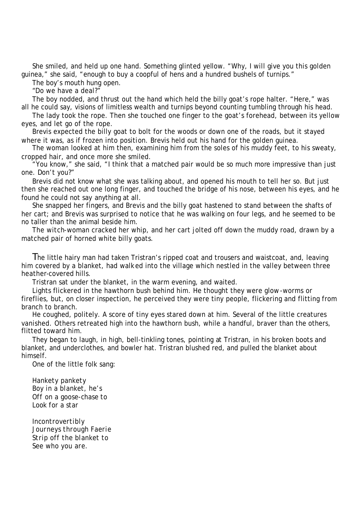She smiled, and held up one hand. Something glinted yellow. "Why, I will give you this golden guinea," she said, "enough to buy a coopful of hens and a hundred bushels of turnips."

The boy's mouth hung open.

"Do we have a deal?"

The boy nodded, and thrust out the hand which held the billy goat's rope halter. "Here," was all he could say, visions of limitless wealth and turnips beyond counting tumbling through his head.

The lady took the rope. Then she touched one finger to the goat's forehead, between its yellow eyes, and let go of the rope.

Brevis expected the billy goat to bolt for the woods or down one of the roads, but it stayed where it was, as if frozen into position. Brevis held out his hand for the golden guinea.

The woman looked at him then, examining him from the soles of his muddy feet, to his sweaty, cropped hair, and once more she smiled.

"You know," she said, "I think that a matched pair would be so much more impressive than just one. Don't you?"

Brevis did not know what she was talking about, and opened his mouth to tell her so. But just then she reached out one long finger, and touched the bridge of his nose, between his eyes, and he found he could not say anything at all.

She snapped her fingers, and Brevis and the billy goat hastened to stand between the shafts of her cart; and Brevis was surprised to notice that he was walking on four legs, and he seemed to be no taller than the animal beside him.

The witch-woman cracked her whip, and her cart jolted off down the muddy road, drawn by a matched pair of horned white billy goats.

The little hairy man had taken Tristran's ripped coat and trousers and waistcoat, and, leaving him covered by a blanket, had walked into the village which nestled in the valley between three heather-covered hills.

Tristran sat under the blanket, in the warm evening, and waited.

Lights flickered in the hawthorn bush behind him. He thought they were glow-worms or fireflies, but, on closer inspection, he perceived they were tiny people, flickering and flitting from branch to branch.

He coughed, politely. A score of tiny eyes stared down at him. Several of the little creatures vanished. Others retreated high into the hawthorn bush, while a handful, braver than the others, flitted toward him.

They began to laugh, in high, bell-tinkling tones, pointing at Tristran, in his broken boots and blanket, and underclothes, and bowler hat. Tristran blushed red, and pulled the blanket about himself.

One of the little folk sang:

*Hankety pankety Boy in a blanket, he's Off on a goose-chase to Look for a star*

*Incontrovertibly Journeys through Faerie Strip off the blanket to See who you are.*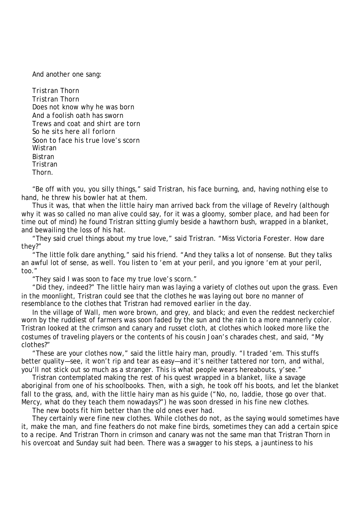And another one sang:

*Tristran Thorn Tristran Thorn Does not know why he was born And a foolish oath has sworn Trews and coat and shirt are torn So he sits here all forlorn Soon to face his true love's scorn Wistran Bistran Tristran Thorn.*

"Be off with you, you silly things," said Tristran, his face burning, and, having nothing else to hand, he threw his bowler hat at them.

Thus it was, that when the little hairy man arrived back from the village of Revelry (although why it was so called no man alive could say, for it was a gloomy, somber place, and had been for time out of mind) he found Tristran sitting glumly beside a hawthorn bush, wrapped in a blanket, and bewailing the loss of his hat.

"They said cruel things about my true love," said Tristran. "Miss Victoria Forester. How dare they?"

"The little folk dare anything," said his friend. "And they talks a lot of nonsense. But they talks an awful lot of sense, as well. You listen to 'em at your peril, and you ignore 'em at your peril, too."

"They said I was soon to face my true love's scorn."

"Did they, indeed?" The little hairy man was laying a variety of clothes out upon the grass. Even in the moonlight, Tristran could see that the clothes he was laying out bore no manner of resemblance to the clothes that Tristran had removed earlier in the day.

In the village of Wall, men wore brown, and grey, and black; and even the reddest neckerchief worn by the ruddiest of farmers was soon faded by the sun and the rain to a more mannerly color. Tristran looked at the crimson and canary and russet cloth, at clothes which looked more like the costumes of traveling players or the contents of his cousin Joan's charades chest, and said, "My clothes?"

"These are your clothes now," said the little hairy man, proudly. "I traded 'em. This stuffs better quality—see, it won't rip and tear as easy—and it's neither tattered nor torn, and withal, you'll not stick out so much as a stranger. This is what people wears hereabouts, y'see."

Tristran contemplated making the rest of his quest wrapped in a blanket, like a savage aboriginal from one of his schoolbooks. Then, with a sigh, he took off his boots, and let the blanket fall to the grass, and, with the little hairy man as his guide ("No, no, laddie, those go *over* that. Mercy, what do they teach them nowadays?") he was soon dressed in his fine new clothes.

The new boots fit him better than the old ones ever had.

They certainly *were* fine new clothes. While clothes do not, as the saying would sometimes have it, make the man, and fine feathers do not make fine birds, sometimes they can add a certain spice to a recipe. And Tristran Thorn in crimson and canary was not the same man that Tristran Thorn in his overcoat and Sunday suit had been. There was a swagger to his steps, a jauntiness to his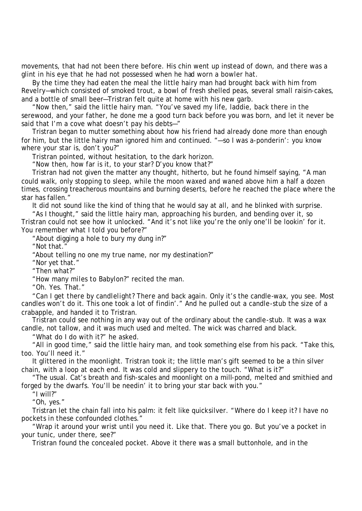movements, that had not been there before. His chin went up instead of down, and there was a glint in his eye that he had not possessed when he had worn a bowler hat.

By the time they had eaten the meal the little hairy man had brought back with him from Revelry—which consisted of smoked trout, a bowl of fresh shelled peas, several small raisin-cakes, and a bottle of small beer—Tristran felt quite at home with his new garb.

"Now then," said the little hairy man. "You've saved my life, laddie, back there in the serewood, and your father, he done me a good turn back before you was born, and let it never be said that I'm a cove what doesn't pay his debts—"

Tristran began to mutter something about how his friend had already done more than enough for him, but the little hairy man ignored him and continued. "—so I was a-ponderin': you know where your star is, don't you?"

Tristran pointed, without hesitation, to the dark horizon.

"Now then, *how far* is it, to your star? D'you know that?"

Tristran had not given the matter any thought, hitherto, but he found himself saying, "A man could walk, only stopping to sleep, while the moon waxed and waned above him a half a dozen times, crossing treacherous mountains and burning deserts, before he reached the place where the star has fallen."

It did not sound like the kind of thing that he would say at all, and he blinked with surprise.

"As I thought," said the little hairy man, approaching his burden, and bending over it, so Tristran could not see how it unlocked. "And it's not like you're the only one'll be lookin' for it. You remember what I told you before?"

"About digging a hole to bury my dung in?"

"Not that."

"About telling no one my true name, nor my destination?"

"Nor yet that."

"Then what?"

*"How many miles to Babylon?"* recited the man.

"Oh. Yes. That."

*"Can I get there by candlelight? There and back again.* Only it's the candle-wax, you see. Most candles won't do it. This one took a lot of findin'." And he pulled out a candle-stub the size of a crabapple, and handed it to Tristran.

Tristran could see nothing in any way out of the ordinary about the candle-stub. It was a wax candle, not tallow, and it was much used and melted. The wick was charred and black.

"What do I do with it?" he asked.

"All in good time," said the little hairy man, and took something else from his pack. "Take this, too. You'll need it."

It glittered in the moonlight. Tristran took it; the little man's gift seemed to be a thin silver chain, with a loop at each end. It was cold and slippery to the touch. "What is it?"

"The usual. Cat's breath and fish-scales and moonlight on a mill-pond, melted and smithied and forged by the dwarfs. You'll be needin' it to bring your star back with you."

"I will?"

"Oh, yes."

Tristran let the chain fall into his palm: it felt like quicksilver. "Where do I keep it? I have no pockets in these confounded clothes."

"Wrap it around your wrist until you need it. Like that. There you go. But you've a pocket in your tunic, under there, see?"

Tristran found the concealed pocket. Above it there was a small buttonhole, and in the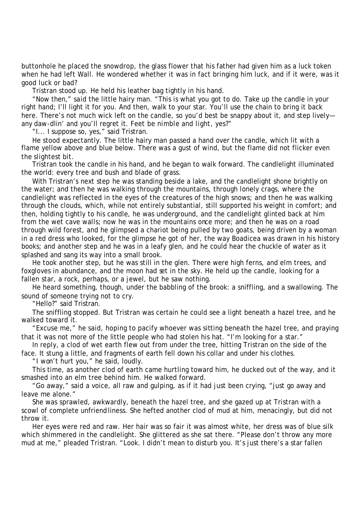buttonhole he placed the snowdrop, the glass flower that his father had given him as a luck token when he had left Wall. He wondered whether it was in fact bringing him luck, and if it were, was it good luck or bad?

Tristran stood up. He held his leather bag tightly in his hand.

"Now then," said the little hairy man. "This is what you got to do. Take up the candle in your right hand; I'll light it for you. And then, walk to your star. You'll use the chain to bring it back here. There's not much wick left on the candle, so you'd best be snappy about it, and step livelyany daw-dlin' and you'll regret it. *Feet be nimble and light,* yes?"

"I... I suppose so, yes," said Tristran.

He stood expectantly. The little hairy man passed a hand over the candle, which lit with a flame yellow above and blue below. There was a gust of wind, but the flame did not flicker even the slightest bit.

Tristran took the candle in his hand, and he began to walk forward. The candlelight illuminated the world: every tree and bush and blade of grass.

With Tristran's next step he was standing beside a lake, and the candlelight shone brightly on the water; and then he was walking through the mountains, through lonely crags, where the candlelight was reflected in the eyes of the creatures of the high snows; and then he was walking through the clouds, which, while not entirely substantial, still supported his weight in comfort; and then, holding tightly to his candle, he was underground, and the candlelight glinted back at him from the wet cave walls; now he was in the mountains once more; and then he was on a road through wild forest, and he glimpsed a chariot being pulled by two goats, being driven by a woman in a red dress who looked, for the glimpse he got of her, the way Boadicea was drawn in his history books; and another step and he was in a leafy glen, and he could hear the chuckle of water as it splashed and sang its way into a small brook.

He took another step, but he was still in the glen. There were high ferns, and elm trees, and foxgloves in abundance, and the moon had set in the sky. He held up the candle, looking for a fallen star, a rock, perhaps, or a jewel, but he saw nothing.

He heard something, though, under the babbling of the brook: a sniffling, and a swallowing. The sound of someone trying not to cry.

"Hello?" said Tristran.

The sniffling stopped. But Tristran was certain he could see a light beneath a hazel tree, and he walked toward it.

"Excuse me," he said, hoping to pacify whoever was sitting beneath the hazel tree, and praying that it was not more of the little people who had stolen his hat. "I'm looking for a star."

In reply, a clod of wet earth flew out from under the tree, hitting Tristran on the side of the face. It stung a little, and fragments of earth fell down his collar and under his clothes.

"I won't hurt you," he said, loudly.

This time, as another clod of earth came hurtling toward him, he ducked out of the way, and it smashed into an elm tree behind him. He walked forward.

"Go away," said a voice, all raw and gulping, as if it had just been crying, "just go away and leave me alone."

She was sprawled, awkwardly, beneath the hazel tree, and she gazed up at Tristran with a scowl of complete unfriend liness. She hefted another clod of mud at him, menacingly, but did not throw it.

Her eyes were red and raw. Her hair was so fair it was almost white, her dress was of blue silk which shimmered in the candlelight. She glittered as she sat there. "Please don't throw any more mud at me," pleaded Tristran. "Look. I didn't mean to disturb you. It's just there's a star fallen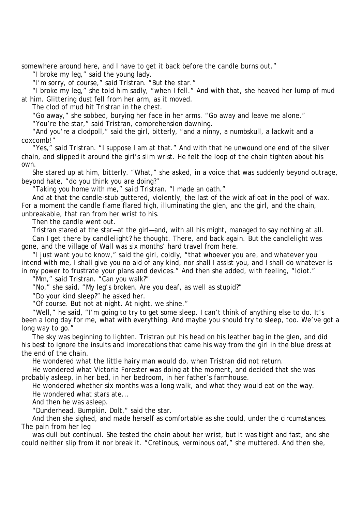somewhere around here, and I have to get it back before the candle burns out."

"I broke my leg," said the young lady.

"I'm sorry, of course," said Tristran. "But the *star."*

"I broke my leg," she told him sadly, "when I fell." And with that, she heaved her lump of mud at him. Glittering dust fell from her arm, as it moved.

The clod of mud hit Tristran in the chest.

"Go away," she sobbed, burying her face in her arms. "Go away and leave me alone."

"You're the star," said Tristran, comprehension dawning.

"And you're a clodpoll," said the girl, bitterly, "and a ninny, a numbskull, a lackwit and a coxcomb!"

"Yes," said Tristran. "I suppose I am at that." And with that he unwound one end of the silver chain, and slipped it around the girl's slim wrist. He felt the loop of the chain tighten about his own.

She stared up at him, bitterly. "What," she asked, in a voice that was suddenly beyond outrage, beyond hate, "do you think you are doing?"

"Taking you home with me," said Tristran. "I made an oath."

And at that the candle-stub guttered, violently, the last of the wick afloat in the pool of wax. For a moment the candle flame flared high, illuminating the glen, and the girl, and the chain, unbreakable, that ran from her wrist to his.

Then the candle went out.

Tristran stared at the star—at the girl—and, with all his might, managed to say nothing at all. *Can I get there by candlelight?* he thought. *There, and back again.* But the candlelight was gone, and the village of Wall was six months' hard travel from here.

"I just want you to know," said the girl, coldly, "that whoever you are, and whatever you intend with me, I shall give you no aid of any kind, nor shall I assist you, and I shall do whatever is in my power to frustrate your plans and devices." And then she added, with feeling, "Idiot."

"Mm," said Tristran. "Can you walk?"

"No," she said. "My leg's broken. Are you deaf, as well as stupid?"

"Do your kind sleep?" he asked her.

"Of course. But not at night. At night, we shine."

"Well," he said, "I'm going to try to get some sleep. I can't think of anything else to do. It's been a long day for me, what with everything. And maybe you should try to sleep, too. We've got a long way to go."

The sky was beginning to lighten. Tristran put his head on his leather bag in the glen, and did his best to ignore the insults and imprecations that came his way from the girl in the blue dress at the end of the chain.

He wondered what the little hairy man would do, when Tristran did not return.

He wondered what Victoria Forester was doing at the moment, and decided that she was probably asleep, in her bed, in her bedroom, in her father's farmhouse.

He wondered whether six months was a long walk, and what they would eat on the way.

He wondered what stars ate...

And then he was asleep.

"Dunderhead. Bumpkin. Dolt," said the star.

And then she sighed, and made herself as comfortable as she could, under the circumstances. The pain from her leg

was dull but continual. She tested the chain about her wrist, but it was tight and fast, and she could neither slip from it nor break it. "Cretinous, verminous oaf," she muttered. And then she,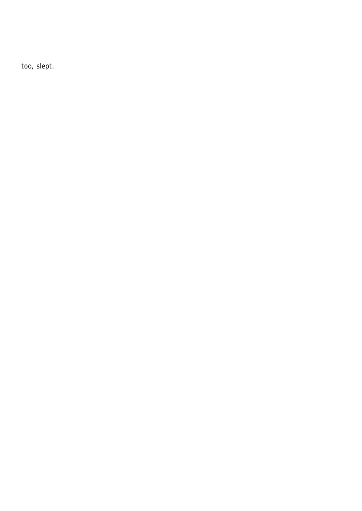too, slept.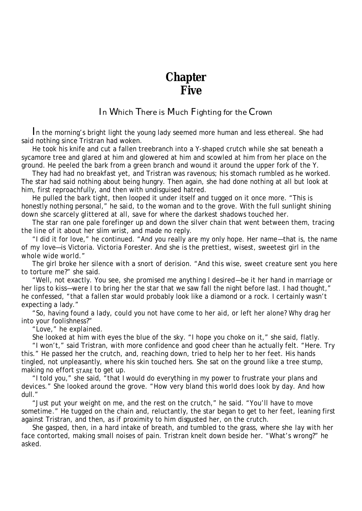### *Chapter Five*

#### In Which There is Much Fighting for the Crown

In the morning's bright light the young lady seemed more human and less ethereal. She had said nothing since Tristran had woken.

He took his knife and cut a fallen treebranch into a Y-shaped crutch while she sat beneath a sycamore tree and glared at him and glowered at him and scowled at him from her place on the ground. He peeled the bark from a green branch and wound it around the upper fork of the Y.

They had had no breakfast yet, and Tristran was ravenous; his stomach rumbled as he worked. The star had said nothing about being hungry. Then again, she had done nothing at all but look at him, first reproachfully, and then with undisguised hatred.

He pulled the bark tight, then looped it under itself and tugged on it once more. "This is honestly nothing personal," he said, to the woman and to the grove. With the full sunlight shining down she scarcely glittered at all, save for where the darkest shadows touched her.

The star ran one pale forefinger up and down the silver chain that went between them, tracing the line of it about her slim wrist, and made no reply.

"I did it for love," he continued. "And you really are my only hope. Her name—that is, the name of my love—is Victoria. Victoria Forester. And she is the prettiest, wisest, sweetest girl in the whole wide world."

The girl broke her silence with a snort of derision. "And this wise, sweet creature sent you here to torture me?" she said.

"Well, not exactly. You see, she promised me anything I desired—be it her hand in marriage or her lips to kiss—were I to bring her the star that we saw fall the night before last. I had thought," he confessed, "that a fallen star would probably look like a diamond or a rock. I certainly wasn't expecting a lady."

"So, having found a lady, could you not have come to her aid, or left her alone? Why drag her into your foolishness?"

"Love," he explained.

She looked at him with eyes the blue of the sky. "I hope you choke on it," she said, flatly.

"I won't," said Tristran, with more confidence and good cheer than he actually felt. "Here. Try this." He passed her the crutch, and, reaching down, tried to help her to her feet. His hands tingled, not unpleasantly, where his skin touched hers. She sat on the ground like a tree stump, making no effort STARE to get up.

"I told you," she said, "that I would do everything in my power to frustrate your plans and devices." She looked around the grove. "How very bland this world does look by day. And how dull."

"Just put your weight on me, and the rest on the crutch," he said. "You'll have to move sometime." He tugged on the chain and, reluctantly, the star began to get to her feet, leaning first against Tristran, and then, as if proximity to him disgusted her, on the crutch.

She gasped, then, in a hard intake of breath, and tumbled to the grass, where she lay with her face contorted, making small noises of pain. Tristran knelt down beside her. "What's wrong?" he asked.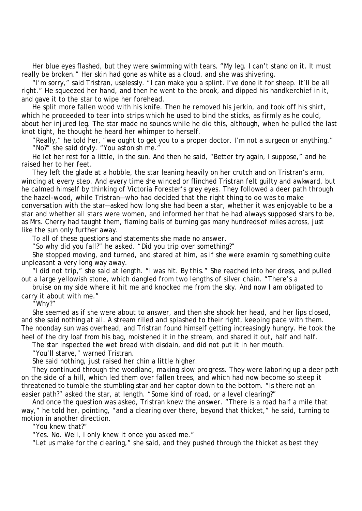Her blue eyes flashed, but they were swimming with tears. "My leg. I can't stand on it. It must really be broken." Her skin had gone as white as a cloud, and she was shivering.

"I'm sorry," said Tristran, uselessly. "I can make you a splint. I've done it for sheep. It'll be all right." He squeezed her hand, and then he went to the brook, and dipped his handkerchief in it, and gave it to the star to wipe her forehead.

He split more fallen wood with his knife. Then he removed his jerkin, and took off his shirt, which he proceeded to tear into strips which he used to bind the sticks, as firmly as he could, about her injured leg. The star made no sounds while he did this, although, when he pulled the last knot tight, he thought he heard her whimper to herself.

"Really," he told her, "we ought to get you to a proper doctor. I'm not a surgeon or anything." "No?" she said dryly. "You astonish me."

He let her rest for a little, in the sun. And then he said, "Better try again, I suppose," and he raised her to her feet.

They left the glade at a hobble, the star leaning heavily on her crutch and on Tristran's arm, wincing at every step. And every time she winced or flinched Tristran felt guilty and awkward, but he calmed himself by thinking of Victoria Forester's grey eyes. They followed a deer path through the hazel-wood, while Tristran—who had decided that the right thing to do was to make conversation with the star—asked how long she had been a star, whether it was enjoyable to be a star and whether all stars were women, and informed her that he had always supposed stars to be, as Mrs. Cherry had taught them, flaming balls of burning gas many hundreds of miles across, just like the sun only further away.

To all of these questions and statements she made no answer.

"So why did you fall?" he asked. "Did you trip over something?"

She stopped moving, and turned, and stared at him, as if she were examining something quite unpleasant a very long way away.

"I did *not* trip," she said at length. "I was hit. By *this."* She reached into her dress, and pulled out a large yellowish stone, which dangled from two lengths of silver chain. "There's a

bruise on my side where it hit me and knocked me from the sky. And now I am obligated to carry it about with me."

"Why?"

She seemed as if she were about to answer, and then she shook her head, and her lips closed, and she said nothing at all. A stream rilled and splashed to their right, keeping pace with them. The noonday sun was overhead, and Tristran found himself getting increasingly hungry. He took the heel of the dry loaf from his bag, moistened it in the stream, and shared it out, half and half.

The star inspected the wet bread with disdain, and did not put it in her mouth.

"You'll starve," warned Tristran.

She said nothing, just raised her chin a little higher.

They continued through the woodland, making slow progress. They were laboring up a deer path on the side of a hill, which led them over fallen trees, and which had now become so steep it threatened to tumble the stumbling star and her captor down to the bottom. "Is there not an easier path?" asked the star, at length. "Some kind of road, or a level clearing?"

And once the question was asked, Tristran knew the answer. "There is a road half a mile that way," he told her, pointing, "and a clearing over there, beyond that thicket," he said, turning to motion in another direction.

"You knew that?"

"Yes. No. Well, I only knew it once you asked me."

"Let us make for the clearing," she said, and they pushed through the thicket as best they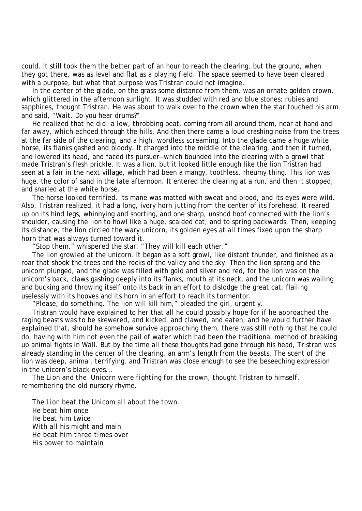could. It still took them the better part of an hour to reach the clearing, but the ground, when they got there, was as level and flat as a playing field. The space seemed to have been cleared with a purpose, but what that purpose was Tristran could not imagine.

In the center of the glade, on the grass some distance from them, was an ornate golden crown, which glittered in the afternoon sunlight. It was studded with red and blue stones: *rubies and sapphires,* thought Tristran. He was about to walk over to the crown when the star touched his arm and said, "Wait. Do you hear drums?"

He realized that he did: a low, throbbing beat, coming from all around them, near at hand and far away, which echoed through the hills. And then there came a loud crashing noise from the trees at the far side of the clearing, and a high, wordless screaming. Into the glade came a huge white horse, its flanks gashed and bloody. It charged into the middle of the clearing, and then it turned, and lowered its head, and faced its pursuer—which bounded into the clearing with a growl that made Tristran's flesh prickle. It was a lion, but it looked little enough like the lion Tristran had seen at a fair in the next village, which had been a mangy, toothless, rheumy thing. This lion was huge, the color of sand in the late afternoon. It entered the clearing at a run, and then it stopped, and snarled at the white horse.

The horse looked terrified. Its mane was matted with sweat and blood, and its eyes were wild. Also, Tristran realized, it had a long, ivory horn jutting from the center of its forehead. It reared up on its hind legs, whinnying and snorting, and one sharp, unshod hoof connected with the lion's shoulder, causing the lion to howl like a huge, scalded cat, and to spring backwards. Then, keeping its distance, the lion circled the wary unicorn, its golden eyes at all times fixed upon the sharp horn that was always turned toward it.

"Stop them," whispered the star. "They will kill each other."

The lion growled at the unicorn. It began as a soft growl, like distant thunder, and finished as a roar that shook the trees and the rocks of the valley and the sky. Then the lion sprang and the unicorn plunged, and the glade was filled with gold and silver and red, for the lion was on the unicorn's back, claws gashing deeply into its flanks, mouth at its neck, and the unicorn was wailing and bucking and throwing itself onto its back in an effort to dislodge the great cat, flailing uselessly with its hooves and its horn in an effort to reach its tormentor.

"Please, do something. The lion will kill him," pleaded the girl, urgently.

Tristran would have explained to her that all he could possibly hope for if he approached the raging beasts was to be skewered, and kicked, and clawed, and eaten; and he would further have explained that, should he somehow survive approaching them, there was still nothing that he could do, having with him not even the pail of water which had been the traditional method of breaking up animal fights in Wall. But by the time all these thoughts had gone through his head, Tristran was already standing in the center of the clearing, an arm's length from the beasts. The scent of the lion was deep, animal, terrifying, and Tristran was close enough to see the beseeching expression in the unicorn's black eyes...

*The Lion and the Unicorn were fighting for the crown,* thought Tristran to himself, remembering the old nursery rhyme.

*The Lion beat the Unicom all about the town. He beat him once He beat him twice With all his might and main He beat him three times over His power to maintain*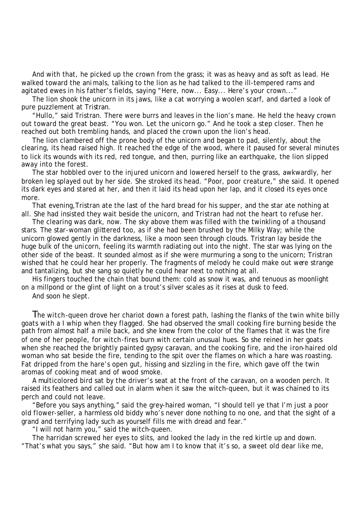And with that, he picked up the crown from the grass; it was as heavy and as soft as lead. He walked toward the animals, talking to the lion as he had talked to the ill-tempered rams and agitated ewes in his father's fields, saying "Here, now... Easy... Here's your crown..."

The lion shook the unicorn in its jaws, like a cat worrying a woolen scarf, and darted a look of pure puzzlement at Tristran.

"Hullo," said Tristran. There were burrs and leaves in the lion's mane. He held the heavy crown out toward the great beast. "You won. Let the unicorn go." And he took a step closer. Then he reached out both trembling hands, and placed the crown upon the lion's head.

The lion clambered off the prone body of the unicorn and began to pad, silently, about the clearing, its head raised high. It reached the edge of the wood, where it paused for several minutes to lick its wounds with its red, red tongue, and then, purring like an earthquake, the lion slipped away into the forest.

The star hobbled over to the injured unicorn and lowered herself to the grass, awkwardly, her broken leg splayed out by her side. She stroked its head. "Poor, poor creature," she said. It opened its dark eyes and stared at her, and then it laid its head upon her lap, and it closed its eyes once more.

That evening,Tristran ate the last of the hard bread for his supper, and the star ate nothing at all. She had insisted they wait beside the unicorn, and Tristran had not the heart to refuse her.

The clearing was dark, now. The sky above them was filled with the twinkling of a thousand stars. The star-woman glittered too, as if she had been brushed by the Milky Way; while the unicorn glowed gently in the darkness, like a moon seen through clouds. Tristran lay beside the huge bulk of the unicorn, feeling its warmth radiating out into the night. The star was lying on the other side of the beast. It sounded almost as if she were murmuring a song to the unicorn; Tristran wished that he could hear her properly. The fragments of melody he could make out were strange and tantalizing, but she sang so quietly he could hear next to nothing at all.

His fingers touched the chain that bound them: cold as snow it was, and tenuous as moonlight on a millpond or the glint of light on a trout's silver scales as it rises at dusk to feed.

And soon he slept.

The witch-queen drove her chariot down a forest path, lashing the flanks of the twin white billy goats with a I whip when they flagged. She had observed the small cooking fire burning beside the path from almost half a mile back, and she knew from the color of the flames that it was the fire of one of her people, for witch-fires burn with certain unusual hues. So she reined in her goats when she reached the brightly painted gypsy caravan, and the cooking fire, and the iron-haired old woman who sat beside the fire, tending to the spit over the flames on which a hare was roasting. Fat dripped from the hare's open gut, hissing and sizzling in the fire, which gave off the twin aromas of cooking meat and of wood smoke.

A multicolored bird sat by the driver's seat at the front of the caravan, on a wooden perch. It raised its feathers and called out in alarm when it saw the witch-queen, but it was chained to its perch and could not leave.

"Before you says anything," said the grey-haired woman, "I should tell ye that I'm just a poor old flower-seller, a harmless old biddy who's never done nothing to no one, and that the sight of a grand and terrifying lady such as yourself fills me with dread and fear."

"I will not harm you," said the witch-queen.

The harridan screwed her eyes to slits, and looked the lady in the red kirtle up and down. "That's what you *says,"* she said. "But how am I to know that it's so, a sweet old dear like me,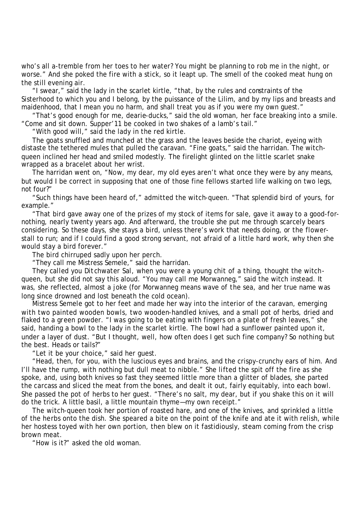who's all a-tremble from her toes to her water? You might be planning to rob me in the night, or worse." And she poked the fire with a stick, so it leapt up. The smell of the cooked meat hung on the still evening air.

"I swear," said the lady in the scarlet kirtle, "that, by the rules and constraints of the Sisterhood to which you and I belong, by the puissance of the Lilim, and by my lips and breasts and maidenhood, that I mean you no harm, and shall treat you as if you were my own guest."

"That's good enough for me, dearie-ducks," said the old woman, her face breaking into a smile. "Come and sit down. Supper'11 be cooked in two shakes of a lamb's tail."

"With good will," said the lady in the red kirtle.

The goats snuffled and munched at the grass and the leaves beside the chariot, eyeing with distaste the tethered mules that pulled the caravan. "Fine goats," said the harridan. The witchqueen inclined her head and smiled modestly. The firelight glinted on the little scarlet snake wrapped as a bracelet about her wrist.

The harridan went on, "Now, my dear, my old eyes aren't what once they were by any means, but would I be correct in supposing that one of those fine fellows started life walking on two legs, not four?"

"Such things have been heard of," admitted the witch-queen. "That splendid bird of yours, for example."

"That bird gave away one of the prizes of my stock of items for sale, gave it away to a good-fornothing, nearly twenty years ago. And afterward, the trouble she put me through scarcely bears considering. So these days, she stays a bird, unless there's work that needs doing, or the flowerstall to run; and if I could find a good strong servant, not afraid of a little hard work, why then she would stay a bird forever."

The bird chirruped sadly upon her perch.

"They call me Mistress Semele," said the harridan.

*They called you Ditchwater Sal, when you were a young chit of a thing,* thought the witchqueen, but she did not say this aloud. "You may call me Morwanneg," said the witch instead. It was, she reflected, almost a joke (for Morwanneg means *wave of the sea,* and her true name was long since drowned and lost beneath the cold ocean).

Mistress Semele got to her feet and made her way into the interior of the caravan, emerging with two painted wooden bowls, two wooden-handled knives, and a small pot of herbs, dried and flaked to a green powder. "I was going to be eating with fingers on a plate of fresh leaves," she said, handing a bowl to the lady in the scarlet kirtle. The bowl had a sunflower painted upon it, under a layer of dust. "But I thought, well, how often does I get such fine company? So nothing but the best. Heads or tails?"

"Let it be your choice," said her guest.

"Head, then, for you, with the luscious eyes and brains, and the crispy-crunchy ears of him. And I'll have the rump, with nothing but dull meat to nibble." She lifted the spit off the fire as she spoke, and, using both knives so fast they seemed little more than a glitter of blades, she parted the carcass and sliced the meat from the bones, and dealt it out, fairly equitably, into each bowl. She passed the pot of herbs to her guest. "There's no salt, my dear, but if you shake this on it will do the trick. A little basil, a little mountain thyme—my own receipt."

The witch-queen took her portion of roasted hare, and one of the knives, and sprinkled a little of the herbs onto the dish. She speared a bite on the point of the knife and ate it with relish, while her hostess toyed with her own portion, then blew on it fastidiously, steam coming from the crisp brown meat.

"How is it?" asked the old woman.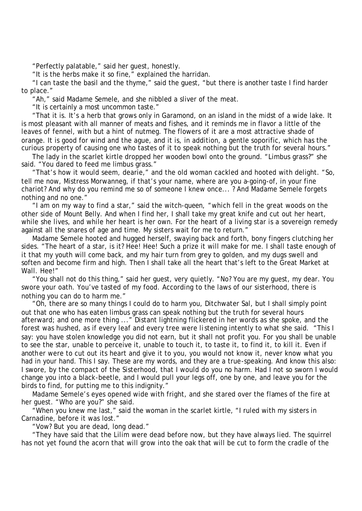"Perfectly palatable," said her guest, honestly.

"It is the herbs make it so fine," explained the harridan.

"I can taste the basil and the thyme," said the guest, "but there is another taste I find harder to place."

"Ah," said Madame Semele, and she nibbled a sliver of the meat.

"It is certainly a most uncommon taste."

"That it is. It's a herb that grows only in Garamond, on an island in the midst of a wide lake. It is most pleasant with all manner of meats and fishes, and it reminds me in flavor a little of the leaves of fennel, with but a hint of nutmeg. The flowers of it are a most attractive shade of orange. It is good for wind and the ague, and it is, in addition, a gentle soporific, which has the curious property of causing one who tastes of it to speak nothing but the truth for several hours."

The lady in the scarlet kirtle dropped her wooden bowl onto the ground. "Limbus grass?" she said. "You dared to feed me limbus grass."

"That's how it would seem, dearie," and the old woman cackled and hooted with delight. "So, tell me now, Mistress Morwanneg, if that's your name, where are you a-going-of, in your fine chariot? And why do you remind me so of someone I knew once... ? And Madame Semele forgets nothing and no one."

"I am on my way to find a star," said the witch-queen, "which fell in the great woods on the other side of Mount Belly. And when I find her, I shall take my great knife and cut out her heart, while she lives, and while her heart is her own. For the heart of a living star is a sovereign remedy against all the snares of age and time. My sisters wait for me to return."

Madame Semele hooted and hugged herself, swaying back and forth, bony fingers clutching her sides. "The heart of a star, is it? Hee! Hee! Such a prize it will make for me. I shall taste enough of it that my youth will come back, and my hair turn from grey to golden, and my dugs swell and soften and become firm and high. Then I shall take all the heart that's left to the Great Market at Wall. Hee!"

"You shall not do this thing," said her guest, very quietly. "No? You are my guest, my dear. You swore your oath. You've tasted of my food. According to the laws of our sisterhood, there is nothing you can do to harm me."

"Oh, there are so many things I could do to harm you, Ditchwater Sal, but I shall simply point out that one who has eaten limbus grass can speak nothing but the truth for several hours afterward; and one more thing ..." Distant lightning flickered in her words as she spoke, and the forest was hushed, as if every leaf and every tree were li stening intently to what she said. "This I say: you have stolen knowledge you did not earn, but it shall not profit you. For you shall be unable to see the star, unable to perceive it, unable to touch it, to taste it, to find it, to kill it. Even if another were to cut out its heart and give it to you, you would not know it, never know what you had in your hand. This I say. These are my words, and they are a true-speaking. And know this also: I swore, by the compact of the Sisterhood, that I would do you no harm. Had I not so sworn I would change you into a black-beetle, and I would pull your legs off, one by one, and leave you for the birds to find, for putting me to this indignity."

Madame Semele's eyes opened wide with fright, and she stared over the flames of the fire at her guest. "Who are you?" she said.

"When you knew me last," said the woman in the scarlet kirtle, "I ruled with my sisters in Carnadine, before it was lost."

"Vow? But you are dead, long dead."

"They have said that the Lilim were dead before now, but they have always lied. The squirrel has not yet found the acorn that will grow into the oak that will be cut to form the cradle of the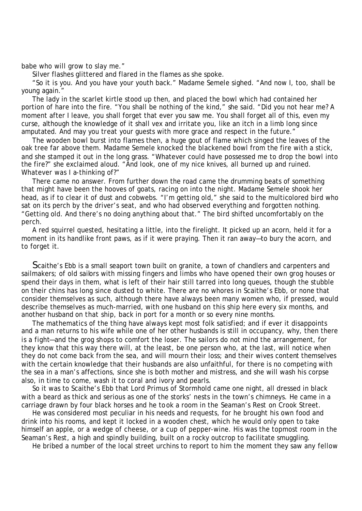babe who will grow to slay me."

Silver flashes glittered and flared in the flames as she spoke.

"So it *is* you. And you have your youth back." Madame Semele sighed. "And now I, too, shall be young again."

The lady in the scarlet kirtle stood up then, and placed the bowl which had contained her portion of hare into the fire. "You shall be nothing of the kind," she said. "Did you not hear me? A moment after I leave, you shall forget that ever you saw me. You shall forget all of this, even my curse, although the knowledge of it shall vex and irritate you, like an itch in a limb long since amputated. And may you treat your guests with more grace and respect in the future."

The wooden bowl burst into flames then, a huge gout of flame which singed the leaves of the oak tree far above them. Madame Semele knocked the blackened bowl from the fire with a stick, and she stamped it out in the long grass. "Whatever could have possessed me to drop the bowl into the fire?" she exclaimed aloud. "And look, one of my nice knives, all burned up and ruined. Whatever was I a-thinking of?"

There came no answer. From further down the road came the drumming beats of something that might have been the hooves of goats, racing on into the night. Madame Semele shook her head, as if to clear it of dust and cobwebs. "I'm getting old," she said to the multicolored bird who sat on its perch by the driver's seat, and who had observed everything and forgotten nothing. "Getting old. And there's no doing anything about that." The bird shifted uncomfortably on the perch.

A red squirrel quested, hesitating a little, into the firelight. It picked up an acorn, held it for a moment in its handlike front paws, as if it were praying. Then it ran away—to bury the acorn, and to forget it.

Scaithe's Ebb is a small seaport town built on granite, a town of chandlers and carpenters and sailmakers; of old sailors with missing fingers and limbs who have opened their own grog houses or spend their days in them, what is left of their hair still tarred into long queues, though the stubble on their chins has long since dusted to white. There are no whores in Scaithe's Ebb, or none that consider themselves as such, although there have always been many women who, if pressed, would describe themselves as much-married, with one husband on *this* ship here every six months, and another husband on *that* ship, back in port for a month or so every nine months.

The mathematics of the thing have always kept most folk satisfied; and if ever it disappoints and a man returns to his wife while one of her other husbands is still in occupancy, why, then there is a fight—and the grog shops to comfort the loser. The sailors do not mind the arrangement, for they know that this way there will, at the least, be one person who, at the last, will notice when they do not come back from the sea, and will mourn their loss; and their wives content themselves with the certain knowledge that their husbands are also unfaithful, for there is no competing with the sea in a man's affections, since she is both mother and mistress, and she will wash his corpse also, in time to come, wash it to coral and ivory and pearls.

So it was to Scaithe's Ebb that Lord Primus of Stormhold came one night, all dressed in black with a beard as thick and serious as one of the storks' nests in the town's chimneys. He came in a carriage drawn by four black horses and he took a room in the *Seaman's Rest* on Crook Street.

He was considered most peculiar in his needs and requests, for he brought his own food and drink into his rooms, and kept it locked in a wooden chest, which he would only open to take himself an apple, or a wedge of cheese, or a cup of pepper-wine. His was the topmost room in the *Seaman's Rest,* a high and spindly building, built on a rocky outcrop to facilitate smuggling.

He bribed a number of the local street urchins to report to him the moment they saw any fellow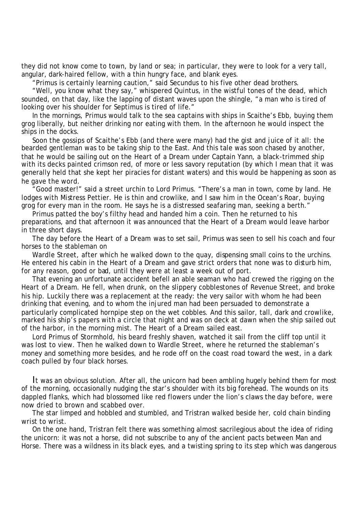they did not know come to town, by land or sea; in particular, they were to look for a very tall, angular, dark-haired fellow, with a thin hungry face, and blank eyes.

"Primus is certainly learning caution," said Secundus to his five other dead brothers.

"Well, you know what they say," whispered Quintus, in the wistful tones of the dead, which sounded, on that day, like the lapping of distant waves upon the shingle, "a man who is tired of looking over his shoulder for Septimus is tired of life."

In the mornings, Primus would talk to the sea captains with ships in Scaithe's Ebb, buying them grog liberally, but neither drinking nor eating with them. In the afternoon he would inspect the ships in the docks.

Soon the gossips of Scaithe's Ebb (and there were many) had the gist and juice of it all: the bearded gentleman was to be taking ship to the East. And this tale was soon chased by another, that he would be sailing out on the *Heart of a Dream* under Captain Yann, a black-trimmed ship with its decks painted crimson red, of more or less savory reputation (by which I mean that it was generally held that she kept her piracies for distant waters) and this would be happening as soon as he gave the word.

"Good master!" said a street urchin to Lord Primus. "There's a man in town, come by land. He lodges with Mistress Pettier. He is thin and crowlike, and I saw him in the *Ocean's Roar,* buying grog for every man in the room. He says he is a distressed seafaring man, seeking a berth."

Primus patted the boy's filthy head and handed him a coin. Then he returned to his preparations, and that afternoon it was announced that the *Heart of a Dream* would leave harbor in three short days.

The day before the *Heart of a Dream* was to set sail, Primus was seen to sell his coach and four horses to the stableman on

Wardle Street, after which he walked down to the quay, dispensing small coins to the urchins. He entered his cabin in the *Heart of a Dream* and gave strict orders that none was to disturb him, for any reason, good or bad, until they were at least a week out of port.

That evening an unfortunate accident befell an able seaman who had crewed the rigging on the *Heart of a Dream.* He fell, when drunk, on the slippery cobblestones of Revenue Street, and broke his hip. Luckily there was a replacement at the ready: the very sailor with whom he had been drinking that evening, and to whom the injured man had been persuaded to demonstrate a particularly complicated hornpipe step on the wet cobbles. And this sailor, tall, dark and crowlike, marked his ship's papers with a circle that night and was on deck at dawn when the ship sailed out of the harbor, in the morning mist. The *Heart of a Dream* sailed east.

Lord Primus of Stormhold, his beard freshly shaven, watched it sail from the cliff top until it was lost to view. Then he walked down to Wardle Street, where he returned the stableman's money and something more besides, and he rode off on the coast road toward the west, in a dark coach pulled by four black horses.

It was an obvious solution. After all, the unicorn had been ambling hugely behind them for most of the morning, occasionally nudging the star's shoulder with its big forehead. The wounds on its dappled flanks, which had blossomed like red flowers under the lion's claws the day before, were now dried to brown and scabbed over.

The star limped and hobbled and stumbled, and Tristran walked beside her, cold chain binding wrist to wrist.

On the one hand, Tristran felt there was something almost sacrilegious about the idea of riding the unicorn: it was not a horse, did not subscribe to any of the ancient pacts between Man and Horse. There was a wildness in its black eyes, and a twisting spring to its step which was dangerous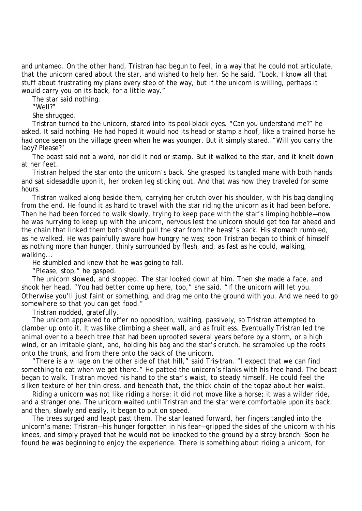and untamed. On the other hand, Tristran had begun to feel, in a way that he could not articulate, that the unicorn cared about the star, and wished to help her. So he said, "Look, I know all that stuff about frustrating my plans every step of the way, but if the unicorn is willing, perhaps it would carry you on its back, for a little way."

The star said nothing.

"Well?"

She shrugged.

Tristran turned to the unicorn, stared into its pool-black eyes. "Can you understand me?" he asked. It said nothing. He had hoped it would nod its head or stamp a hoof, like a trained horse he had once seen on the village green when he was younger. But it simply stared. "Will you carry the lady? Please?"

The beast said not a word, nor did it nod or stamp. But it walked to the star, and it knelt down at her feet.

Tristran helped the star onto the unicorn's back. She grasped its tangled mane with both hands and sat sidesaddle upon it, her broken leg sticking out. And that was how they traveled for some hours.

Tristran walked along beside them, carrying her crutch over his shoulder, with his bag dangling from the end. He found it as hard to travel with the star riding the unicorn as it had been before. Then he had been forced to walk slowly, trying to keep pace with the star's limping hobble—now he was hurrying to keep up with the unicorn, nervous lest the unicorn should get too far ahead and the chain that linked them both should pull the star from the beast's back. His stomach rumbled, as he walked. He was painfully aware how hungry he was; soon Tristran began to think of himself as nothing more than hunger, thinly surrounded by flesh, and, as fast as he could, walking, walking...

He stumbled and knew that he was going to fall.

"Please, stop," he gasped.

The unicorn slowed, and stopped. The star looked down at him. Then she made a face, and shook her head. "You had better come up here, too," she said. "If the unicorn will let you. Otherwise you'll just faint or something, and drag me onto the ground with you. And we need to go somewhere so that you can get food."

Tristran nodded, gratefully.

The unicorn appeared to offer no opposition, waiting, passively, so Tristran attempted to clamber up onto it. It was like climbing a sheer wall, and as fruitless. Eventually Tristran led the animal over to a beech tree that had been uprooted several years before by a storm, or a high wind, or an irritable giant, and, holding his bag and the star's crutch, he scrambled up the roots onto the trunk, and from there onto the back of the unicorn.

"There is a village on the other side of that hill," said Tris-tran. "I expect that we can find something to eat when we get there." He patted the unicorn's flanks with his free hand. The beast began to walk. Tristran moved his hand to the star's waist, to steady himself. He could feel the silken texture of her thin dress, and beneath that, the thick chain of the topaz about her waist.

Riding a unicorn was not like riding a horse: it did not move like a horse; it was a wilder ride, and a stranger one. The unicorn waited until Tristran and the star were comfortable upon its back, and then, slowly and easily, it began to put on speed.

The trees surged and leapt past them. The star leaned forward, her fingers tangled into the unicorn's mane; Tristran—his hunger forgotten in his fear—gripped the sides of the unicorn with his knees, and simply prayed that he would not be knocked to the ground by a stray branch. Soon he found he was beginning to enjoy the experience. There is something about riding a unicorn, for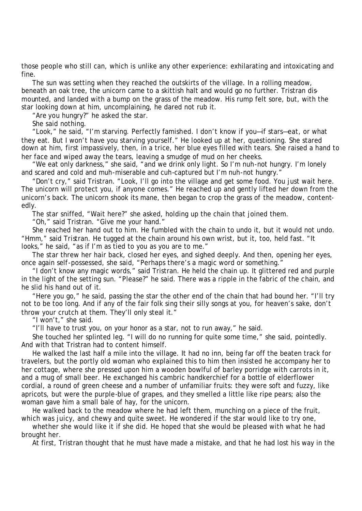those people who still can, which is unlike any other experience: exhilarating and intoxicating and fine.

The sun was setting when they reached the outskirts of the village. In a rolling meadow, beneath an oak tree, the unicorn came to a skittish halt and would go no further. Tristran dismounted, and landed with a bump on the grass of the meadow. His rump felt sore, but, with the star looking down at him, uncomplaining, he dared not rub it.

"Are *you* hungry?" he asked the star.

She said nothing.

"Look," he said, "I'm starving. Perfectly famished. I don't know if you—if stars—eat, or *what*  they eat. But I won't have you starving yourself." He looked up at her, questioning. She stared down at him, first impassively, then, in a trice, her blue eyes filled with tears. She raised a hand to her face and wiped away the tears, leaving a smudge of mud on her cheeks.

"We eat only darkness," she said, "and we drink only light. So I'm nuh-not hungry. I'm lonely and scared and cold and muh-miserable and cuh-captured but I'm nuh-not hungry."

"Don't cry," said Tristran. "Look, I'll go into the village and get some food. You just wait here. The unicorn will protect you, if anyone comes." He reached up and gently lifted her down from the unicorn's back. The unicorn shook its mane, then began to crop the grass of the meadow, contentedly.

The star sniffed, "Wait here?" she asked, holding up the chain that joined them.

"Oh," said Tristran. "Give me your hand."

She reached her hand out to him. He fumbled with the chain to undo it, but it would not undo. "Hmm," said Tristran. He tugged at the chain around his own wrist, but it, too, held fast. "It looks," he said, "as if I'm as tied to you as you are to me."

The star threw her hair back, closed her eyes, and sighed deeply. And then, opening her eyes, once again self-possessed, she said, "Perhaps there's a magic word or something."

"I don't know any magic words," said Tristran. He held the chain up. It glittered red and purple in the light of the setting sun. "Please?" he said. There was a ripple in the fabric of the chain, and he slid his hand out of it.

"Here you go," he said, passing the star the other end of the chain that had bound her. "I'll try not to be too long. And if any of the fair folk sing their silly songs at you, for heaven's sake, don't throw your crutch at them. They'll only steal it."

"I won't," she said.

"I'll have to trust you, on your honor as a star, not to run away," he said.

She touched her splinted leg. "I will do no running for quite some time," she said, pointedly. And with that Tristran had to content himself.

He walked the last half a mile into the village. It had no inn, being far off the beaten track for travelers, but the portly old woman who explained this to him then insisted he accompany her to her cottage, where she pressed upon him a wooden bowlful of barley porridge with carrots in it, and a mug of small beer. He exchanged his cambric handkerchief for a bottle of elderflower cordial, a round of green cheese and a number of unfamiliar fruits: they were soft and fuzzy, like apricots, but were the purple-blue of grapes, and they smelled a little like ripe pears; also the woman gave him a small bale of hay, for the unicorn.

He walked back to the meadow where he had left them, munching on a piece of the fruit, which was juicy, and chewy and quite sweet. He wondered if the star would like to try one,

whether she would like it if she did. He hoped that she would be pleased with what he had brought her.

At first, Tristran thought that he must have made a mistake, and that he had lost his way in the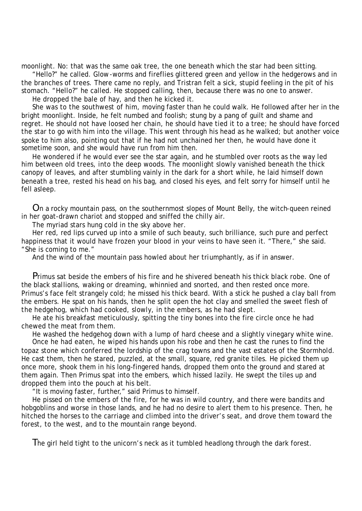moonlight. No: that was the same oak tree, the one beneath which the star had been sitting.

"Hello?" he called. Glow-worms and fireflies glittered green and yellow in the hedgerows and in the branches of trees. There came no reply, and Tristran felt a sick, stupid feeling in the pit of his stomach. "Hello?" he called. He stopped calling, then, because there was no one to answer.

He dropped the bale of hay, and then he kicked it.

She was to the southwest of him, moving faster than he could walk. He followed after her in the bright moonlight. Inside, he felt numbed and foolish; stung by a pang of guilt and shame and regret. He should not have loosed her chain, he should have tied it to a tree; he should have forced the star to go with him into the village. This went through his head as he walked; but another voice spoke to him also, pointing out that if he had not unchained her then, he would have done it sometime soon, and she would have run from him then.

He wondered if he would ever see the star again, and he stumbled over roots as the way led him between old trees, into the deep woods. The moonlight slowly vanished beneath the thick canopy of leaves, and after stumbling vainly in the dark for a short while, he laid himself down beneath a tree, rested his head on his bag, and closed his eyes, and felt sorry for himself until he fell asleep.

On *a* rocky mountain pass, on the southernmost slopes of Mount Belly, the witch-queen reined in her goat-drawn chariot and stopped and sniffed the chilly air.

*The* myriad stars hung cold in the sky above her.

Her red, red lips curved up into a smile of such beauty, such brilliance, such pure and perfect happiness that it would have frozen your blood in your veins to have seen it. "There," she said. "She is coming to me."

And the wind of the mountain pass howled about her triumphantly, as if in answer.

Primus sat beside the embers of his fire and he shivered beneath his thick black robe. One of the black stallions, waking or dreaming, whinnied and snorted, and then rested once more. Primus's face felt strangely cold; he missed his thick beard. With a stick he pushed a clay ball from the embers. He spat on his hands, then he split open the hot clay and smelled the sweet flesh of the hedgehog, which had cooked, slowly, in the embers, as he had slept.

He ate his breakfast meticulously, spitting the tiny bones into the fire circle once he had chewed the meat from them.

He washed the hedgehog down with a lump of hard cheese and a slightly vinegary white wine.

Once he had eaten, he wiped his hands upon his robe and then he cast the runes to find the topaz stone which conferred the lordship of the crag towns and the vast estates of the Stormhold. He cast them, then he stared, puzzled, at the small, square, red granite tiles. He picked them up once more, shook them in his long-fingered hands, dropped them onto the ground and stared at them again. Then Primus spat into the embers, which hissed lazily. He swept the tiles up and dropped them into the pouch at his belt.

"It is moving faster, further," said Primus to himself.

He pissed on the embers of the fire, for he was in wild country, and there were bandits and hobgoblins and worse in those lands, and he had no desire to alert them to his presence. Then, he hitched the horses to the carriage and climbed into the driver's seat, and drove them toward the forest, to the west, and to the mountain range beyond.

The girl held tight to the unicorn's neck as it tumbled headlong through the dark forest.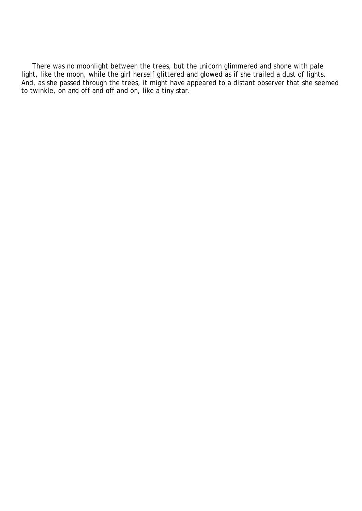There was no moonlight between the trees, but the unicorn glimmered and shone with pale light, like the moon, while the girl herself glittered and glowed as if she trailed a dust of lights. And, as she passed through the trees, it might have appeared to a distant observer that she seemed to twinkle, on and off and off and on, like a tiny star.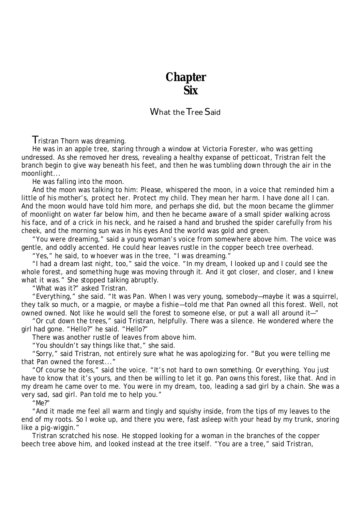# *Chapter Six*

What the Tree Said

I ristran Thorn was dreaming.

He was in an apple tree, staring through a window at Victoria Forester, who was getting undressed. As she removed her dress, revealing a healthy expanse of petticoat, Tristran felt the branch begin to give way beneath his feet, and then he was tumbling down through the air in the moonlight...

He was falling into the moon.

And the moon was talking to him: *Please,* whispered the moon, in a voice that reminded him a little of his mother's, *protect her. Protect my child. They mean her harm. I have done all I can.*  And the moon would have told him more, and perhaps she did, but the moon became the glimmer of moonlight on water far below him, and then he became aware of a small spider walking across his face, and of a crick in his neck, and he raised a hand and brushed the spider carefully from his cheek, and the morning sun was in his eyes *And* the world was gold and green.

"You were dreaming," said a young woman's voice from somewhere above him. The voice was gentle, and oddly accented. He could hear leaves rustle in the copper beech tree overhead.

"Yes," he said, to whoever was in the tree, "I was dreaming."

"I had a dream last night, too," said the voice. "In my dream, I looked up and I could see the whole forest, and something huge was moving through it. And it got closer, and closer, and I knew what it was." She stopped talking abruptly.

"What was it?" asked Tristran.

"Everything," she said. "It was Pan. When I was very young, somebody—maybe it was a squirrel, they talk so much, or a magpie, or maybe a fishie—told me that Pan owned all this forest. Well, not *owned* owned. Not like he would sell the forest to someone else, or put a wall all around it—"

"Or cut down the trees," said Tristran, helpfully. There was a silence. He wondered where the girl had gone. "Hello?" he said. "Hello?"

There was another rustle of leaves from above him.

"You shouldn't say things like that," she said.

"Sorry," said Tristran, not entirely sure what he was apologizing for. "But you were telling me that Pan owned the forest..."

"Of course he does," said the voice. "It's not hard to own something. Or everything. You just have to know that it's yours, and then be willing to let it go. Pan owns this forest, like that. And in my dream he came over to me. You were in my dream, too, leading a sad girl by a chain. She was a very sad, sad girl. Pan told me to help you."

"Me?"

"And it made me feel all warm and tingly and squishy inside, from the tips of my leaves to the end of my roots. So I woke up, and there you were, fast asleep with your head by my trunk, snoring like a pig-wiggin."

Tristran scratched his nose. He stopped looking for a woman in the branches of the copper beech tree above him, and looked instead at the tree itself. "You are a tree," said Tristran,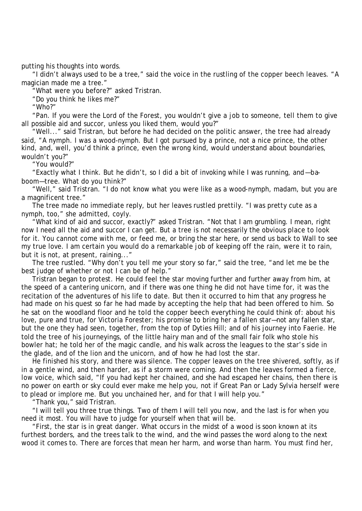putting his thoughts into words.

"I didn't always used to be a tree," said the voice in the rustling of the copper beech leaves. "A magician made me a tree."

"What were you before?" asked Tristran.

"Do you think he likes me?"

"Who?"

"Pan. If you were the Lord of the Forest, you wouldn't give a job to someone, tell them to give all possible aid and succor, unless you liked them, would you?"

"Well..." said Tristran, but before he had decided on the politic answer, the tree had already said, "A nymph. I was a wood-nymph. But I got pursued by a prince, not a nice prince, the other kind, and, well, you'd think a prince, even the wrong kind, would understand about boundaries, wouldn't you?"

"You would?"

"Exactly what I think. But he didn't, so I did a bit of invoking while I was running, and—*baboom—*tree. What do you think?"

"Well," said Tristran. "I do not know what you were like as a wood-nymph, madam, but you are a magnificent tree."

The tree made no immediate reply, but her leaves rustled prettily. "I was pretty cute as a nymph, too," she admitted, coyly.

"What kind of aid and succor, exactly?" asked Tristran. "Not that I am grumbling. I mean, right now I need all the aid and succor I can get. But a tree is not necessarily the obvious place to look for it. You cannot come with me, or feed me, or bring the star here, or send us back to Wall to see my true love. I am certain you would do a remarkable job of keeping off the rain, were it to rain, but it is not, at present, raining..."

The tree rustled. "Why don't you tell me your story so far," said the tree, "and let me be the best judge of whether or not I can be of help."

Tristran began to protest. He could feel the star moving further and further away from him, at the speed of a cantering unicorn, and if there was one thing he did not have time for, it was the recitation of the adventures of his life to date. But then it occurred to him that any progress he had made on his quest so far he had made by accepting the help that had been offered to him. So he sat on the woodland floor and he told the copper beech everything he could think of: about his love, pure and true, for Victoria Forester; his promise to bring her a fallen star—not any fallen star, but the one they had seen, together, from the top of Dyties Hill; and of his journey into Faerie. He told the tree of his journeyings, of the little hairy man and of the small fair folk who stole his bowler hat; he told her of the magic candle, and his walk across the leagues to the star's side in the glade, and of the lion and the unicorn, and of how he had lost the star.

He finished his story, and there was silence. The copper leaves on the tree shivered, softly, as if in a gentle wind, and then harder, as if a storm were coming. And then the leaves formed a fierce, low voice, which said, "If you had kept her chained, and she had escaped her chains, then there is no power on earth or sky could ever make me help you, not if Great Pan or Lady Sylvia herself were to plead or implore me. But you unchained her, and for that I will help you."

"Thank you," said Tristran.

"I will tell you three true things. Two of them I will tell you now, and the last is for when you need it most. You will have to judge for yourself when that will be.

"First, the star is in great danger. What occurs in the midst of a wood is soon known at its furthest borders, and the trees talk to the wind, and the wind passes the word along to the next wood it comes to. There are forces that mean her harm, and worse than harm. You must find her,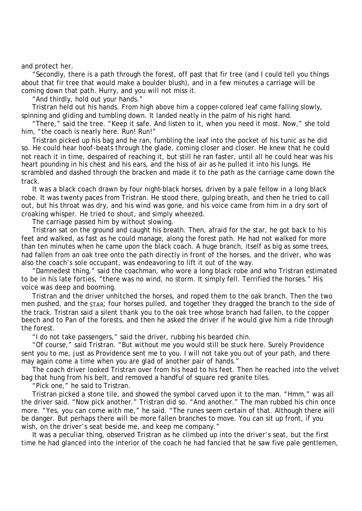and protect her.

"Secondly, there is a path through the forest, off past that fir tree (and I could tell you things about that fir tree that would make a boulder blush), and in a few minutes a carriage will be coming down that path. Hurry, and you will not miss it.

"And thirdly, hold out your hands."

Tristran held out his hands. From high above him a copper-colored leaf came falling slowly, spinning and gliding and tumbling down. It landed neatly in the palm of his right hand.

"There," said the tree. "Keep it safe. And listen to it, when you need it most. Now," she told him, "the coach is nearly here. Run! Run!"

Tristran picked up his bag and he ran, fumbling the leaf into the pocket of his tunic as he did so. He could hear hoof-beats through the glade, coming closer and closer. He knew that he could not reach it in time, despaired of reaching it, but still he ran faster, until all he could hear was his heart pounding in his chest and his ears, and the hiss of air as he pulled it into his lungs. He scrambled and dashed through the bracken and made it to the path as the carriage came down the track.

It was a black coach drawn by four night-black horses, driven by a pale fellow in a long black robe. It was twenty paces from Tristran. He stood there, gulping breath, and then he tried to call out, but his throat was dry, and his wind was gone, and his voice came from him in a dry sort of croaking whisper. He tried to shout, and simply wheezed.

The carriage passed him by without slowing.

Tristran sat on the ground and caught his breath. Then, afraid for the star, he got back to his feet and walked, as fast as he could manage, along the forest path. He had not walked for more than ten minutes when he came upon the black coach. A huge branch, itself as big as some trees, had fallen from an oak tree onto the path directly in front of the horses, and the driver, who was also the coach's sole occupant, was endeavoring to lift it out of the way.

"Damnedest thing," said the coachman, who wore a long black robe and who Tristran estimated to be in his late forties, "there was no wind, no storm. It simply fell. Terrified the horses." His voice was deep and booming.

Tristran and the driver unhitched the horses, and roped them to the oak branch. Then the two men pushed, and the STAR; four horses pulled, and together they dragged the branch to the side of the track. Tristran said a silent *thank you* to the oak tree whose branch had fallen, to the copper beech and to Pan of the forests, and then he asked the driver if he would give him a ride through the forest.

"I do not take passengers," said the driver, rubbing his bearded chin.

"Of course," said Tristran. "But without me you would still be stuck here. Surely Providence sent you to me, just as Providence sent me to you. I will not take you out of your path, and there may again come a time when you are glad of another pair of hands."

The coach driver looked Tristran over from his head to his feet. Then he reached into the velvet bag that hung from his belt, and removed a handful of square red granite tiles.

"Pick one," he said to Tristran.

Tristran picked a stone tile, and showed the symbol carved upon it to the man. "Hmm," was all the driver said. "Now pick another." Tristran did so. "And another." The man rubbed his chin once more. "Yes, you can come with me," he said. "The runes seem certain of that. Although there will be danger. But perhaps there *will* be more fallen branches to move. You can sit up front, if you wish, on the driver's seat beside me, and keep me company."

It was a peculiar thing, observed Tristran as he climbed up into the driver's seat, but the first time he had glanced into the interior of the coach he had fancied that he saw five pale gentlemen,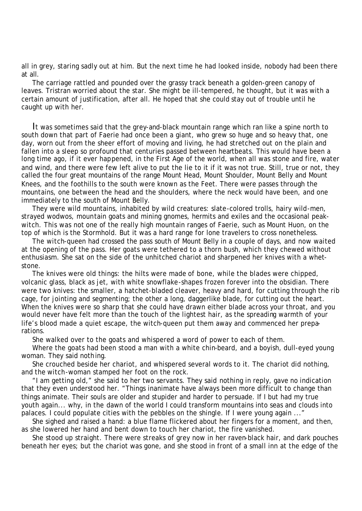all in grey, staring sadly out at him. But the next time he had looked inside, nobody had been there at all.

The carriage rattled and pounded over the grassy track beneath a golden-green canopy of leaves. Tristran worried about the star. She might be ill-tempered, he thought, but it was with a certain amount of justification, after all. He hoped that she could stay out of trouble until he caught up with her.

It was sometimes said that the grey-and-black mountain range which ran like a spine north to south down that part of Faerie had once been a giant, who grew so huge and so heavy that, one day, worn out from the sheer effort of moving and living, he had stretched out on the plain and fallen into a sleep so profound that centuries passed between heartbeats. This would have been a long time ago, if it ever happened, in the First Age of the world, when all was stone and fire, water and wind, and there were few left alive to put the lie to it if it was not true. Still, true or not, they called the four great mountains of the range Mount Head, Mount Shoulder, Mount Belly and Mount Knees, and the foothills to the south were known as the Feet. There were passes through the mountains, one between the head and the shoulders, where the neck would have been, and one immediately to the south of Mount Belly.

They were wild mountains, inhabited by wild creatures: slate-colored trolls, hairy wild-men, strayed wodwos, mountain goats and mining gnomes, hermits and exiles and the occasional peakwitch. This was not one of the really high mountain ranges of Faerie, such as Mount Huon, on the top of which is the Stormhold. But it was a hard range for lone travelers to cross nonetheless.

The witch-queen had crossed the pass south of Mount Belly in a couple of days, and now waited at the opening of the pass. Her goats were tethered to a thorn bush, which they chewed without enthusiasm. She sat on the side of the unhitched chariot and sharpened her knives with a whetstone.

The knives were old things: the hilts were made of bone, while the blades were chipped, volcanic glass, black as jet, with white snowflake-shapes frozen forever into the obsidian. There were two knives: the smaller, a hatchet-bladed cleaver, heavy and hard, for cutting through the rib cage, for jointing and segmenting; the other a long, daggerlike blade, for cutting out the heart. When the knives were so sharp that she could have drawn either blade across your throat, and you would never have felt more than the touch of the lightest hair, as the spreading warmth of your life's blood made a quiet escape, the witch-queen put them away and commenced her preparations.

She walked over to the goats and whispered a word of power to each of them.

Where the goats had been stood a man with a white chin-beard, and a boyish, dull-eyed young woman. They said nothing.

She crouched beside her chariot, and whispered several words to it. The chariot did nothing, and the witch-woman stamped her foot on the rock.

"I am getting old," she said to her two servants. They said nothing in reply, gave no indication that they even understood her. "Things inanimate have always been more difficult to change than things animate. Their souls are older and stupider and harder to persuade. If I but had my true youth again... why, in the dawn of the world I could transform mountains into seas and clouds into palaces. I could populate cities with the pebbles on the shingle. If I were young again ..."

She sighed and raised a hand: a blue flame flickered about her fingers for a moment, and then, as she lowered her hand and bent down to touch her chariot, the fire vanished.

She stood up straight. There were streaks of grey now in her raven-black hair, and dark pouches beneath her eyes; but the chariot was gone, and she stood in front of a small inn at the edge of the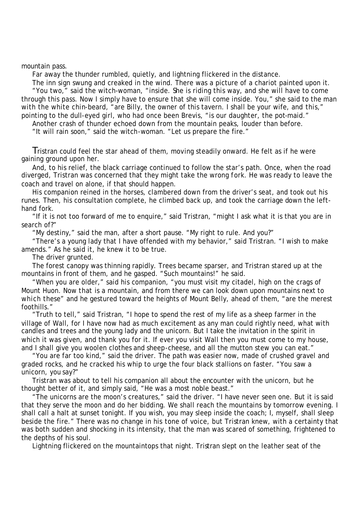mountain pass.

Far away the thunder rumbled, quietly, and lightning flickered in the distance.

The inn sign swung and creaked in the wind. There was a picture of a chariot painted upon it. "You two," said the witch-woman, "inside. She is riding this way, and she will have to come through this pass. Now I simply have to ensure that she will come inside. *You,"* she said to the man with the white chin-beard, "are Billy, the owner of this tavern. I shall be your wife, and *this,"*  pointing to the dull-eyed girl, who had once been Brevis, "is our daughter, the pot-maid."

Another crash of thunder echoed down from the mountain peaks, louder than before.

"It will rain soon," said the witch-woman. "Let us prepare the fire."

Tristran could feel the star ahead of them, moving steadily onward. He felt as if he were gaining ground upon her.

And, to his relief, the black carriage continued to follow the star's path. Once, when the road diverged, Tristran was concerned that they might take the wrong fork. He was ready to leave the coach and travel on alone, if that should happen.

His companion reined in the horses, clambered down from the driver's seat, and took out his runes. Then, his consultation complete, he climbed back up, and took the carriage down the lefthand fork.

"If it is not too forward of me to enquire," said Tristran, "might I ask what it is that you are in search of?"

"My destiny," said the man, after a short pause. "My right to rule. And you?"

"There's a young lady that I have offended with my behavior," said Tristran. "I wish to make amends." As he said it, he knew it to be true.

The driver grunted.

The forest canopy was thinning rapidly. Trees became sparser, and Tristran stared up at the mountains in front of them, and he gasped. "Such mountains!" he said.

"When you are older," said his companion, "you must visit my citadel, high on the crags of Mount Huon. Now *that* is a mountain, and from there we can look down upon mountains next to which *these"* and he gestured toward the heights of Mount Belly, ahead of them, "are the merest foothills."

"Truth to tell," said Tristran, "I hope to spend the rest of my life as a sheep farmer in the village of Wall, for I have now had as much excitement as any man could rightly need, what with candles and trees and the young lady and the unicorn. But I take the invitation in the spirit in which it was given, and thank you for it. If ever you visit Wall then you must come to my house, and I shall give you woolen clothes and sheep-cheese, and all the mutton stew you can eat."

"You are far too kind," said the driver. The path was easier now, made of crushed gravel and graded rocks, and he cracked his whip to urge the four black stallions on faster. "You saw a unicorn, you say?"

Tristran was about to tell his companion all about the encounter with the unicorn, but he thought better of it, and simply said, "He was a most noble beast."

"The unicorns are the moon's creatures," said the driver. "I have never seen one. But it is said that they serve the moon and do her bidding. We shall reach the mountains by tomorrow evening. I shall call a halt at sunset tonight. If you wish, you may sleep inside the coach; I, myself, shall sleep beside the fire." There was no change in his tone of voice, but Tristran knew, with a certainty that was both sudden and shocking in its intensity, that the man was scared of something, frightened to the depths of his soul.

Lightning flickered on the mountaintops that night. Tristran slept on the leather seat of the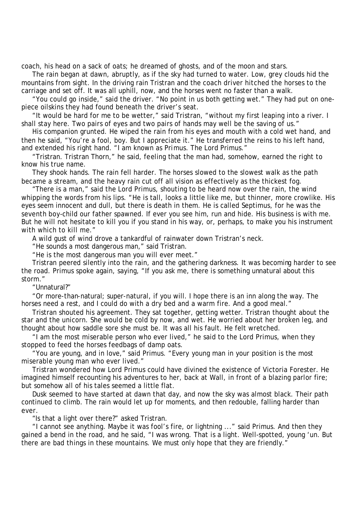coach, his head on a sack of oats; he dreamed of ghosts, and of the moon and stars.

The rain began at dawn, abruptly, as if the sky had turned to water. Low, grey clouds hid the mountains from sight. In the driving rain Tristran and the coach driver hitched the horses to the carriage and set off. It was all uphill, now, and the horses went no faster than a walk.

"You could go inside," said the driver. "No point in us both getting wet." They had put on onepiece oilskins they had found beneath the driver's seat.

"It would be hard for me to be wetter," said Tristran, "without my first leaping into a river. I shall stay here. Two pairs of eyes and two pairs of hands may well be the saving of us."

His companion grunted. He wiped the rain from his eyes and mouth with a cold wet hand, and then he said, "You're a fool, boy. But I appreciate it." He transferred the reins to his left hand, and extended his right hand. "I am known as Primus. The Lord Primus."

"Tristran. Tristran Thorn," he said, feeling that the man had, somehow, earned the right to know his true name.

They shook hands. The rain fell harder. The horses slowed to the slowest walk as the path became a stream, and the heavy rain cut off all vision as effectively as the thickest fog.

"There is a man," said the Lord Primus, shouting to be heard now over the rain, the wind whipping the words from his lips. "He is tall, looks a little like me, but thinner, more crowlike. His eyes seem innocent and dull, but there is death in them. He is called Septimus, for he was the seventh boy-child our father spawned. If ever you see him, run and hide. His business is with me. But he will not hesitate to kill you if you stand in his way, or, perhaps, to make you his instrument with which to kill me."

A wild gust of wind drove a tankardful of rainwater down Tristran's neck.

"He sounds a most dangerous man," said Tristran.

"He is the most dangerous man you will ever meet."

Tristran peered silently into the rain, and the gathering darkness. It was becoming harder to see the road. Primus spoke again, saying, "If you ask me, there is something unnatural about this storm."

"Unnatural?"

"Or more-than-natural; super-natural, if you will. I hope there is an inn along the way. The horses need a rest, and I could do with a dry bed and a warm fire. And a good meal."

Tristran shouted his agreement. They sat together, getting wetter. Tristran thought about the star and the unicorn. She would be cold by now, and wet. He worried about her broken leg, and thought about how saddle sore she must be. It was all his fault. He felt wretched.

"I am the most miserable person who ever lived," he said to the Lord Primus, when they stopped to feed the horses feedbags of damp oats.

"You are young, and in love," said Primus. "Every young man in your position is the most miserable young man who ever lived."

Tristran wondered how Lord Primus could have divined the existence of Victoria Forester. He imagined himself recounting his adventures to her, back at Wall, in front of a blazing parlor fire; but somehow all of his tales seemed a little flat.

Dusk seemed to have started at dawn that day, and now the sky was almost black. Their path continued to climb. The rain would let up for moments, and then redouble, falling harder than ever.

"Is that a light over there?" asked Tristran.

"I cannot see anything. Maybe it was fool's fire, or lightning ..." said Primus. And then they gained a bend in the road, and he said, "I was wrong. That *is a* light. Well-spotted, young 'un. But there are bad things in these mountains. We must only hope that they are friendly."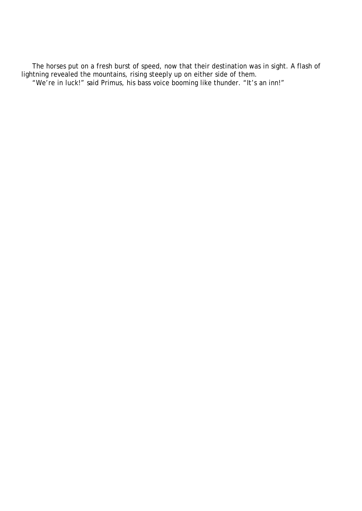The horses put on a fresh burst of speed, now that their destination was in sight. A flash of lightning revealed the mountains, rising steeply up on either side of them. "We're in luck!" said Primus, his bass voice booming like thunder. "It's an inn!"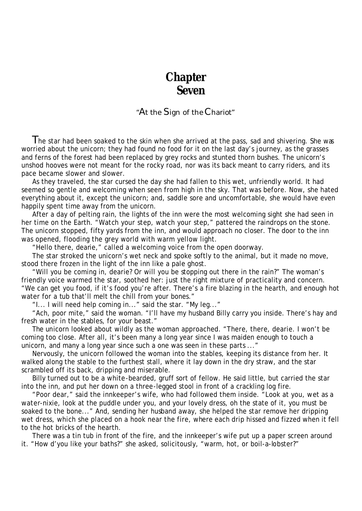### *Chapter Seven*

"At the Sign of the Chariot"

The star had been soaked to the skin when she arrived at the pass, sad and shivering. She was worried about the unicorn; they had found no food for it on the last day's journey, as the grasses and ferns of the forest had been replaced by grey rocks and stunted thorn bushes. The unicorn's unshod hooves were not meant for the rocky road, nor was its back meant to carry riders, and its pace became slower and slower.

As they traveled, the star cursed the day she had fallen to this wet, unfriendly world. It had seemed so gentle and welcoming when seen from high in the sky. That was before. Now, she hated everything about it, except the unicorn; and, saddle sore and uncomfortable, she would have even happily spent time away from the unicorn.

After a day of pelting rain, the lights of the inn were the most welcoming sight she had seen in her time on the Earth. *"Watch your step, watch your step,"* pattered the raindrops on the stone. The unicorn stopped, fifty yards from the inn, and would approach no closer. The door to the inn was opened, flooding the grey world with warm yellow light.

"Hello there, dearie," called a welcoming voice from the open doorway.

The star stroked the unicorn's wet neck and spoke softly to the animal, but it made no move, stood there frozen in the light of the inn like a pale ghost.

"Will you be coming in, dearie? Or will you be stopping out there in the rain?" The woman's friendly voice warmed the star, soothed her: just the right mixture of practicality and concern. "We can get you food, if it's food you're after. There's a fire blazing in the hearth, and enough hot water for a tub that'll melt the chill from your bones."

"I... I will need help coming in..." said the star. "My leg..."

"Ach, poor mite," said the woman. "I'll have my husband Billy carry you inside. There's hay and fresh water in the stables, for your beast."

The unicorn looked about wildly as the woman approached. "There, there, dearie. I won't be coming too close. After all, it's been many a long year since I was maiden enough to touch a unicorn, and many a long year since such a one was seen in *these* parts ..."

Nervously, the unicorn followed the woman into the stables, keeping its distance from her. It walked along the stable to the furthest stall, where it lay down in the dry straw, and the star scrambled off its back, dripping and miserable.

Billy turned out to be a white-bearded, gruff sort of fellow. He said little, but carried the star into the inn, and put her down on a three-legged stool in front of a crackling log fire.

"Poor dear," said the innkeeper's wife, who had followed them inside. "Look at you, wet as a water-nixie, look at the puddle under you, and your lovely dress, oh the state of it, you must be soaked to the bone..." And, sending her husband away, she helped the star remove her dripping wet dress, which she placed on a hook near the fire, where each drip hissed and fizzed when it fell to the hot bricks of the hearth.

There was a tin tub in front of the fire, and the innkeeper's wife put up a paper screen around it. "How d'you like your baths?" she asked, solicitously, "warm, hot, or boil-a-lobster?"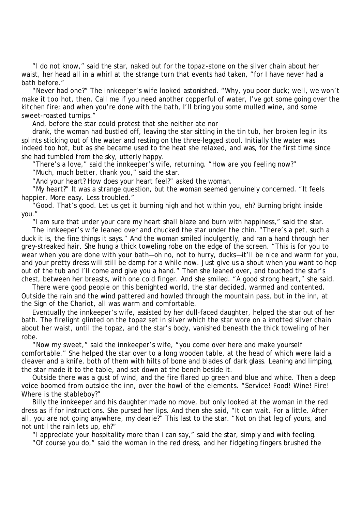"I do not know," said the star, naked but for the topaz -stone on the silver chain about her waist, her head all in a whirl at the strange turn that events had taken, "for I have never had a bath before."

"Never had one?" The innkeeper's wife looked astonished. "Why, you poor duck; well, we won't make it *too* hot, then. Call me if you need another copperful of water, I've got some going over the kitchen fire; and when you're done with the bath, I'll bring you some mulled wine, and some sweet-roasted turnips."

And, before the star could protest that she neither ate nor

drank, the woman had bustled off, leaving the star sitting in the tin tub, her broken leg in its splints sticking out of the water and resting on the three-legged stool. Initially the water was indeed too hot, but as she became used to the heat she relaxed, and was, for the first time since she had tumbled from the sky, utterly happy.

"There's a love," said the innkeeper's wife, returning. "How are you feeling now?"

"Much, much better, thank you," said the star.

"And your heart? How does your heart feel?" asked the woman.

"My heart?" It was a strange question, but the woman seemed genuinely concerned. "It feels happier. More easy. Less troubled."

"Good. That's good. Let us get it burning high and hot within you, eh? Burning bright inside you."

"I am sure that under your care my heart shall blaze and burn with happiness," said the star.

The innkeeper's wife leaned over and chucked the star under the chin. "There's a pet, such a duck it is, the fine things it says." And the woman smiled indulgently, and ran a hand through her grey-streaked hair. She hung a thick toweling robe on the edge of the screen. "This is for you to wear when you are done with your bath—oh no, not to hurry, ducks—it'll be nice and warm for you, and your pretty dress will still be damp for a while now. Just give us a shout when you want to hop out of the tub and I'll come and give you a hand." Then she leaned over, and touched the star's chest, between her breasts, with one cold finger. And she smiled. "A good strong heart," she said.

There *were* good people on this benighted world, the star decided, warmed and contented. Outside the rain and the wind pattered and howled through the mountain pass, but in the inn, at the Sign of the Chariot, all was warm and comfortable.

Eventually the innkeeper's wife, assisted by her dull-faced daughter, helped the star out of her bath. The firelight glinted on the topaz set in silver which the star wore on a knotted silver chain about her waist, until the topaz, and the star's body, vanished beneath the thick toweling of her robe.

"Now my sweet," said the innkeeper's wife, "you come over here and make yourself comfortable." She helped the star over to a long wooden table, at the head of which were laid a cleaver and a knife, both of them with hilts of bone and blades of dark glass. Leaning and limping, the star made it to the table, and sat down at the bench beside it.

Outside there was a gust of wind, and the fire flared up green and blue and white. Then a deep voice boomed from outside the inn, over the howl of the elements. "Service! Food! Wine! Fire! Where is the stableboy?"

Billy the innkeeper and his daughter made no move, but only looked at the woman in the red dress as if for instructions. She pursed her lips. And then she said, "It can wait. For a little. After all, you are not going anywhere, my dearie?" This last to the star. "Not on that leg of yours, and not until the rain lets up, eh?"

"I appreciate your hospitality more than I can say," said the star, simply and with feeling.

"Of course you do," said the woman in the red dress, and her fidgeting fingers brushed the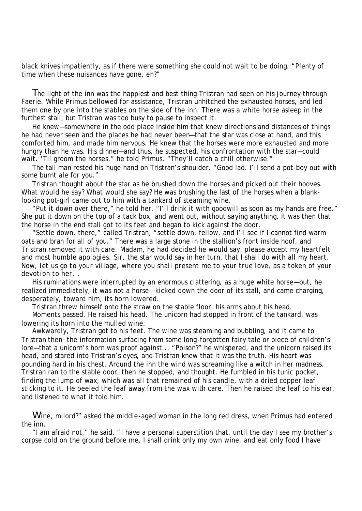black knives impatiently, as if there were something she could not wait to be doing. "Plenty of time when these nuisances have gone, eh?"

The light of the inn was the happiest and best thing Tristran had seen on his journey through Faerie. While Primus bellowed for assistance, Tristran unhitched the exhausted horses, and led them one by one into the stables on the side of the inn. There was a white horse asleep in the furthest stall, but Tristran was too busy to pause to inspect it.

He knew—somewhere in the odd place inside him that knew directions and distances of things he had never seen and the places he had never been—that the star was close at hand, and this comforted him, and made him nervous. He knew that the horses were more exhausted and more hungry than he was. His dinner—and thus, he suspected, his confrontation with the star—could wait. 'Til groom the horses," he told Primus. "They'll catch a chill otherwise."

The tall man rested his huge hand on Tristran's shoulder. "Good lad. *I'll* send a pot-boy out with some burnt ale for you."

Tristran thought about the star as he brushed down the horses and picked out their hooves. What would he say? What would *she* say? He was brushing the last of the horses when a blanklooking pot-girl came out to him with a tankard of steaming wine.

"Put it down over there," he told her. "I'll drink it with goodwill as soon as my hands are free." She put it down on the top of a tack box, and went out, without saying anything. It was then that the horse in the end stall got to its feet and began to kick against the door.

"Settle down, there," called Tristran, "settle down, fellow, and I'll see if I cannot find warm oats and bran for all of you." There was a large stone in the stallion's front inside hoof, and Tristran removed it with care. *Madam,* he had decided he would say, *please accept my heartfelt and most humble apologies. Sir,* the star would say in her turn, *that I shall do with all my heart. Now, let us go to your village, where you shall present me to your true love, as a token of your devotion to her...*

His ruminations were interrupted by an enormous clattering, as a huge white horse—but, he realized immediately, it was not a horse—kicked down the door of its stall, and came charging, desperately, toward him, its horn lowered.

Tristran threw himself onto the straw on the stable floor, his arms about his head.

Moments passed. He raised his head. The unicorn had stopped in front of the tankard, was lowering its horn into the mulled wine.

Awkwardly, Tristran got to his feet. The wine was steaming and bubbling, and it came to Tristran then—the information surfacing from some long-forgotten fairy tale or piece of children's lore—that a unicorn's horn was proof against... "Poison?" he whispered, and the unicorn raised its head, and stared into Tristran's eyes, and Tristran knew that it was the truth. His heart was pounding hard in his chest. Around the inn the wind was screaming like a witch in her madness. Tristran ran to the stable door, then he stopped, and thought. He fumbled in his tunic pocket, finding the lump of wax, which was all that remained of his candle, with a dried copper leaf sticking to it. He peeled the leaf away from the wax with care. Then he raised the leaf to his ear, and listened to what it told him.

Wine, milord?" asked the middle-aged woman in the long red dress, when Primus had entered the inn.

"I am afraid not," he said. "I have a personal superstition that, until the day I see my brother's corpse cold on the ground before me, I shall drink only my own wine, and eat only food I have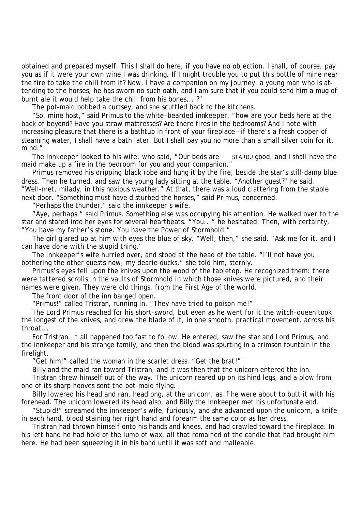obtained and prepared myself. This I shall do here, if you have no objection. I shall, of course, pay you as if it were your own wine I was drinking. If I might trouble you to put this bottle of mine near the fire to take the chill from it? Now, I have a companion on my journey, a young man who is attending to the horses; he has sworn no such oath, and I am sure that if you could send him a mug of burnt ale it would help take the chill from his bones... ?"

The pot-maid bobbed a curtsey, and she scuttled back to the kitchens.

"So, mine host," said Primus to the white-bearded innkeeper, "how are your beds here at the back of beyond? Have you straw mattresses? Are there fires in the bedrooms? And I note with increasing pleasure that there is a bathtub in front of your fireplace—if there's a fresh copper of steaming water, I shall have a bath later. But I shall pay you no more than a small silver coin for it, mind."

The innkeeper looked to his wife, who said, "Our beds are STARDU good, and I shall have the maid make up a fire in the bedroom for you and your companion."

Primus removed his dripping black robe and hung it by the fire, beside the star's still-damp blue dress. Then he turned, and saw the young lady sitting at the table. "Another guest?" he said. "Well-met, milady, in this noxious weather." At that, there was a loud clattering from the stable next door. "Something must have disturbed the horses," said Primus, concerned.

"Perhaps the thunder," said the innkeeper's wife.

"Aye, perhaps," said Primus. Something else was occupying his attention. He walked over to the star and stared into her eyes for several heartbeats. "You..." he hesitated. Then, with certainty, "You have my father's stone. You have the Power of Stormhold."

The girl glared up at him with eyes the blue of sky. "Well, then," she said. "Ask me for it, and I can have done with the stupid thing."

The innkeeper's wife hurried over, and stood at the head of the table. "I'll not have you bothering the other guests now, my dearie-ducks," she told him, sternly.

Primus's eyes fell upon the knives upon the wood of the tabletop. He recognized them: there were tattered scrolls in the vaults of Stormhold in which those knives were pictured, and their names were given. They were old things, from the First Age of the world.

The front door of the inn banged open.

"Primus!" called Tristran, running in. "They have tried to poison me!"

The Lord Primus reached for his short-sword, but even as he went for it the witch-queen took the longest of the knives, and drew the blade of it, in one smooth, practical movement, across his throat...

For Tristran, it all happened too fast to follow. He entered, saw the star and Lord Primus, and the innkeeper and his strange family, and then the blood was spurting in a crimson fountain in the firelight.

"Get him!" called the woman in the scarlet dress. "Get the brat!"

Billy and the maid ran toward Tristran; and it was then that the unicorn entered the inn.

Tristran threw himself out of the way. The unicorn reared up on its hind legs, and a blow from one of its sharp hooves sent the pot-maid flying.

Billy lowered his head and ran, headlong, at the unicorn, as if he were about to butt it with his forehead. The unicorn lowered its head also, and Billy the Innkeeper met his unfortunate end.

*"Stupid!"* screamed the innkeeper's wife, furiously, and she advanced upon the unicorn, a knife in each hand, blood staining her right hand and forearm the same color as her dress.

Tristran had thrown himself onto his hands and knees, and had crawled toward the fireplace. In his left hand he had hold of the lump of wax, all that remained of the candle that had brought him here. He had been squeezing it in his hand until it was soft and malleable.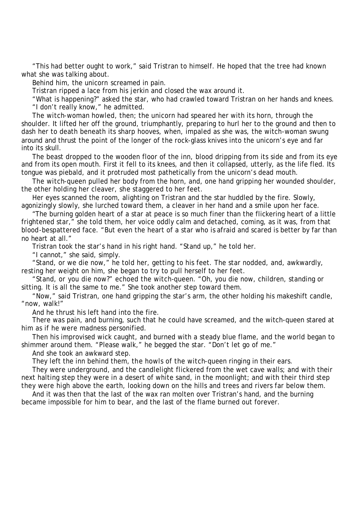"This had better ought to work," said Tristran to himself. He hoped that the tree had known what she was talking about.

Behind him, the unicorn screamed in pain.

Tristran ripped a lace from his jerkin and closed the wax around it.

"What is happening?" asked the star, who had crawled toward Tristran on her hands and knees. "I don't really know," he admitted.

The witch-woman howled, then; the unicorn had speared her with its horn, through the shoulder. It lifted her off the ground, triumphantly, preparing to hurl her to the ground and then to dash her to death beneath its sharp hooves, when, impaled as she was, the witch-woman swung around and thrust the point of the longer of the rock-glass knives into the unicorn's eye and far into its skull.

The beast dropped to the wooden floor of the inn, blood dripping from its side and from its eye and from its open mouth. First it fell to its knees, and then it collapsed, utterly, as the life fled. Its tongue was piebald, and it protruded most pathetically from the unicorn's dead mouth.

The witch-queen pulled her body from the horn, and, one hand gripping her wounded shoulder, the other holding her cleaver, she staggered to her feet.

Her eyes scanned the room, alighting on Tristran and the star huddled by the fire. Slowly, agonizingly slowly, she lurched toward them, a cleaver in her hand and a smile upon her face.

"The burning golden heart of a star at peace is so much finer than the flickering heart of a little frightened star," she told them, her voice oddly calm and detached, coming, as it was, from that blood-bespattered face. "But even the heart of a star who is afraid and scared is better by far than no heart at all."

Tristran took the star's hand in his right hand. "Stand up," he told her.

"I cannot," she said, simply.

"Stand, or we die now," he told her, getting to his feet. The star nodded, and, awkwardly, resting her weight on him, she began to try to pull herself to her feet.

*"Stand, or you die now?"* echoed the witch-queen. "Oh, you die now, children, standing or sitting. It is all the same to me." She took another step toward them.

"Now," said Tristran, one hand gripping the star's arm, the other holding his makeshift candle, "now, *walk!"*

And he thrust his left hand into the fire.

There was pain, and burning, such that he could have screamed, and the witch-queen stared at him as if he were madness personified.

Then his improvised wick caught, and burned with a steady blue flame, and the world began to shimmer around them. "Please walk," he begged the star. "Don't let go of me."

And she took an awkward step.

They left the inn behind them, the howls of the witch-queen ringing in their ears.

They were underground, and the candlelight flickered from the wet cave walls; and with their next halting step they were in a desert of white sand, in the moonlight; and with their third step they were high above the earth, looking down on the hills and trees and rivers far below them.

And it was then that the last of the wax ran molten over Tristran's hand, and the burning became impossible for him to bear, and the last of the flame burned out forever.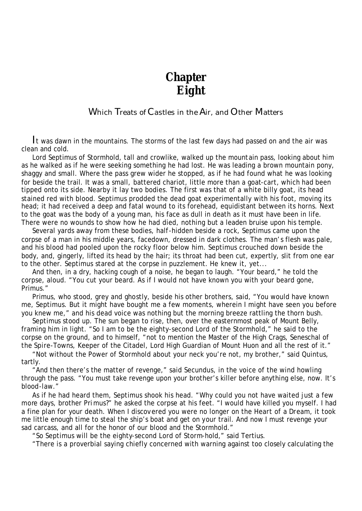# *Chapter Eight*

#### Which Treats of Castles in the Air, and Other Matters

It was dawn in the mountains. The storms of the last few days had passed on and the air was clean and cold.

Lord Septimus of Stormhold, tall and crowlike, walked up the mountain pass, looking about him as he walked as if he were seeking something he had lost. He was leading a brown mountain pony, shaggy and small. Where the pass grew wider he stopped, as if he had found what he was looking for beside the trail. It was a small, battered chariot, little more than a goat-cart, which had been tipped onto its side. Nearby it lay two bodies. The first was that of a white billy goat, its head stained red with blood. Septimus prodded the dead goat experimentally with his foot, moving its head; it had received a deep and fatal wound to its forehead, equidistant between its horns. Next to the goat was the body of a young man, his face as dull in death as it must have been in life. There were no wounds to show how he had died, nothing but a leaden bruise upon his temple.

Several yards away from these bodies, half-hidden beside a rock, Septimus came upon the corpse of a man in his middle years, facedown, dressed in dark clothes. The man's flesh was pale, and his blood had pooled upon the rocky floor below him. Septimus crouched down beside the body, and, gingerly, lifted its head by the hair; its throat had been cut, expertly, slit from one ear to the other. Septimus stared at the corpse in puzzlement. He *knew* it, yet...

And then, in a dry, hacking cough of a noise, he began to laugh. "Your beard," he told the corpse, aloud. "You cut your beard. As if I would not have known you with your beard gone, Primus."

Primus, who stood, grey and ghostly, beside his other brothers, said, "You would have known me, Septimus. But it might have bought me a few moments, wherein I might have seen you before you knew me," and his dead voice was nothing but the morning breeze rattling the thorn bush.

Septimus stood up. The sun began to rise, then, over the easternmost peak of Mount Belly, framing him in light. "So I am to be the eighty-second Lord of the Stormhold," he said to the corpse on the ground, and to himself, "not to mention the Master of the High Crags, Seneschal of the Spire-Towns, Keeper of the Citadel, Lord High Guardian of Mount Huon and all the rest of it."

"Not without the Power of Stormhold about your neck you're not, my brother," said Quintus, tartly.

"And then there's the matter of revenge," said Secundus, in the voice of the wind howling through the pass. "You must take revenge upon your brother's killer before anything else, now. It's blood-law."

As if he had heard them, Septimus shook his head. "Why could you not have waited just a few more days, brother Primus?" he asked the corpse at his feet. "I would have killed you myself. I had a fine plan for your death. When I discovered you were no longer on the *Heart of a Dream,* it took me little enough time to steal the ship's boat and get on your trail. And now I must revenge your sad carcass, and all for the honor of our blood and the Stormhold."

"So Septimus will be the eighty-second Lord of Storm-hold," said Tertius.

"There is a proverbial saying chiefly concerned with warning against too closely calculating the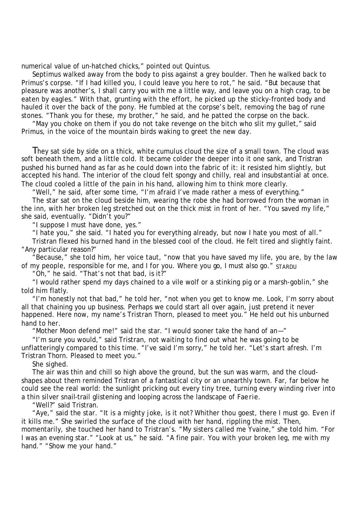numerical value of un-hatched chicks," pointed out Quintus.

Septimus walked away from the body to piss against a grey boulder. Then he walked back to Primus's corpse. "If I had killed you, I could leave you here to rot," he said. "But because that pleasure was another's, I shall carry you with me a little way, and leave you on a high crag, to be eaten by eagles." With that, grunting with the effort, he picked up the sticky-fronted body and hauled it over the back of the pony. He fumbled at the corpse's belt, removing the bag of rune stones. "Thank you for these, my brother," he said, and he patted the corpse on the back.

"May you choke on them if you do not take revenge on the bitch who slit my gullet," said Primus, in the voice of the mountain birds waking to greet the new day.

They sat side by side on a thick, white cumulus cloud the size of a small town. The cloud was soft beneath them, and a little cold. It became colder the deeper into it one sank, and Tristran pushed his burned hand as far as he could down into the fabric of it: it resisted him slightly, but accepted his hand. The interior of the cloud felt spongy and chilly, real and insubstantial at once. The cloud cooled a little of the pain in his hand, allowing him to think more clearly.

"Well," he said, after some time, "I'm afraid I've made rather a mess of everything."

The star sat on the cloud beside him, wearing the robe she had borrowed from the woman in the inn, with her broken leg stretched out on the thick mist in front of her. "You saved my life," she said, eventually. "Didn't you?"

"I suppose I must have done, yes."

"I hate you," she said. "I hated you for everything already, but now I hate you most of all." Tristran flexed his burned hand in the blessed cool of the cloud. He felt tired and slightly faint. "Any particular reason?"

"Because," she told him, her voice taut, "now that you have saved my life, you are, by the law of my people, responsible for me, and I for you. Where you go, I must also go." STARDU

"Oh," he said. "That's not that bad, is it?"

"I would rather spend my days chained to a vile wolf or a stinking pig or a marsh-goblin," she told him flatly.

"I'm honestly not that bad," he told her, "not when you get to know me. Look, I'm sorry about all that chaining you up business. Perhaps we could start all over again, just pretend it never happened. Here now, my name's Tristran Thorn, pleased to meet you." He held out his unburned hand to her.

"Mother Moon defend me!" said the star. "I would sooner take the hand of an—"

"I'm sure you would," said Tristran, not waiting to find out what he was going to be unflatteringly compared to this time. "I've *said* I'm sorry," he told her. "Let's start afresh. I'm Tristran Thorn. Pleased to meet you."

She sighed.

The air was thin and chill so high above the ground, but the sun was warm, and the cloudshapes about them reminded Tristran of a fantastical city or an unearthly town. Far, far below he could see the real world: the sunlight pricking out every tiny tree, turning every winding river into a thin silver snail-trail glistening and looping across the landscape of Faerie.

"Well?" said Tristran.

"Aye," said the star. "It is a mighty joke, is it not? Whither thou goest, there I must go. Even if it kills me." She swirled the surface of the cloud with her hand, rippling the mist. Then, momentarily, she touched her hand to Tristran's. "My sisters called me Yvaine," she told him. "For I was an evening star." "Look at us," he said. "A fine pair. You with your broken leg, me with my hand." "Show me your hand."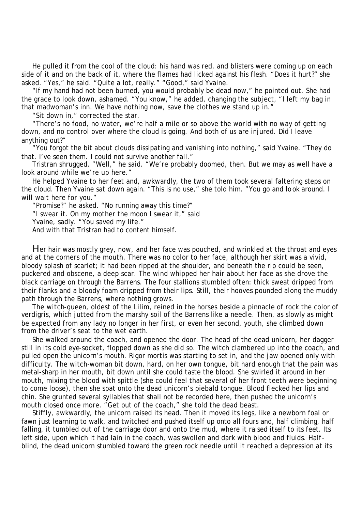He pulled it from the cool of the cloud: his hand was red, and blisters were coming up on each side of it and on the back of it, where the flames had licked against his flesh. "Does it hurt?" she asked. "Yes," he said. "Quite a lot, really." "Good," said Yvaine.

"If my hand had not been burned, you would probably be dead now," he pointed out. She had the grace to look down, ashamed. "You know," he added, changing the subject, "I left my bag in that madwoman's inn. We have nothing now, save the clothes we stand up in."

"Sit down in," corrected the star.

"There's no food, no water, we're half a mile or so above the world with no way of getting down, and no control over where the cloud is going. And both of us are injured. Did I leave anything out?"

"You forgot the bit about clouds dissipating and vanishing into nothing," said Yvaine. "They do that. I've seen them. I could not survive another fall."

Tristran shrugged. "Well," he said. "We're probably doomed, then. But we may as well have a look around while we're up here."

He helped Yvaine to her feet and, awkwardly, the two of them took several faltering steps on the cloud. Then Yvaine sat down again. "This is no use," she told him. "You go and look around. I will wait here for you."

"Promise?" he asked. "No running away this time?"

"I swear it. On my mother the moon I swear it," said

Yvaine, sadly. "You saved my life."

And with that Tristran had to content himself.

Her hair was mostly grey, now, and her face was pouched, and wrinkled at the throat and eyes and at the corners of the mouth. There was no color to her face, although her skirt was a vivid, bloody splash of scarlet; it had been ripped at the shoulder, and beneath the rip could be seen, puckered and obscene, a deep scar. The wind whipped her hair about her face as she drove the black carriage on through the Barrens. The four stallions stumbled often: thick sweat dripped from their flanks and a bloody foam dripped from their lips. Still, their hooves pounded along the muddy path through the Barrens, where nothing grows.

The witch-queen, oldest of the Lilim, reined in the horses beside a pinnacle of rock the color of verdigris, which jutted from the marshy soil of the Barrens like a needle. Then, as slowly as might be expected from any lady no longer in her first, or even her second, youth, she climbed down from the driver's seat to the wet earth.

She walked around the coach, and opened the door. The head of the dead unicorn, her dagger still in its cold eye-socket, flopped down as she did so. The witch clambered up into the coach, and pulled open the unicorn's mouth. Rigor mortis was starting to set in, and the jaw opened only with difficulty. The witch-woman bit down, hard, on her own tongue, bit hard enough that the pain was metal-sharp in her mouth, bit down until she could taste the blood. She swirled it around in her mouth, mixing the blood with spittle (she could feel that several of her front teeth were beginning to come loose), then she spat onto the dead unicorn's piebald tongue. Blood flecked her lips and chin. She grunted several syllables that shall not be recorded here, then pushed the unicorn's mouth closed once more. "Get out of the coach," she told the dead beast.

Stiffly, awkwardly, the unicorn raised its head. Then it moved its legs, like a newborn foal or fawn just learning to walk, and twitched and pushed itself up onto all fours and, half climbing, half falling, it tumbled out of the carriage door and onto the mud, where it raised itself to its feet. Its left side, upon which it had lain in the coach, was swollen and dark with blood and fluids. Halfblind, the dead unicorn stumbled toward the green rock needle until it reached a depression at its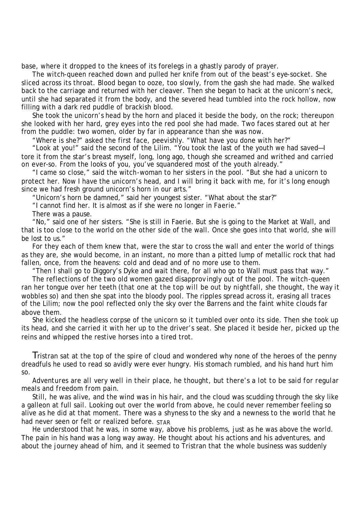base, where it dropped to the knees of its forelegs in a ghastly parody of prayer.

The witch-queen reached down and pulled her knife from out of the beast's eye-socket. She sliced across its throat. Blood began to ooze, too slowly, from the gash she had made. She walked back to the carriage and returned with her cleaver. Then she began to hack at the unicorn's neck, until she had separated it from the body, and the severed head tumbled into the rock hollow, now filling with a dark red puddle of brackish blood.

She took the unicorn's head by the horn and placed it beside the body, on the rock; thereupon she looked with her hard, grey eyes into the red pool she had made. Two faces stared out at her from the puddle: two women, older by far in appearance than she was now.

"Where is she?" asked the first face, peevishly. "What have you done with her?"

"Look at you!" said the second of the Lilim. "You took the last of the youth we had saved—I tore it from the star's breast myself, long, long ago, though she screamed and writhed and carried on ever-so. From the looks of you, you've squandered most of the youth already."

"I came so close," said the witch-woman to her sisters in the pool. "But she had a unicorn to protect her. Now I have the unicorn's head, and I will bring it back with me, for it's long enough since we had fresh ground unicorn's horn in our arts."

"Unicorn's horn be damned," said her youngest sister. "What about the star?"

"I cannot find her. It is almost as if she were no longer in Faerie."

There was a pause.

"No," said one of her sisters. "She is still in Faerie. But she is going to the Market at Wall, and that is too close to the world on the other side of the wall. Once she goes into that world, she will be lost to us."

For they each of them knew that, were the star to cross the wall and enter the world of things as they are, she would become, in an instant, no more than a pitted lump of metallic rock that had fallen, once, from the heavens: cold and dead and of no more use to them.

"Then I shall go to Diggory's Dyke and wait there, for all who go to Wall must pass that way." The reflections of the two old women gazed disapprov ingly out of the pool. The witch-queen ran her tongue over her teeth *(that one at the top will be out by nightfall,* she thought, *the way it wobbles so)* and then she spat into the bloody pool. The ripples spread across it, erasing all traces of the Lilim; now the pool reflected only the sky over the Barrens and the faint white clouds far above them.

She kicked the headless corpse of the unicorn so it tumbled over onto its side. Then she took up its head, and she carried it with her up to the driver's seat. She placed it beside her, picked up the reins and whipped the restive horses into a tired trot.

Tristran sat at the top of the spire of cloud and wondered why none of the heroes of the penny dreadfuls he used to read so avidly were ever hungry. His stomach rumbled, and his hand hurt him so.

*Adventures are all very well in their place,* he thought, *but there's a lot to be said for regular meals and freedom from pain.*

Still, he was alive, and the wind was in his hair, and the cloud was scudding through the sky like a galleon at full sail. Looking out over the world from above, he could never remember feeling so alive as he did at that moment. There was a *shyness* to the sky and a *newness* to the world that he had never seen or felt or realized before. STAR

He understood that he was, in some way, above his problems, just as he was above the world. The pain in his hand was a long way away. He thought about his actions and his adventures, and about the journey ahead of him, and it seemed to Tristran that the whole business was suddenly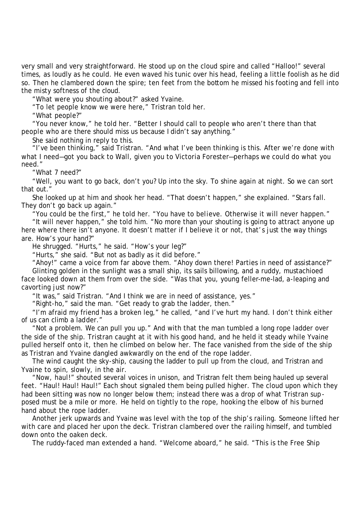very small and very straightforward. He stood up on the cloud spire and called "Halloo!" several times, as loudly as he could. He even waved his tunic over his head, feeling a little foolish as he did so. Then he clambered down the spire; ten feet from the bottom he missed his footing and fell into the misty softness of the cloud.

"What were you shouting about?" asked Yvaine.

"To let people know we were here," Tristran told her.

*"What* people?"

"You never know," he told her. "Better I should call to people who aren't there than that people who *are* there should miss us because I didn't say anything."

She said nothing in reply to this.

"I've been thinking," said Tristran. "And what I've been thinking is this. After we're done with what I need—got you back to Wall, given you to Victoria Forester—perhaps we could do what *you*  need."

"What 7 need?"

"Well, you want to go back, don't you? Up into the sky. To shine again at night. So we can sort that out."

She looked up at him and shook her head. "That doesn't happen," she explained. "Stars fall. They don't go back up again."

"You could be the first," he told her. "You have to *believe.* Otherwise it will never happen."

"It *will* never happen," she told him. "No more than your shouting is going to attract anyone up here where there isn't anyone. It doesn't matter if I believe it or not, that's just the way things are. How's your hand?"

He shrugged. "Hurts," he said. "How's your leg?"

"Hurts," she said. "But not as badly as it did before."

"Ahoy!" came a voice from far above them. "Ahoy down there! Parties in need of assistance?" Glinting golden in the sunlight was a small ship, its sails billowing, and a ruddy, mustachioed face looked down at them from over the side. "Was that you, young feller-me-lad, a-leaping and cavorting just now?"

"It was," said Tristran. "And I think we are in need of assistance, yes."

"Right-ho," said the man. "Get ready to grab the ladder, then."

"I'm afraid my friend has a broken leg," he called, "and I've hurt my hand. I don't think either of us can climb a ladder."

"Not a problem. We can pull you up." And with that the man tumbled a long rope ladder over the side of the ship. Tristran caught at it with his good hand, and he held it steady while Yvaine pulled herself onto it, then he climbed on below her. The face vanished from the side of the ship as Tristran and Yvaine dangled awkwardly on the end of the rope ladder.

The wind caught the sky-ship, causing the ladder to pull up from the cloud, and Tristran and Yvaine to spin, slowly, in the air.

"Now, *haul!"* shouted several voices in unison, and Tristran felt them being hauled up several feet. *"Haul! Haul! Haul!"* Each shout signaled them being pulled higher. The cloud upon which they had been sitting was now no longer below them; instead there was a drop of what Tristran supposed must be a mile or more. He held on tightly to the rope, hooking the elbow of his burned hand about the rope ladder.

Another jerk upwards and Yvaine was level with the top of the ship's railing. Someone lifted her with care and placed her upon the deck. Tristran clambered over the railing himself, and tumbled down onto the oaken deck.

The ruddy-faced man extended a hand. "Welcome aboard," he said. "This is the Free Ship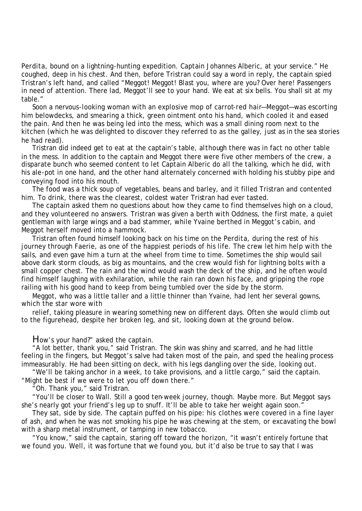*Perdita,* bound on a lightning-hunting expedition. Captain Johannes Alberic, at your service." He coughed, deep in his chest. And then, before Tristran could say a word in reply, the captain spied Tristran's left hand, and called "Meggot! Meggot! Blast you, where are you? Over here! Passengers in need of attention. There lad, Meggot'll see to your hand. We eat at six bells. You shall sit at my table."

Soon a nervous-looking woman with an explosive mop of carrot-red hair—Meggot—was escorting him belowdecks, and smearing a thick, green ointment onto his hand, which cooled it and eased the pain. And then he was being led into the mess, which was a small dining room next to the kitchen (which he was delighted to discover they referred to as the *galley,* just as in the sea stories he had read).

Tristran did indeed get to eat at the captain's table, although there was in fact no other table in the mess. In addition to the captain and Meggot there were five other members of the crew, a disparate bunch who seemed content to let Captain Alberic do all the talking, which he did, with his ale-pot in one hand, and the other hand alternately concerned with holding his stubby pipe and conveying food into his mouth.

The food was a thick soup of vegetables, beans and barley, and it filled Tristran and contented him. To drink, there was the clearest, coldest water Tristran had ever tasted.

The captain asked them no questions about how they came to find themselves high on a cloud, and they volunteered no answers. Tristran was given a berth with Oddness, the first mate, a quiet gentleman with large wings and a bad stammer, while Yvaine berthed in Meggot's cabin, and Meggot herself moved into a hammock.

Tristran often found himself looking back on his time on the *Perdita,* during the rest of his journey through Faerie, as one of the happiest periods of his life. The crew let him help with the sails, and even gave him a turn at the wheel from time to time. Sometimes the ship would sail above dark storm clouds, as big as mountains, and the crew would fish for lightning bolts with a small copper chest. The rain and the wind would wash the deck of the ship, and he often would find himself laughing with exhilaration, while the rain ran down his face, and gripping the rope railing with his good hand to keep from being tumbled over the side by the storm.

Meggot, who was a little taller and a little thinner than Yvaine, had lent her several gowns, which the star wore with

relief, taking pleasure in wearing something new on different days. Often she would climb out to the figurehead, despite her broken leg, and sit, looking down at the ground below.

#### How's your hand?" asked the captain.

"A lot better, thank you," said Tristran. The skin was shiny and scarred, and he had little feeling in the fingers, but Meggot's salve had taken most of the pain, and sped the healing process immeasurably. He had been sitting on deck, with his legs dangling over the side, looking out.

"We'll be taking anchor in a week, to take provisions, and a little cargo," said the captain.

"Might be best if we were to let you off down there."

"Oh. Thank you," said Tristran.

"You'll be closer to Wall. Still a good ten-week journey, though. Maybe more. But Meggot says she's nearly got your friend's leg up to snuff. It'll be able to take her weight again soon."

They sat, side by side. The captain puffed on his pipe: his clothes were covered in a fine layer of ash, and when he was not smoking his pipe he was chewing at the stem, or excavating the bowl with a sharp metal instrument, or tamping in new tobacco.

"You know," said the captain, staring off toward the horizon, "it wasn't entirely fortune that we found you. Well, it *was* fortune that we found you, but it'd also be true to say that I was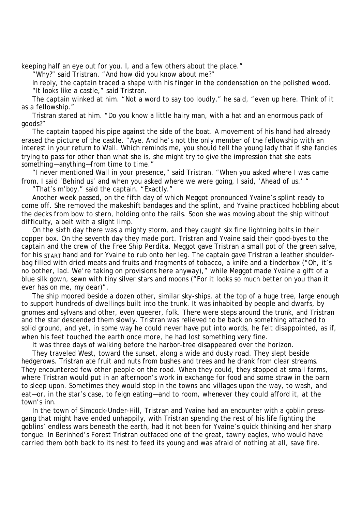keeping half an eye out for you. I, and a few others about the place."

"Why?" said Tristran. "And how did you know about me?"

In reply, the captain traced a shape with his finger in the condensation on the polished wood. "It looks like a castle," said Tristran.

The captain winked at him. "Not a word to say too loudly," he said, "even up here. Think of it as a fellowship."

Tristran stared at him. "Do you know a little hairy man, with a hat and an enormous pack of goods?"

The captain tapped his pipe against the side of the boat. A movement of his hand had already erased the picture of the castle. "Aye. And he's not the only member of the fellowship with an interest in your return to Wall. Which reminds me, you should tell the young lady that if she fancies trying to pass for other than what she is, she might try to give the impression that she eats something—anything—from time to time."

"I never mentioned Wall in your presence," said Tristran. "When you asked where I was came from, I said 'Behind us' and when you asked where we were going, I said, 'Ahead of us.' "

"That's m'boy," said the captain. "Exactly."

Another week passed, on the fifth day of which Meggot pronounced Yvaine's splint ready to come off. She removed the makeshift bandages and the splint, and Yvaine practiced hobbling about the decks from bow to stern, holding onto the rails. Soon she was moving about the ship without difficulty, albeit with a slight limp.

On the sixth day there was a mighty storm, and they caught six fine lightning bolts in their copper box. On the seventh day they made port. Tristran and Yvaine said their good-byes to the captain and the crew of the Free Ship *Perdita.* Meggot gave Tristran a small pot of the green salve, for his START hand and for Yvaine to rub onto her leg. The captain gave Tristran a leather shoulderbag filled with dried meats and fruits and fragments of tobacco, a knife and a tinderbox ("Oh, it's no bother, lad. We're taking on provisions here anyway)," while Meggot made Yvaine a gift of a blue silk gown, sewn with tiny silver stars and moons ("For it looks so much better on you than it ever has on me, my dear)".

The ship moored beside a dozen other, similar sky-ships, at the top of a huge tree, large enough to support hundreds of dwellings built into the trunk. It was inhabited by people and dwarfs, by gnomes and sylvans and other, even queerer, folk. There were steps around the trunk, and Tristran and the star descended them slowly. Tristran was relieved to be back on something attached to solid ground, and yet, in some way he could never have put into words, he felt disappointed, as if, when his feet touched the earth once more, he had lost something very fine.

It was three days of walking before the harbor-tree disappeared over the horizon.

They traveled West, toward the sunset, along a wide and dusty road. They slept beside hedgerows. Tristran ate fruit and nuts from bushes and trees and he drank from clear streams. They encountered few other people on the road. When they could, they stopped at small farms, where Tristran would put in an afternoon's work in exchange for food and some straw in the barn to sleep upon. Sometimes they would stop in the towns and villages upon the way, to wash, and eat—or, in the star's case, to feign eating—and to room, whenever they could afford it, at the town's inn.

In the town of Simcock-Under-Hill, Tristran and Yvaine had an encounter with a goblin pressgang that might have ended unhappily, with Tristran spending the rest of his life fighting the goblins' endless wars beneath the earth, had it not been for Yvaine's quick thinking and her sharp tongue. In Berinhed's Forest Tristran outfaced one of the great, tawny eagles, who would have carried them both back to its nest to feed its young and was afraid of nothing at all, save fire.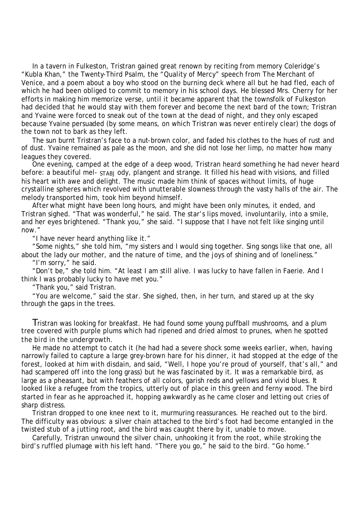In a tavern in Fulkeston, Tristran gained great renown by reciting from memory Coleridge's "Kubla Khan," the Twenty-Third Psalm, the "Quality of Mercy" speech from *The Merchant of Venice,* and a poem about a boy who stood on the burning deck where all but he had fled, each of which he had been obliged to commit to memory in his school days. He blessed Mrs. Cherry for her efforts in making him memorize verse, until it became apparent that the townsfolk of Fulkeston had decided that he would stay with them forever and become the next bard of the town; Tristran and Yvaine were forced to sneak out of the town at the dead of night, and they only escaped because Yvaine persuaded (by some means, on which Tristran was never entirely clear) the dogs of the town not to bark as they left.

The sun burnt Tristran's face to a nut-brown color, and faded his clothes to the hues of rust and of dust. Yvaine remained as pale as the moon, and she did not lose her limp, no matter how many leagues they covered.

One evening, camped at the edge of a deep wood, Tristran heard something he had never heard before: a beautiful mel- STABJ ody, plangent and strange. It filled his head with visions, and filled his heart with awe and delight. The music made him think of spaces without limits, of huge crystalline spheres which revolved with unutterable slowness through the vasty halls of the air. The melody transported him, took him beyond himself.

After what might have been long hours, and might have been only minutes, it ended, and Tristran sighed. "That was wonderful," he said. The star's lips moved, involuntarily, into a smile, and her eyes brightened. "Thank you," she said. "I suppose that I have not felt like singing until now."

"I have never heard anything like it."

"Some nights," she told him, "my sisters and I would sing together. Sing songs like that one, all about the lady our mother, and the nature of time, and the joys of shining and of loneliness."

"I'm sorry," he said.

"Don't be," she told him. "At least I am still alive. I was lucky to have fallen in Faerie. And I think I was probably lucky to have met you."

"Thank you," said Tristran.

"You are welcome," said the star. She sighed, then, in her turn, and stared up at the sky through the gaps in the trees.

Tristran was looking for breakfast. He had found some young puffball mushrooms, and a plum tree covered with purple plums which had ripened and dried almost to prunes, when he spotted the bird in the undergrowth.

He made no attempt to catch it (he had had a severe shock some weeks earlier, when, having narrowly failed to capture a large grey-brown hare for his dinner, it had stopped at the edge of the forest, looked at him with disdain, and said, "Well, I hope you're proud of yourself, that's all," and had scampered off into the long grass) but he was fascinated by it. It was a remarkable bird, as large as a pheasant, but with feathers of all colors, garish reds and yellows and vivid blues. It looked like a refugee from the tropics, utterly out of place in this green and ferny wood. The bird started in fear as he approached it, hopping awkwardly as he came closer and letting out cries of sharp distress.

Tristran dropped to one knee next to it, murmuring reassurances. He reached out to the bird. The difficulty was obvious: a silver chain attached to the bird's foot had become entangled in the twisted stub of a jutting root, and the bird was caught there by it, unable to move.

Carefully, Tristran unwound the silver chain, unhooking it from the root, while stroking the bird's ruffled plumage with his left hand. "There you go," he said to the bird. "Go home."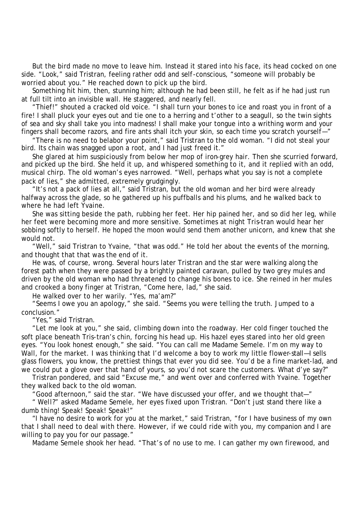But the bird made no move to leave him. Instead it stared into his face, its head cocked on one side. "Look," said Tristran, feeling rather odd and self-conscious, "someone will probably be worried about you." He reached down to pick up the bird.

Something hit him, then, stunning him; although he had been still, he felt as if he had just run at full tilt into an invisible wall. He staggered, and nearly fell.

"Thief!" shouted a cracked old voice. "I shall turn your bones to ice and roast you in front of a fire! I shall pluck your eyes out and tie one to a herring and t'other to a seagull, so the twin sights of sea and sky shall take you into madness! I shall make your tongue into a writhing worm and your fingers shall become razors, and fire ants shall itch your skin, so each time you scratch yourself—"

"There is no need to belabor your point," said Tristran to the old woman. "I did not steal your bird. Its chain was snagged upon a root, and I had just freed it."

She glared at him suspiciously from below her mop of iron-grey hair. Then she scurried forward, and picked up the bird. She held it up, and whispered something to it, and it replied with an odd, musical chirp. The old woman's eyes narrowed. "Well, perhaps what you say is not a complete pack of lies," she admitted, extremely grudgingly.

"It's not a pack of lies at all," said Tristran, but the old woman and her bird were already halfway across the glade, so he gathered up his puffballs and his plums, and he walked back to where he had left Yvaine.

She was sitting beside the path, rubbing her feet. Her hip pained her, and so did her leg, while her feet were becoming more and more sensitive. Sometimes at night Tris-tran would hear her sobbing softly to herself. He hoped the moon would send them another unicorn, and knew that she would not.

"Well," said Tristran to Yvaine, "that was odd." He told her about the events of the morning, and thought that that was the end of it.

He was, of course, wrong. Several hours later Tristran and the star were walking along the forest path when they were passed by a brightly painted caravan, pulled by two grey mules and driven by the old woman who had threatened to change his bones to ice. She reined in her mules and crooked a bony finger at Tristran, "Come here, lad," she said.

He walked over to her warily. "Yes, ma'am?"

"Seems I owe you an apology," she said. "Seems you were telling the truth. Jumped to a conclusion."

"Yes," said Tristran.

"Let me look at you," she said, climbing down into the roadway. Her cold finger touched the soft place beneath Tris-tran's chin, forcing his head up. His hazel eyes stared into her old green eyes. "You look honest enough," she said. "You can call me Madame Semele. I'm on my way to Wall, for the market. I was thinking that I'd welcome a boy to work my little flower-stall-I sells glass flowers, you know, the prettiest things that ever you did see. You'd be a fine market-lad, and we could put a glove over that hand of yours, so you'd not scare the customers. What d'ye say?"

Tristran pondered, and said "Excuse me," and went over and conferred with Yvaine. Together they walked back to the old woman.

"Good afternoon," said the star. "We have discussed your offer, and we thought that—"

" *Well?"* asked Madame Semele, her eyes fixed upon Tristran. "Don't just stand there like a dumb thing! Speak! Speak! Speak!"

"I have no desire to work for you at the market," said Tristran, "for I have business of my own that I shall need to deal with there. However, if we could ride with you, my companion and I are willing to pay you for our passage."

Madame Semele shook her head. "That's of no use to me. I can gather my own firewood, and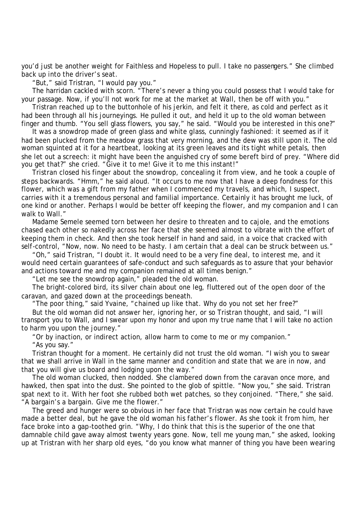you'd just be another weight for Faithless and Hopeless to pull. I take no passengers." She climbed back up into the driver's seat.

"But," said Tristran, "I would pay you."

The harridan cackled with scorn. "There's never a thing you could possess that I would take for your passage. Now, if you'll not work for me at the market at Wall, then be off with you."

Tristran reached up to the buttonhole of his jerkin, and felt it there, as cold and perfect as it had been through all his journeyings. He pulled it out, and held it up to the old woman between finger and thumb. "You sell glass flowers, you say," he said. "Would you be interested in this one?"

It was a snowdrop made of green glass and white glass, cunningly fashioned: it seemed as if it had been plucked from the meadow grass that very morning, and the dew was still upon it. The old woman squinted at it for a heartbeat, looking at its green leaves and its tight white petals, then she let out a screech: it might have been the anguished cry of some bereft bird of prey. "Where did you get that?" she cried. "Give it to me! Give it to me this instant!"

Tristran closed his finger about the snowdrop, concealing it from view, and he took a couple of steps backwards. "Hmm," he said aloud. "It occurs to me now that I have a deep fondness for this flower, which was a gift from my father when I commenced my travels, and which, I suspect, carries with it a tremendous personal and familial importance. Certainly it has brought me luck, of one kind or another. Perhaps I would be better off keeping the flower, and my companion and I can walk to Wall."

Madame Semele seemed torn between her desire to threaten and to cajole, and the emotions chased each other so nakedly across her face that she seemed almost to vibrate with the effort of keeping them in check. And then she took herself in hand and said, in a voice that cracked with self-control, "Now, now. No need to be hasty. I am certain that a deal can be struck between us."

"Oh," said Tristran, "I doubt it. It would need to be a very fine deal, to interest me, and it would need certain guarantees of safe-conduct and such safeguards as to assure that your behavior and actions toward me and my companion remained at all times benign."

"Let me see the snowdrop again," pleaded the old woman.

The bright-colored bird, its silver chain about one leg, fluttered out of the open door of the caravan, and gazed down at the proceedings beneath.

"The poor thing," said Yvaine, "chained up like that. Why do you not set her free?"

But the old woman did not answer her, ignoring her, or so Tristran thought, and said, "I will transport you to Wall, and I swear upon my honor and upon my true name that I will take no action to harm you upon the journey."

"Or by inaction, or indirect action, allow harm to come to me or my companion." "As you say."

Tristran thought for a moment. He certainly did not trust the old woman. "I wish you to swear that we shall arrive in Wall in the same manner and condition and state that we are in now, and that you will give us board and lodging upon the way."

The old woman clucked, then nodded. She clambered down from the caravan once more, and hawked, then spat into the dust. She pointed to the glob of spittle. "Now you," she said. Tristran spat next to it. With her foot she rubbed both wet patches, so they conjoined. "There," she said. "A bargain's a bargain. Give me the flower."

The greed and hunger were so obvious in her face that Tristran was now certain he could have made a better deal, but he gave the old woman his father's flower. As she took it from him, her face broke into a gap-toothed grin. "Why, I do think that this is the superior of the one that damnable child gave away almost twenty years gone. Now, tell me young man," she asked, looking up at Tristran with her sharp old eyes, "do you know what manner of thing you have been wearing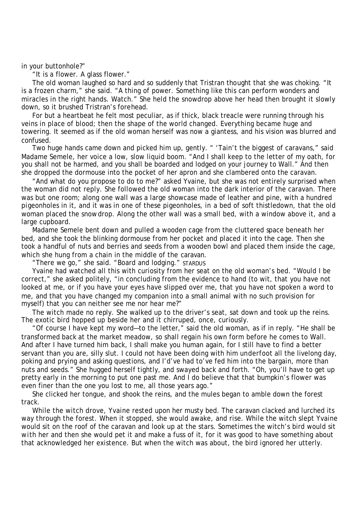in your buttonhole?"

"It is a flower. A glass flower."

The old woman laughed so hard and so suddenly that Tristran thought that she was choking. "It is a frozen charm," she said. "A thing of power. Something like this can perform wonders and miracles in the right hands. Watch." She held the snowdrop above her head then brought it slowly down, so it brushed Tristran's forehead.

For but a heartbeat he felt most peculiar, as if thick, black treacle were running through his veins in place of blood; then the shape of the world changed. Everything became huge and towering. It seemed as if the old woman herself was now a giantess, and his vision was blurred and confused.

Two huge hands came down and picked him up, gently. " 'Tain't the biggest of caravans," said Madame Semele, her voice a low, slow liquid boom. "And I shall keep to the letter of my oath, for you shall not be harmed, and you shall be boarded and lodged on your journey to Wall." And then she dropped the dormouse into the pocket of her apron and she clambered onto the caravan.

"And what do you propose to do to me?" asked Yvaine, but she was not entirely surprised when the woman did not reply. She followed the old woman into the dark interior of the caravan. There was but one room; along one wall was a large showcase made of leather and pine, with a hundred pigeonholes in it, and it was in one of these pigeonholes, in a bed of soft thistledown, that the old woman placed the snowdrop. Along the other wall was a small bed, with a window above it, and a large cupboard.

Madame Semele bent down and pulled a wooden cage from the cluttered space beneath her bed, and she took the blinking dormouse from her pocket and placed it into the cage. Then she took a handful of nuts and berries and seeds from a wooden bowl and placed them inside the cage, which she hung from a chain in the middle of the caravan.

"There we go," she said. "Board *and* lodging." STARDUS

Yvaine had watched all this with curiosity from her seat on the old woman's bed. "Would I be correct," she asked politely, "in concluding from the evidence to hand (to wit, that you have not looked at me, or if you have your eyes have slipped over me, that you have not spoken a word to me, and that you have changed my companion into a small animal with no such provision for myself) that you can neither see me nor hear me?"

The witch made no reply. She walked up to the driver's seat, sat down and took up the reins. The exotic bird hopped up beside her and it chirruped, once, curiously.

"Of course I have kept my word—to the letter," said the old woman, as if in reply. "He shall be transformed back at the market meadow, so shall regain his own form before he comes to Wall. And after I have turned him back, I shall make you human again, for I still have to find a better servant than you are, silly slut. I could not have been doing with him underfoot all the livelong day, poking and prying and asking questions, and I'd've had to've fed him into the bargain, more than nuts and seeds." She hugged herself tightly, and swayed back and forth. "Oh, you'll have to get up pretty early in the morning to put one past me. And I do believe that that bumpkin's flower was even finer than the one you lost to me, all those years ago."

She clicked her tongue, and shook the reins, and the mules began to amble down the forest track.

While the witch drove, Yvaine rested upon her musty bed. The caravan clacked and lurched its way through the forest. When it stopped, she would awake, and rise. While the witch slept Yvaine would sit on the roof of the caravan and look up at the stars. Sometimes the witch's bird would sit with her and then she would pet it and make a fuss of it, for it was good to have something about that acknowledged her existence. But when the witch was about, the bird ignored her utterly.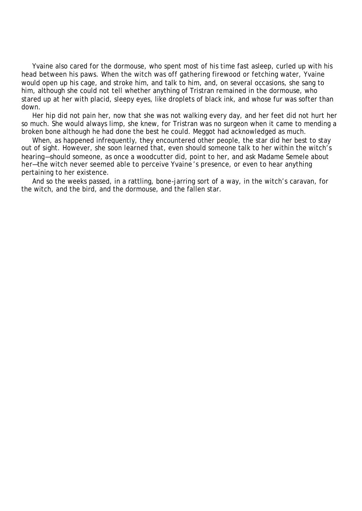Yvaine also cared for the dormouse, who spent most of his time fast asleep, curled up with his head between his paws. When the witch was off gathering firewood or fetching water, Yvaine would open up his cage, and stroke him, and talk to him, and, on several occasions, she sang to him, although she could not tell whether anything of Tristran remained in the dormouse, who stared up at her with placid, sleepy eyes, like droplets of black ink, and whose fur was softer than down.

Her hip did not pain her, now that she was not walking every day, and her feet did not hurt her so much. She would always limp, she knew, for Tristran was no surgeon when it came to mending a broken bone although he had done the best he could. Meggot had acknowledged as much.

When, as happened infrequently, they encountered other people, the star did her best to stay out of sight. However, she soon learned that, even should someone talk to her within the witch's hearing—should someone, as once a woodcutter did, point to her, and ask Madame Semele about her—the witch never seemed able to perceive Yvaine's presence, or even to hear anything pertaining to her existence.

And so the weeks passed, in a rattling, bone-jarring sort of a way, in the witch's caravan, for the witch, and the bird, and the dormouse, and the fallen star.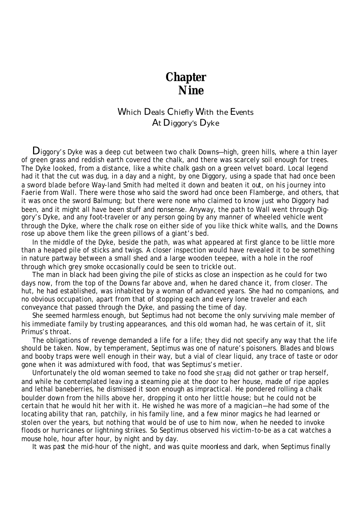## *Chapter Nine*

## Which Deals Chiefly With the Events At Diggory's Dyke

Diggory's Dyke was a deep cut between two chalk Downs—high, green hills, where a thin layer of green grass and reddish earth covered the chalk, and there was scarcely soil enough for trees. The Dyke looked, from a distance, like a white chalk gash on a green velvet board. Local legend had it that the cut was dug, in a day and a night, by one Diggory, using a spade that had once been a sword blade before Way-land Smith had melted it down and beaten it out, on his journey into Faerie from Wall. There were those who said the sword had once been Flamberge, and others, that it was once the sword Balmung; but there were none who claimed to know just who Diggory had been, and it might all have been stuff and nonsense. Anyway, the path to Wall went through Diggory's Dyke, and any foot-traveler or any person going by any manner of wheeled vehicle went through the Dyke, where the chalk rose on either side of you like thick white walls, and the Downs rose up above them like the green pillows of a giant's bed.

In the middle of the Dyke, beside the path, was what appeared at first glance to be little more than a heaped pile of sticks and twigs. A closer inspection would have revealed it to be something in nature partway between a small shed and a large wooden teepee, with a hole in the roof through which grey smoke occasionally could be seen to trickle out.

The man in black had been giving the pile of sticks as close an inspection as he could for two days now, from the top of the Downs far above and, when he dared chance it, from closer. The hut, he had established, was inhabited by a woman of advanced years. She had no companions, and no obvious occupation, apart from that of stopping each and every lone traveler and each conveyance that passed through the Dyke, and passing the time of day.

She seemed harmless enough, but Septimus had not become the only surviving male member of his immediate family by trusting appearances, and this old woman had, he was certain of it, slit Primus's throat.

The obligations of revenge demanded a life for a life; they did not specify any way that the life should be taken. Now, by temperament, Septimus was one of nature's poisoners. Blades and blows and booby traps were well enough in their way, but a vial of clear liquid, any trace of taste or odor gone when it was admixtured with food, that was Septimus's *metier.*

Unfortunately the old woman seemed to take no food she STABJ did not gather or trap herself, and while he contemplated leav ing a steaming pie at the door to her house, made of ripe apples and lethal baneberries, he dismissed it soon enough as impractical. He pondered rolling a chalk boulder down from the hills above her, dropping it onto her little house; but he could not be certain that he would hit her with it. He wished he was more of a magician—he had some of the locating ability that ran, patchily, in his family line, and a few minor magics he had learned or stolen over the years, but nothing that would be of use to him now, when he needed to invoke floods or hurricanes or lightning strikes. So Septimus observed his victim-to-be as a cat watches a mouse hole, hour after hour, by night and by day.

It was past the mid-hour of the night, and was quite moonless and dark, when Septimus finally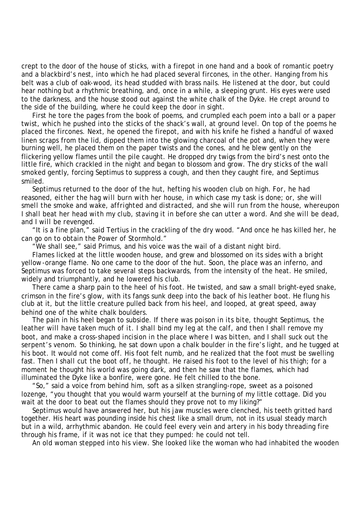crept to the door of the house of sticks, with a firepot in one hand and a book of romantic poetry and a blackbird's nest, into which he had placed several fircones, in the other. Hanging from his belt was a club of oak-wood, its head studded with brass nails. He listened at the door, but could hear nothing but a rhythmic breathing, and, once in a while, a sleeping grunt. His eyes were used to the darkness, and the house stood out against the white chalk of the Dyke. He crept around to the side of the building, where he could keep the door in sight.

First he tore the pages from the book of poems, and crumpled each poem into a ball or a paper twist, which he pushed into the sticks of the shack's wall, at ground level. On top of the poems he placed the fircones. Next, he opened the firepot, and with his knife he fished a handful of waxed linen scraps from the lid, dipped them into the glowing charcoal of the pot and, when they were burning well, he placed them on the paper twists and the cones, and he blew gently on the flickering yellow flames until the pile caught. He dropped dry twigs from the bird's nest onto the little fire, which crackled in the night and began to blossom and grow. The dry sticks of the wall smoked gently, forcing Septimus to suppress a cough, and then they caught fire, and Septimus smiled.

Septimus returned to the door of the hut, hefting his wooden club on high. *For,* he had reasoned, *either the hag will burn with her house, in which case my task is done; or, she will smell the smoke and wake, affrighted and distracted, and she will run from the house, whereupon I shall beat her head with my club, staving it in before she can utter a word. And she will be dead, and I will be revenged.*

"It is a fine plan," said Tertius in the crackling of the dry wood. "And once he has killed her, he can go on to obtain the Power of Stormhold."

"We shall see," said Primus, and his voice was the wail of a distant night bird.

Flames licked at the little wooden house, and grew and blossomed on its sides with a bright yellow-orange flame. No one came to the door of the hut. Soon, the place was an inferno, and Septimus was forced to take several steps backwards, from the intensity of the heat. He smiled, widely and triumphantly, and he lowered his club.

There came a sharp pain to the heel of his foot. He twisted, and saw a small bright-eyed snake, crimson in the fire's glow, with its fangs sunk deep into the back of his leather boot. He flung his club at it, but the little creature pulled back from his heel, and looped, at great speed, away behind one of the white chalk boulders.

The pain in his heel began to subside. *If there was poison in its bite,* thought Septimus, *the leather will have taken much of it. I shall bind my leg at the calf, and then I shall remove my*  boot, and make a cross-shaped incision in the place where I was bitten, and I shall suck out the *serpent's venom.* So thinking, he sat down upon a chalk boulder in the fire's light, and he tugged at his boot. It would not come off. His foot felt numb, and he realized that the foot must be swelling fast. *Then I shall cut the boot off,* he thought. He raised his foot to the level of his thigh; for a moment he thought his world was going dark, and then he saw that the flames, which had illuminated the Dyke like a bonfire, were gone. He felt chilled to the bone.

"So," said a voice from behind him, soft as a silken strangling-rope, sweet as a poisoned lozenge, "you thought that you would warm yourself at the burning of my little cottage. Did you wait at the door to beat out the flames should they prove not to my liking?"

Septimus would have answered her, but his jaw muscles were clenched, his teeth gritted hard together. His heart was pounding inside his chest like a small drum, not in its usual steady march but in a wild, arrhythmic abandon. He could feel every vein and artery in his body threading fire through his frame, if it was not ice that they pumped: he could not tell.

An old woman stepped into his view. She looked like the woman who had inhabited the wooden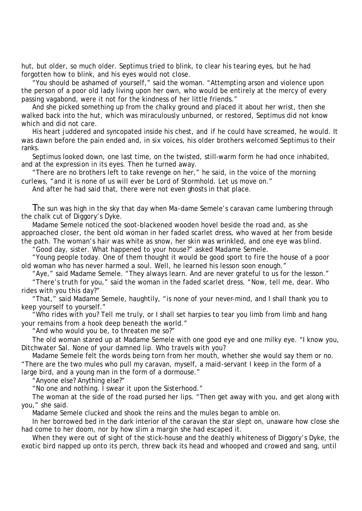hut, but older, so much older. Septimus tried to blink, to clear his tearing eyes, but he had forgotten how to blink, and his eyes would not close.

"You should be ashamed of yourself," said the woman. "Attempting arson and violence upon the person of a poor old lady living upon her own, who would be entirely at the mercy of every passing vagabond, were it not for the kindness of her little friends."

And she picked something up from the chalky ground and placed it about her wrist, then she walked back into the hut, which was miraculously unburned, or restored, Septimus did not know which and did not care.

His heart juddered and syncopated inside his chest, and if he could have screamed, he would. It was dawn before the pain ended and, in six voices, his older brothers welcomed Septimus to their ranks.

Septimus looked down, one last time, on the twisted, still-warm form he had once inhabited, and at the expression in its eyes. Then he turned away.

"There are no brothers left to take revenge on her," he said, in the voice of the morning curlews, "and it is none of us will ever be Lord of Stormhold. Let us move on."

And after he had said that, there were not even ghosts in that place.

The sun was high in the sky that day when Ma-dame Semele's caravan came lumbering through the chalk cut of Diggory's Dyke.

Madame Semele noticed the soot-blackened wooden hovel beside the road and, as she approached closer, the bent old woman in her faded scarlet dress, who waved at her from beside the path. The woman's hair was white as snow, her skin was wrinkled, and one eye was blind.

"Good day, sister. What happened to your house?" asked Madame Semele.

"Young people today. One of them thought it would be good sport to fire the house of a poor old woman who has never harmed a soul. Well, he learned his lesson soon enough."

"Aye," said Madame Semele. "They always learn. And are never grateful to us for the lesson." "There's truth for you," said the woman in the faded scarlet dress. "Now, tell me, dear. Who rides with you this day?"

"That," said Madame Semele, haughtily, "is none of your never-mind, and I shall thank you to keep yourself to yourself."

"Who rides with you? Tell me truly, or I shall set harpies to tear you limb from limb and hang your remains from a hook deep beneath the world."

"And who would you be, to threaten me so?"

The old woman stared up at Madame Semele with one good eye and one milky eye. "I know you, Ditchwater Sal. None of your damned lip. Who travels with you?

Madame Semele felt the words being torn from her mouth, whether she would say them or no. "There are the two mules who pull my caravan, myself, a maid-servant I keep in the form of a large bird, and a young man in the form of a dormouse."

"Anyone else? Anything else?"

"No one and nothing. I swear it upon the Sisterhood."

The woman at the side of the road pursed her lips. "Then get away with you, and get along with you," she said.

Madame Semele clucked and shook the reins and the mules began to amble on.

In her borrowed bed in the dark interior of the caravan the star slept on, unaware how close she had come to her doom, nor by how slim a margin she had escaped it.

When they were out of sight of the stick-house and the deathly whiteness of Diggory's Dyke, the exotic bird napped up onto its perch, threw back its head and whooped and crowed and sang, until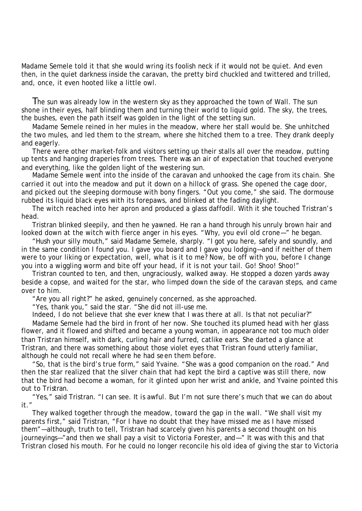Madame Semele told it that she would wring its foolish neck if it would not be quiet. And even then, in the quiet darkness inside the caravan, the pretty bird chuckled and twittered and trilled, and, once, it even hooted like a little owl.

The sun was already low in the western sky as they approached the town of Wall. The sun shone in their eyes, half blinding them and turning their world to liquid gold. The sky, the trees, the bushes, even the path itself was golden in the light of the setting sun.

Madame Semele reined in her mules in the meadow, where her stall would be. She unhitched the two mules, and led them to the stream, where she hitched them to a tree. They drank deeply and eagerly.

There were other market-folk and visitors setting up their stalls all over the meadow, putting up tents and hanging draperies from trees. There was an air of expectation that touched everyone and everything, like the golden light of the westering sun.

Madame Semele went into the inside of the caravan and unhooked the cage from its chain. She carried it out into the meadow and put it down on a hillock of grass. She opened the cage door, and picked out the sleeping dormouse with bony fingers. "Out you come," she said. The dormouse rubbed its liquid black eyes with its forepaws, and blinked at the fading daylight.

The witch reached into her apron and produced a glass daffodil. With it she touched Tristran's head.

Tristran blinked sleepily, and then he yawned. He ran a hand through his unruly brown hair and looked down at the witch with fierce anger in his eyes. "Why, you evil old crone—" he began.

"Hush your silly mouth," said Madame Semele, sharply. "I got you here, safely and soundly, and in the same condition I found you. I gave you board and I gave you lodging—and if neither of them were to your liking or expectation, well, what is it to me? Now, be off with you, before I change you into a wiggling worm and bite off your head, if it is not your tail. Go! Shoo! Shoo!"

Tristran counted to ten, and then, ungraciously, walked away. He stopped a dozen yards away beside a copse, and waited for the star, who limped down the side of the caravan steps, and came over to him.

"Are you all right?" he asked, genuinely concerned, as she approached.

"Yes, thank you," said the star. "She did not ill-use me.

Indeed, I do not believe that she ever knew that I was there at all. Is that not peculiar?" Madame Semele had the bird in front of her now. She touched its plumed head with her glass flower, and it flowed and shifted and became a young woman, in appearance not too much older than Tristran himself, with dark, curling hair and furred, catlike ears. She darted a glance at Tristran, and there was something about those violet eyes that Tristran found utterly familiar, although he could not recall where he had seen them before.

"So, that is the bird's true form," said Yvaine. "She was a good companion on the road." And then the star realized that the silver chain that had kept the bird a captive was still there, now that the bird had become a woman, for it glinted upon her wrist and ankle, and Yvaine pointed this out to Tristran.

"Yes," said Tristran. "I can see. It *is* awful. But I'm not sure there's much that we can do about it."

They walked together through the meadow, toward the gap in the wall. "We shall visit my parents first," said Tristran, "For I have no doubt that they have missed me as I have missed them"—although, truth to tell, Tristran had scarcely given his parents a second thought on his journeyings—"and then we shall pay a visit to Victoria Forester, and—" It was with this *and* that Tristran closed his mouth. For he could no longer reconcile his old idea of giving the star to Victoria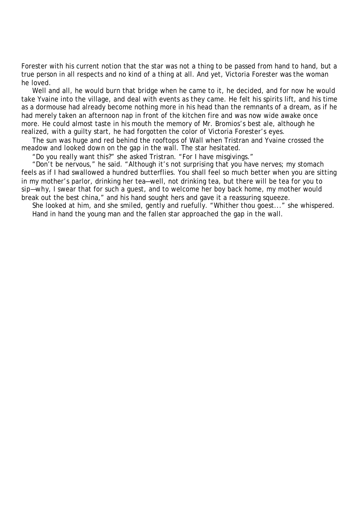Forester with his current notion that the star was not a thing to be passed from hand to hand, but a true person in all respects and no kind of a thing at all. And yet, Victoria Forester *was* the woman he loved.

Well and all, he would burn that bridge when he came to it, he decided, and for now he would take Yvaine into the village, and deal with events as they came. He felt his spirits lift, and his time as a dormouse had already become nothing more in his head than the remnants of a dream, as if he had merely taken an afternoon nap in front of the kitchen fire and was now wide awake once more. He could almost taste in his mouth the memory of Mr. Bromios's best ale, although he realized, with a guilty start, he had forgotten the color of Victoria Forester's eyes.

The sun was huge and red behind the rooftops of Wall when Tristran and Yvaine crossed the meadow and looked down on the gap in the wall. The star hesitated.

"Do you really want this?" she asked Tristran. "For I have misgivings."

"Don't be nervous," he said. "Although it's not surprising that you have nerves; my stomach feels as if I had swallowed a hundred butterflies. You shall feel so much better when you are sitting in my mother's parlor, drinking her tea—well, not drinking tea, but there will be tea for you to sip—why, I swear that for such a guest, and to welcome her boy back home, my mother would break out the best china," and his hand sought hers and gave it a reassuring squeeze.

She looked at him, and she smiled, gently and ruefully. "Whither thou goest..." she whispered. Hand in hand the young man and the fallen star approached the gap in the wall.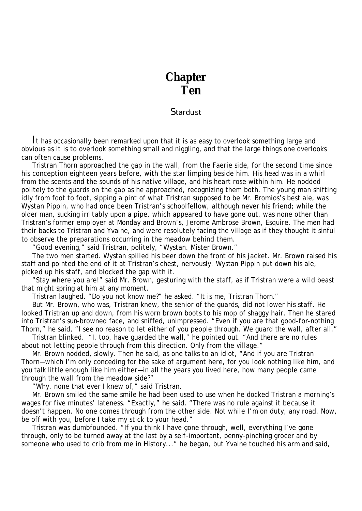# *Chapter Ten*

#### **Stardust**

It has occasionally been remarked upon that it is as easy to overlook something large and obvious as it is to overlook something small and niggling, and that the large things one overlooks can often cause problems.

Tristran Thorn approached the gap in the wall, from the Faerie side, for the second time since his conception eighteen years before, with the star limping beside him. His head was in a whirl from the scents and the sounds of his native village, and his heart rose within him. He nodded politely to the guards on the gap as he approached, recognizing them both. The young man shifting idly from foot to foot, sipping a pint of what Tristran supposed to be Mr. Bromios's best ale, was Wystan Pippin, who had once been Tristran's schoolfellow, although never his friend; while the older man, sucking irritably upon a pipe, which appeared to have gone out, was none other than Tristran's former employer at Monday and Brown's, Jerome Ambrose Brown, Esquire. The men had their backs to Tristran and Yvaine, and were resolutely facing the village as if they thought it sinful to observe the preparations occurring in the meadow behind them.

"Good evening," said Tristran, politely, "Wystan. Mister Brown."

The two men started. Wystan spilled his beer down the front of his jacket. Mr. Brown raised his staff and pointed the end of it at Tristran's chest, nervously. Wystan Pippin put down his ale, picked up his staff, and blocked the gap with it.

"Stay where you are!" said Mr. Brown, gesturing with the staff, as if Tristran were a wild beast that might spring at him at any moment.

Tristran laughed. "Do you not know me?" he asked. "It is me, Tristran Thorn."

But Mr. Brown, who was, Tristran knew, the senior of the guards, did not lower his staff. He looked Tristran up and down, from his worn brown boots to his mop of shaggy hair. Then he stared into Tristran's sun-browned face, and sniffed, unimpressed. "Even if you are that good-for-nothing Thorn," he said, "I see no reason to let either of you people through. We guard the wall, after all."

Tristran blinked. "I, too, have guarded the wall," he pointed out. "And there are no rules about not letting people through from this direction. Only from the village."

Mr. Brown nodded, slowly. Then he said, as one talks to an idiot, "And if you are Tristran Thorn—which I'm only conceding for the sake of argument here, for you look nothing like him, and you talk little enough like him either—in all the years you lived here, how many people came through the wall from the meadow side?"

"Why, none that ever I knew of," said Tristran.

Mr. Brown smiled the same smile he had been used to use when he docked Tristran a morning's wages for five minutes' lateness. "Exactly," he said. "There was no rule against it because it doesn't happen. No one comes through from the other side. Not while *I'm* on duty, any road. Now, be off with you, before I take my stick to your head."

Tristran was dumbfounded. "If you think I have gone through, well, everything I've gone through, only to be turned away at the last by a self-important, penny-pinching grocer and by someone who used to crib from me in History..." he began, but Yvaine touched his arm and said,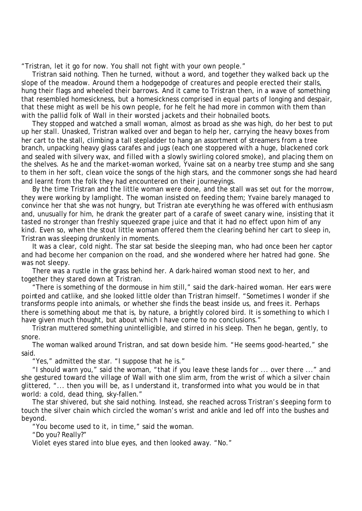"Tristran, let it go for now. You shall not fight with your own people."

Tristran said nothing. Then he turned, without a word, and together they walked back up the slope of the meadow. Around them a hodgepodge of creatures and people erected their stalls, hung their flags and wheeled their barrows. And it came to Tristran then, in a wave of something that resembled homesickness, but a homesickness comprised in equal parts of longing and despair, that these might as well be his own people, for he felt he had more in common with them than with the pallid folk of Wall in their worsted jackets and their hobnailed boots.

They stopped and watched a small woman, almost as broad as she was high, do her best to put up her stall. Unasked, Tristran walked over and began to help her, carrying the heavy boxes from her cart to the stall, climbing a tall stepladder to hang an assortment of streamers from a tree branch, unpacking heavy glass carafes and jugs (each one stoppered with a huge, blackened cork and sealed with silvery wax, and filled with a slowly swirling colored smoke), and placing them on the shelves. As he and the market-woman worked, Yvaine sat on a nearby tree stump and she sang to them in her soft, clean voice the songs of the high stars, and the commoner songs she had heard and learnt from the folk they had encountered on their journeyings.

By the time Tristran and the little woman were done, and the stall was set out for the morrow, they were working by lamplight. The woman insisted on feeding them; Yvaine barely managed to convince her that she was not hungry, but Tristran ate everything he was offered with enthusiasm and, unusually for him, he drank the greater part of a carafe of sweet canary wine, insisting that it tasted no stronger than freshly squeezed grape juice and that it had no effect upon him of any kind. Even so, when the stout little woman offered them the clearing behind her cart to sleep in, Tristran was sleeping drunkenly in moments.

It was a clear, cold night. The star sat beside the sleeping man, who had once been her captor and had become her companion on the road, and she wondered where her hatred had gone. She was not sleepy.

There was a rustle in the grass behind her. A dark-haired woman stood next to her, and together they stared down at Tristran.

"There is something of the dormouse in him still," said the dark-haired woman. Her ears were pointed and catlike, and she looked little older than Tristran himself. "Sometimes I wonder if she transforms people into animals, or whether she finds the beast inside us, and frees it. Perhaps there is something about me that is, by nature, a brightly colored bird. It is something to which I have given much thought, but about which I have come to no conclusions."

Tristran muttered something unintelligible, and stirred in his sleep. Then he began, gently, to snore.

The woman walked around Tristran, and sat down beside him. "He seems good-hearted," she said.

"Yes," admitted the star. "I suppose that he is."

"I should warn you," said the woman, "that if you leave these lands for ... over there ..." and she gestured toward the village of Wall with one slim arm, from the wrist of which a silver chain glittered, "... then you will be, as I understand it, transformed into what you would be in that world: a cold, dead thing, sky-fallen."

The star shivered, but she said nothing. Instead, she reached across Tristran's sleeping form to touch the silver chain which circled the woman's wrist and ankle and led off into the bushes and beyond.

"You become used to it, in time," said the woman.

"Do you? Really?"

Violet eyes stared into blue eyes, and then looked away. "No."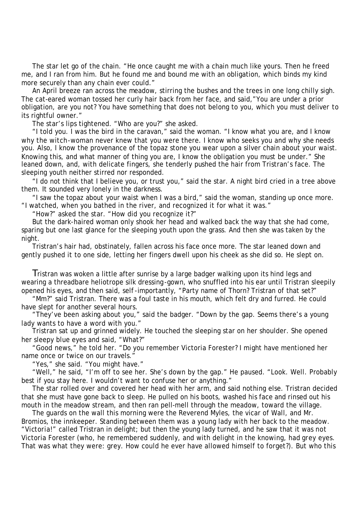The star let go of the chain. "He once caught me with a chain much like yours. Then he freed me, and I ran from him. But he found me and bound me with an obligation, which binds my kind more securely than any chain ever could."

An April breeze ran across the meadow, stirring the bushes and the trees in one long chilly sigh. The cat-eared woman tossed her curly hair back from her face, and said,"You are under a prior obligation, are you not? You have something that does not belong to you, which you must deliver to its rightful owner."

The star's lips tightened. "Who are you?" she asked.

"I told you. I was the bird in the caravan," said the woman. "I know what you are, and I know why the witch-woman never knew that you were there. I know who seeks you and why she needs you. Also, I know the provenance of the topaz stone you wear upon a silver chain about your waist. Knowing this, and what manner of thing you are, I know the obligation you must be under." She leaned down, and, with delicate fingers, she tenderly pushed the hair from Tristran's face. The sleeping youth neither stirred nor responded.

"I do not think that I believe you, or trust you," said the star. A night bird cried in a tree above them. It sounded very lonely in the darkness.

"I saw the topaz about your waist when I was a bird," said the woman, standing up once more. "I watched, when you bathed in the river, and recognized it for what it was."

"How?" asked the star. "How did you recognize it?"

But the dark-haired woman only shook her head and walked back the way that she had come, sparing but one last glance for the sleeping youth upon the grass. And then she was taken by the night.

Tristran's hair had, obstinately, fallen across his face once more. The star leaned down and gently pushed it to one side, letting her fingers dwell upon his cheek as she did so. He slept on.

Tristran was woken a little after sunrise by a large badger walking upon its hind legs and wearing a threadbare heliotrope silk dressing-gown, who snuffled into his ear until Tristran sleepily opened his eyes, and then said, self-importantly, "Party name of Thorn? Tristran of that set?"

"Mm?" said Tristran. There was a foul taste in his mouth, which felt dry and furred. He could have slept for another several hours.

"They've been asking about you," said the badger. "Down by the gap. Seems there's a young lady wants to have a word with you."

Tristran sat up and grinned widely. He touched the sleeping star on her shoulder. She opened her sleepy blue eyes and said, "What?"

"Good news," he told her. "Do you remember Victoria Forester? I might have mentioned her name once or twice on our travels."

"Yes," she said. "You might have."

"Well," he said, "I'm off to see her. She's down by the gap." He paused. "Look. Well. Probably best if you stay here. I wouldn't want to confuse her or anything."

The star rolled over and covered her head with her arm, and said nothing else. Tristran decided that she must have gone back to sleep. He pulled on his boots, washed his face and rinsed out his mouth in the meadow stream, and then ran pell-mell through the meadow, toward the village.

The guards on the wall this morning were the Reverend Myles, the vicar of Wall, and Mr. Bromios, the innkeeper. Standing between them was a young lady with her back to the meadow. *"Victoria!"* called Tristran in delight; but then the young lady turned, and he saw that it was *not*  Victoria Forester (who, he remembered suddenly, and with delight in the knowing, had *grey* eyes. That was what they were: grey. How could he ever have allowed himself to forget?). But who this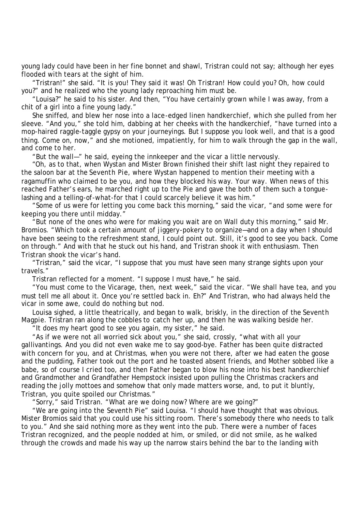young lady could have been in her fine bonnet and shawl, Tristran could not say; although her eyes flooded with tears at the sight of him.

"Tristran!" she said. "It *is* you! They said it was! Oh Tristran! How *could* you? Oh, how could you?" and he realized who the young lady reproaching him must be.

"Louisa?" he said to his sister. And then, "You have certainly grown while I was away, from a chit of a girl into a fine young lady."

She sniffed, and blew her nose into a lace-edged linen handkerchief, which she pulled from her sleeve. "And you," she told him, dabbing at her cheeks with the handkerchief, "have turned into a mop-haired raggle-taggle gypsy on your journeyings. But I suppose you look well, and that is a good thing. Come on, now," and she motioned, impatiently, for him to walk through the gap in the wall, and come to her.

"But the wall—" he said, eyeing the innkeeper and the vicar a little nervously.

"Oh, as to that, when Wystan and Mister Brown finished their shift last night they repaired to the saloon bar at the *Seventh Pie,* where Wystan happened to mention their meeting with a ragamuffin who claimed to be you, and how they blocked his way. Your way. When news of this reached Father's ears, he marched right up to the *Pie* and gave the both of them such a tonguelashing and a telling-of-what-for that I could scarcely believe it was him."

"Some of us were for letting you come back this morning," said the vicar, "and some were for keeping you there until midday."

"But none of the ones who were for making you wait are on Wall duty this morning," said Mr. Bromios. "Which took a certain amount of jiggery-pokery to organize—and on a day when I should have been seeing to the refreshment stand, I could point out. Still, it's good to see you back. Come on through." And with that he stuck out his hand, and Tristran shook it with enthusiasm. Then Tristran shook the vicar's hand.

"Tristran," said the vicar, "I suppose that you must have seen many strange sights upon your travels."

Tristran reflected for a moment. "I suppose I must have," he said.

"You must come to the Vicarage, then, next week," said the vicar. "We shall have tea, and you must tell me all about it. Once you're settled back in. Eh?" And Tristran, who had always held the vicar in some awe, could do nothing but nod.

Louisa sighed, a little theatrically, and began to walk, briskly, in the direction of the *Seventh Magpie.* Tristran ran along the cobbles to catch her up, and then he was walking beside her.

"It does my heart good to see you again, my sister," he said.

"As if we were not all worried sick about you," she said, crossly, "what with all your gallivantings. And you did not even wake me to say good-bye. Father has been quite distracted with concern for you, and at Christmas, when you were not there, after we had eaten the goose and the pudding, Father took out the port and he toasted absent friends, and Mother sobbed like a babe, so of course I cried too, and then Father began to blow his nose into his best handkerchief and Grandmother and Grandfather Hempstock insisted upon pulling the Christmas crackers and reading the jolly mottoes and somehow that only made matters worse, and, to put it bluntly, Tristran, you quite spoiled our Christmas."

"Sorry," said Tristran. "What are we doing now? Where are we going?"

"We are going into the *Seventh Pie"* said Louisa. "I should have thought that was obvious. Mister Bromios said that you could use his sitting room. There's somebody there who needs to talk to you." And she said nothing more as they went into the pub. There were a number of faces Tristran recognized, and the people nodded at him, or smiled, or did not smile, as he walked through the crowds and made his way up the narrow stairs behind the bar to the landing with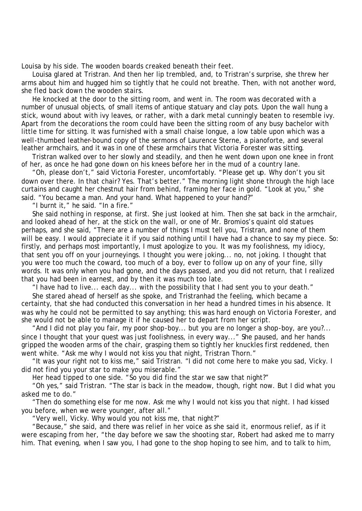Louisa by his side. The wooden boards creaked beneath their feet.

Louisa glared at Tristran. And then her lip trembled, and, to Tristran's surprise, she threw her arms about him and hugged him so tightly that he could not breathe. Then, with not another word, she fled back down the wooden stairs.

He knocked at the door to the sitting room, and went in. The room was decorated with a number of unusual objects, of small items of antique statuary and clay pots. Upon the wall hung a stick, wound about with ivy leaves, or rather, with a dark metal cunningly beaten to resemble ivy. Apart from the decorations the room could have been the sitting room of any busy bachelor with little time for sitting. It was furnished with a small chaise longue, a low table upon which was a well-thumbed leather-bound copy of the sermons of Laurence Sterne, a pianoforte, and several leather armchairs, and it was in one of these armchairs that Victoria Forester was sitting.

Tristran walked over to her slowly and steadily, and then he went down upon one knee in front of her, as once he had gone down on his knees before her in the mud of a country lane.

"Oh, please don't," said Victoria Forester, uncomfortably. "Please get up. Why don't you sit down over there. In that chair? Yes. That's better." The morning light shone through the high lace curtains and caught her chestnut hair from behind, framing her face in gold. "Look at you," she said. "You became a man. And your hand. What happened to your hand?"

"I burnt it," he said. "In a fire."

She said nothing in response, at first. She just looked at him. Then she sat back in the armchair, and looked ahead of her, at the stick on the wall, or one of Mr. Bromios's quaint old statues perhaps, and she said, "There are a number of things I must tell you, Tristran, and none of them will be easy. I would appreciate it if you said nothing until I have had a chance to say my piece. So: firstly, and perhaps most importantly, I must apologize to you. It was my foolishness, my idiocy, that sent you off on your journeyings. I thought you were joking... no, not joking. I thought that you were too much the coward, too much of a boy, ever to follow up on any of your fine, silly words. It was only when you had gone, and the days passed, and you did not return, that I realized that you had been in earnest, and by then it was much too late.

"I have had to live... each day... with the possibility that I had sent you to your death."

She stared ahead of herself as she spoke, and Tristranhad the feeling, which became a certainty, that she had conducted this conversation in her head a hundred times in his absence. It was why he could not be permitted to say anything; this was hard enough on Victoria Forester, and she would not be able to manage it if he caused her to depart from her script.

"And I did not play you fair, my poor shop-boy... but you are no longer a shop-boy, are you?... since I thought that your quest was just foolishness, in every way..." She paused, and her hands gripped the wooden arms of the chair, grasping them so tightly her knuckles first reddened, then went white. "Ask me why I would not kiss you that night, Tristran Thorn."

"It was your right not to kiss me," said Tristran. "I did not come here to make you sad, Vicky. I did not find you your star to make you miserable."

Her head tipped to one side. "So you *did* find the star we saw that night?"

"Oh yes," said Tristran. "The star is back in the meadow, though, right now. But I did what you asked me to do."

"Then do something else for me now. Ask me why I would not kiss you that night. I had kissed you before, when we were younger, after all."

"Very well, Vicky. Why would you not kiss me, that night?"

"Because," she said, and there was relief in her voice as she said it, enormous relief, as if it were escaping from her, "the day before we saw the shooting star, Robert had asked me to marry him. That evening, when I saw you, I had gone to the shop hoping to see him, and to talk to him,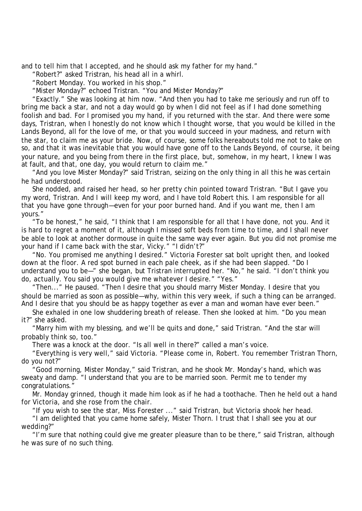and to tell him that I accepted, and he should ask my father for my hand."

"Robert?" asked Tristran, his head all in a whirl.

"Robert Monday. You worked in his shop."

"Mister Monday?" echoed Tristran. "You and Mister Monday?"

"Exactly." She was looking at him now. "And then you had to take me seriously and run off to bring me back a star, and not a day would go by when I did not feel as if I had done something foolish and bad. For I promised you my hand, if you returned with the star. And there were some days, Tristran, when I honestly do not know which I thought worse, that you would be killed in the Lands Beyond, all for the love of me, or that you would succeed in your madness, and return with the star, to claim me as your bride. Now, of course, some folks hereabouts told me not to take on so, and that it was inevitable that you would have gone off to the Lands Beyond, of course, it being your nature, and you being from there in the first place, but, somehow, in my heart, I knew I was at fault, and that, one day, you would return to claim me."

"And you love Mister Monday?" said Tristran, seizing on the only thing in all this he was certain he had understood.

She nodded, and raised her head, so her pretty chin pointed toward Tristran. "But I gave you my word, Tristran. And I *will* keep my word, and I have told Robert this. I am responsible for all that you have gone through—even for your poor burned hand. And if you want me, then I am yours."

"To be honest," he said, "I think that I am responsible for all that I have done, not you. And it is hard to regret a moment of it, although I missed soft beds from time to time, and I shall never be able to look at another dormouse in quite the same way ever again. But you did not promise me your hand if I came back with the star, Vicky." "I didn't?"

"No. You promised me anything I desired." Victoria Forester sat bolt upright then, and looked down at the floor. A red spot burned in each pale cheek, as if she had been slapped. "Do I understand you to be—" she began, but Tristran interrupted her. "No," he said. "I don't think you do, actually. You said you would give me whatever I desire." "Yes."

"Then..." He paused. "Then I desire that you should marry Mister Monday. I desire that you should be married as soon as possible—why, within this very week, if such a thing can be arranged. And I desire that you should be as happy together as ever a man and woman have ever been."

She exhaled in one low shuddering breath of release. Then she looked at him. "Do you mean it?" she asked.

"Marry him with my blessing, and we'll be quits and done," said Tristran. "And the star will probably think so, too."

There was a knock at the door. "Is all well in there?" called a man's voice.

"Everything is very well," said Victoria. "Please come in, Robert. You remember Tristran Thorn, do you not?"

"Good morning, Mister Monday," said Tristran, and he shook Mr. Monday's hand, which was sweaty and damp. "I understand that you are to be married soon. Permit me to tender my congratulations."

Mr. Monday grinned, though it made him look as if he had a toothache. Then he held out a hand for Victoria, and she rose from the chair.

"If you wish to see the star, Miss Forester ..." said Tristran, but Victoria shook her head.

"I am delighted that you came home safely, Mister Thorn. I trust that I shall see you at our wedding?"

"I'm sure that nothing could give me greater pleasure than to be there," said Tristran, although he was sure of no such thing.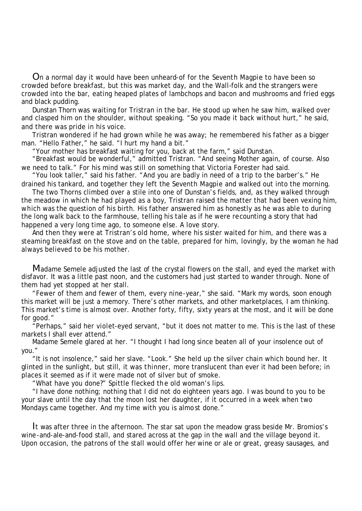On a normal day it would have been unheard-of for the *Seventh Magpie* to have been so crowded before breakfast, but this was market day, and the Wall-folk and the strangers were crowded into the bar, eating heaped plates of lambchops and bacon and mushrooms and fried eggs and black pudding.

Dunstan Thorn was waiting for Tristran in the bar. He stood up when he saw him, walked over and clasped him on the shoulder, without speaking. "So you made it back without hurt," he said, and there was pride in his voice.

Tristran wondered if he had grown while he was away; he remembered his father as a bigger man. "Hello Father," he said. "I hurt my hand a bit."

"Your mother has breakfast waiting for you, back at the farm," said Dunstan.

"Breakfast would be wonderful," admitted Tristran. "And seeing Mother again, of course. Also we need to talk." For his mind was still on something that Victoria Forester had said.

"You look taller," said his father. "And you are badly in need of a trip to the barber's." He drained his tankard, and together they left the *Seventh Magpie* and walked out into the morning.

The two Thorns climbed over a stile into one of Dunstan's fields, and, as they walked through the meadow in which he had played as a boy, Tristran raised the matter that had been vexing him, which was the question of his birth. His father answered him as honestly as he was able to during the long walk back to the farmhouse, telling his tale as if he were recounting a story that had happened a very long time ago, to someone else. A love story.

And then they were at Tristran's old home, where his sister waited for him, and there was a steaming breakfast on the stove and on the table, prepared for him, lovingly, by the woman he had always believed to be his mother.

Madame Semele adjusted the last of the crystal flowers on the stall, and eyed the market with disfavor. It was a little past noon, and the customers had just started to wander through. None of them had yet stopped at her stall.

"Fewer of them and fewer of them, every nine-year," she said. "Mark my words, soon enough this market will be just a memory. There's other markets, and other marketplaces, I am thinking. This market's time is almost over. Another forty, fifty, sixty years at the most, and it will be done for good."

"Perhaps," said her violet-eyed servant, "but it does not matter to me. This is the last of these markets I shall ever attend."

Madame Semele glared at her. "I thought I had long since beaten all of your insolence out of you."

"It is not insolence," said her slave. "Look." She held up the silver chain which bound her. It glinted in the sunlight, but still, it was *thinner,* more translucent than ever it had been before; in places it seemed as if it were made not of silver but of smoke.

"What have you done?" Spittle flecked the old woman's lips.

"I have done nothing; nothing that I did not do eighteen years ago. I was bound to you to be your slave until the day that the moon lost her daughter, if it occurred in a week when two Mondays came together. And my time with you is almost done."

It *was* after three in the afternoon. The star sat upon the meadow grass beside Mr. Bromios's wine-and-ale-and-food stall, and stared across at the gap in the wall and the village beyond it. Upon occasion, the patrons of the stall would offer her wine or ale or great, greasy sausages, and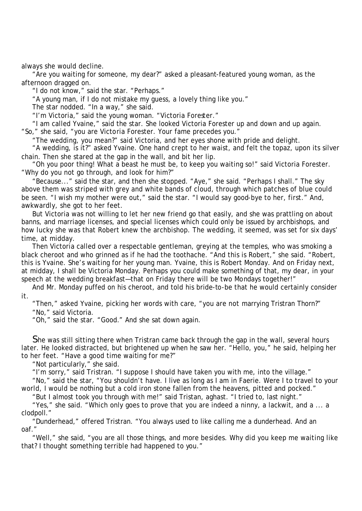always she would decline.

"Are you waiting for someone, my dear?" asked a pleasant-featured young woman, as the afternoon dragged on.

"I do not know," said the star. "Perhaps."

"A young man, if I do not mistake my guess, a lovely thing like you."

The star nodded. "In a way," she said.

"I'm Victoria," said the young woman. "Victoria Forester."

"I am called Yvaine," said the star. She looked Victoria Forester up and down and up again.

"So," she said, "you are Victoria Forester. Your fame precedes you."

"The wedding, you mean?" said Victoria, and her eyes shone with pride and delight.

"A wedding, is it?" asked Yvaine. One hand crept to her waist, and felt the topaz, upon its silver chain. Then she stared at the gap in the wall, and bit her lip.

"Oh you poor thing! What a beast he must be, to keep you waiting so!" said Victoria Forester. "Why do you not go through, and look for him?"

"Because..." said the star, and then she stopped. "Aye," she said. "Perhaps I shall." The sky above them was striped with grey and white bands of cloud, through which patches of blue could be seen. "I wish my mother were out," said the star. "I would say good-bye to her, first." And, awkwardly, she got to her feet.

But Victoria was not willing to let her new friend go that easily, and she was prattling on about banns, and marriage licenses, and special licenses which could only be issued by archbishops, and how lucky she was that Robert knew the archbishop. The wedding, it seemed, was set for six days' time, at midday.

Then Victoria called over a respectable gentleman, greying at the temples, who was smoking a black cheroot and who grinned as if he had the toothache. "And this is Robert," she said. "Robert, this is Yvaine. She's waiting for her young man. Yvaine, this is Robert Monday. And on Friday next, at midday, I shall be Victoria Monday. Perhaps you could make something of that, my dear, in your speech at the wedding breakfast—that on Friday there will be two Mondays together!"

And Mr. Monday puffed on his cheroot, and told his bride-to-be that he would certainly consider it.

"Then," asked Yvaine, picking her words with care, "you are *not* marrying Tristran Thorn?"

"No," said Victoria.

"Oh," said the star. "Good." And she sat down again.

She was still sitting there when Tristran came back through the gap in the wall, several hours later. He looked distracted, but brightened up when he saw her. "Hello, you," he said, helping her to her feet. "Have a good time waiting for me?"

"Not particularly," she said.

"I'm sorry," said Tristran. "I suppose I should have taken you with me, into the village."

"No," said the star, "You shouldn't have. I live as long as I am in Faerie. Were I to travel to your world, I would be nothing but a cold iron stone fallen from the heavens, pitted and pocked."

"But I almost took you through with me!" said Tristan, aghast. "I tried to, last night."

"Yes," she said. "Which only goes to prove that you are indeed a ninny, a lackwit, and a ... a clodpoll."

"Dunderhead," offered Tristran. "You always used to like calling me a dunderhead. And an oaf."

"Well," she said, "you are all those things, and more besides. Why did you keep me waiting like that? I thought something terrible had happened to you."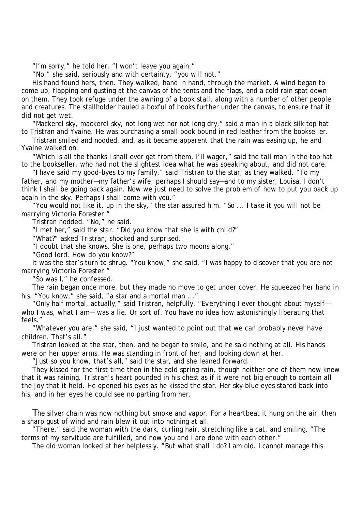"I'm sorry," he told her. "I won't leave you again."

"No," she said, seriously and with certainty, "you will not."

His hand found hers, then. They walked, hand in hand, through the market. A wind began to come up, flapping and gusting at the canvas of the tents and the flags, and a cold rain spat down on them. They took refuge under the awning of a book stall, along with a number of other people and creatures. The stallholder hauled a boxful of books further under the canvas, to ensure that it did not get wet.

"Mackerel sky, mackerel sky, not long wet nor not long dry," said a man in a black silk top hat to Tristran and Yvaine. He was purchasing a small book bound in red leather from the bookseller.

Tristran smiled and nodded, and, as it became apparent that the rain was easing up, he and Yvaine walked on.

"Which is all the thanks I shall ever get from them, I'll wager," said the tall man in the top hat to the bookseller, who had not the slightest idea what he was speaking about, and did not care.

"I hav e said my good-byes to my family," said Tristran to the star, as they walked. "To my father, and my mother—my father's wife, perhaps I should say—and to my sister, Louisa. I don't think I shall be going back again. Now we just need to solve the problem of how to put you back up again in the sky. Perhaps I shall come with you."

"You would not like it, up in the sky," the star assured him. "So ... I take it you will not be marrying Victoria Forester."

Tristran nodded. "No," he said.

"I met her," said the star. "Did you know that she is with child?"

"What?" asked Tristran, shocked and surprised.

"I doubt that she knows. She is one, perhaps two moons along."

"Good lord. How do you know?"

It was the star's turn to shrug. "You know," she said, "I was happy to discover that you are not marrying Victoria Forester."

"So was I," he confessed.

The rain began once more, but they made no move to get under cover. He squeezed her hand in his. "You know," she said, "a star and a mortal man ..."

"Only half mortal, actually," said Tristran, helpfully. "Everything I ever thought about myself who I was, what I am- was a lie. Or sort of. You have no idea how astonishingly liberating that feels."

"Whatever you are," she said, "I just wanted to point out that we can probably never have children. That's all."

Tristran looked at the star, then, and he began to smile, and he said nothing at all. His hands were on her upper arms. He was standing in front of her, and looking down at her.

"Just so you know, that's all," said the star, and she leaned forward.

They kissed for the first time then in the cold spring rain, though neither one of them now knew that it was raining. Tristran's heart pounded in his chest as if it were not big enough to contain all the joy that it held. He opened his eyes as he kissed the star. Her sky-blue eyes stared back into his, and in her eyes he could see no parting from her.

The silver chain was now nothing but smoke and vapor. For a heartbeat it hung on the air, then a sharp gust of wind and rain blew it out into nothing at all.

"There," said the woman with the dark, curling hair, stretching like a cat, and smiling. "The terms of my servitude are fulfilled, and now you and I are done with each other."

The old woman looked at her helplessly. "But what shall I do? I am old. I cannot manage this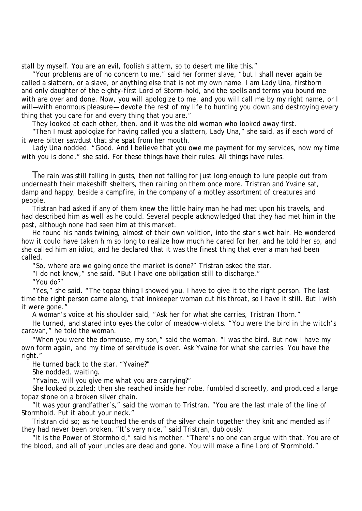stall by myself. You are an evil, foolish slattern, so to desert me like this."

"Your problems are of no concern to me," said her former slave, "but I shall never again be called a slattern, or a slave, or anything else that is not my own name. I am Lady Una, firstborn and only daughter of the eighty-first Lord of Storm-hold, and the spells and terms you bound me with are over and done. Now, you will apologize to me, and you will call me by my right name, or I will—with enormous pleasure— devote the rest of my life to hunting you down and destroying every thing that you care for and every thing that you are."

They looked at each other, then, and it was the old woman who looked away first.

"Then I must apologize for having called you a slattern, Lady Una," she said, as if each word of it were bitter sawdust that she spat from her mouth.

Lady Una nodded. "Good. And I believe that you owe me payment for my services, now my time with you is done," she said. For these things have their rules. All things have rules.

The rain was still falling in gusts, then not falling for just long enough to lure people out from underneath their makeshift shelters, then raining on them once more. Tristran and Yvaine sat, damp and happy, beside a campfire, in the company of a motley assortment of creatures and people.

Tristran had asked if any of them knew the little hairy man he had met upon his travels, and had described him as well as he could. Several people acknowledged that they had met him in the past, although none had seen him at this market.

He found his hands twining, almost of their own volition, into the star's wet hair. He wondered how it could have taken him so long to realize how much he cared for her, and he told her so, and she called him an idiot, and he declared that it was the finest thing that ever a man had been called.

"So, where are we going once the market is done?" Tristran asked the star.

"I do not know," she said. "But I have one obligation still to discharge."

"You do?"

"Yes," she said. "The topaz thing I showed you. I have to give it to the right person. The last time the right person came along, that innkeeper woman cut his throat, so I have it still. But I wish it were gone."

A woman's voice at his shoulder said, "Ask her for what she carries, Tristran Thorn."

He turned, and stared into eyes the color of meadow-violets. "You were the bird in the witch's caravan," he told the woman.

"When you were the dormouse, my son," said the woman. "I was the bird. But now I have my own form again, and my time of servitude is over. Ask Yvaine for what she carries. You have the right."

He turned back to the star. "Yvaine?"

She nodded, waiting.

"Yvaine, will you give me what you are carrying?"

She looked puzzled; then she reached inside her robe, fumbled discreetly, and produced a large topaz stone on a broken silver chain.

"It was your grandfather's," said the woman to Tristran. "You are the last male of the line of Stormhold. Put it about your neck."

Tristran did so; as he touched the ends of the silver chain together they knit and mended as if they had never been broken. "It's very nice," said Tristran, dubiously.

"It is the Power of Stormhold," said his mother. "There's no one can argue with that. You are of the blood, and all of your uncles are dead and gone. You will make a fine Lord of Stormhold."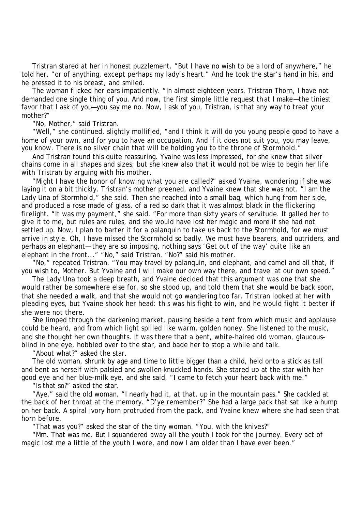Tristran stared at her in honest puzzlement. "But I have no wish to be a lord of anywhere," he told her, "or of anything, except perhaps my lady's heart." And he took the star's hand in his, and he pressed it to his breast, and smiled.

The woman flicked her ears impatiently. "In almost eighteen years, Tristran Thorn, I have not demanded one single thing of you. And now, the first simple little request that I make—the tiniest favor that I ask of you—you say me no. Now, I ask of you, Tristran, is that any way to treat your mother?"

"No, Mother," said Tristran.

"Well," she continued, slightly mollified, "and I think it will do you young people good to have a home of your own, and for you to have an occupation. And if it does not suit you, you may leave, you know. There is no silver chain that will be holding you to the throne of Stormhold."

And Tristran found this quite reassuring. Yvaine was less impressed, for she knew that silver chains come in all shapes and sizes; but she knew also that it would not be wise to begin her life with Tristran by arguing with his mother.

"Might I have the honor of knowing what you are called?" asked Yvaine, wondering if she was laying it on a bit thickly. Tristran's mother preened, and Yvaine knew that she was not. "I am the Lady Una of Stormhold," she said. Then she reached into a small bag, which hung from her side, and produced a rose made of glass, of a red so dark that it was almost black in the flickering firelight. "It was my payment," she said. "For more than sixty years of servitude. It galled her to give it to me, but rules are rules, and she would have lost her magic and more if she had not settled up. Now, I plan to barter it for a palanquin to take us back to the Stormhold, for we must arrive in style. Oh, I have missed the Stormhold so badly. We must have bearers, and outriders, and perhaps an elephant— they are so imposing, nothing says 'Get out of the way' quite like an elephant in the front..." "No," said Tristran. "No?" said his mother.

"No," repeated Tristran. *"You* may travel by palanquin, and elephant, and camel and all that, if you wish to, Mother. But Yvaine and I will make our own way there, and travel at our own speed."

The Lady Una took a deep breath, and Yvaine decided that this argument was one that she would rather be somewhere else for, so she stood up, and told them that she would be back soon, that she needed a walk, and that she would not go wandering too far. Tristran looked at her with pleading eyes, but Yvaine shook her head: this was his fight to win, and he would fight it better if she were not there.

She limped through the darkening market, pausing beside a tent from which music and applause could be heard, and from which light spilled like warm, golden honey. She listened to the music, and she thought her own thoughts. It was there that a bent, white-haired old woman, glaucousblind in one eye, hobbled over to the star, and bade her to stop a while and talk.

"About what?" asked the star.

The old woman, shrunk by age and time to little bigger than a child, held onto a stick as tall and bent as herself with palsied and swollen-knuckled hands. She stared up at the star with her good eye and her blue-milk eye, and she said, "I came to fetch your heart back with me."

"Is that so?" asked the star.

"Aye," said the old woman. "I nearly had it, at that, up in the mountain pass." She cackled at the back of her throat at the memory. "D'ye remember?" She had a large pack that sat like a hump on her back. A spiral ivory horn protruded from the pack, and Yvaine knew where she had seen that horn before.

"That was you?" asked the star of the tiny woman. "You, with the knives?"

"Mm. That was me. But I squandered away all the youth I took for the journey. Every act of magic lost me a little of the youth I wore, and now I am older than I have ever been."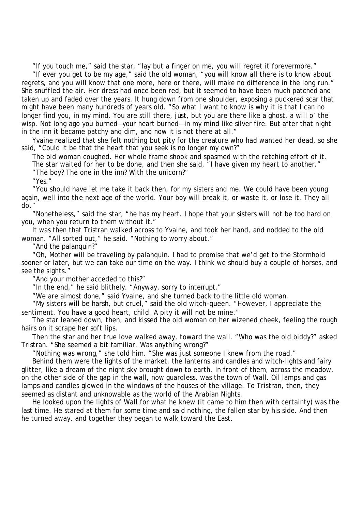"If you touch me," said the star, "lay but a finger on me, you will regret it forevermore."

"If ever you get to be my age," said the old woman, "you will know all there is to know about regrets, and you will know that one more, here or there, will make no difference in the long run." She snuffled the air. Her dress had once been red, but it seemed to have been much patched and taken up and faded over the years. It hung down from one shoulder, exposing a puckered scar that might have been many hundreds of years old. "So what I want to know is why it is that I can no longer find you, in my mind. You are still there, just, but you are there like a ghost, a will o' the wisp. Not long ago you burned—your heart burned—in my mind like silver fire. But after that night in the inn it became patchy and dim, and now it is not there at all."

Yvaine realized that she felt nothing but pity for the creature who had wanted her dead, so she said, "Could it be that the heart that you seek is no longer my own?"

The old woman coughed. Her whole frame shook and spasmed with the retching effort of it. The star waited for her to be done, and then she said, "I have given my heart to another."

"The boy? The one in the inn? With the unicorn?"

"Yes."

"You should have let me take it back then, for my sisters and me. We could have been young again, well into the next age of the world. Your boy will break it, or waste it, or lose it. They all do."

"Nonetheless," said the star, "he has my heart. I hope that your sisters will not be too hard on you, when you return to them without it."

It was then that Tristran walked across to Yvaine, and took her hand, and nodded to the old woman. "All sorted out," he said. "Nothing to worry about."

"And the palanquin?"

"Oh, Mother will be traveling by palanquin. I had to promise that we'd get to the Stormhold sooner or later, but we can take our time on the way. I think we should buy a couple of horses, and see the sights."

"And your mother acceded to this?"

"In the end," he said blithely. "Anyway, sorry to interrupt."

"We are almost done," said Yvaine, and she turned back to the little old woman.

"My sisters will be harsh, but cruel," said the old witch-queen. "However, I appreciate the sentiment. You have a good heart, child. A pity it will not be mine."

The star leaned down, then, and kissed the old woman on her wizened cheek, feeling the rough hairs on it scrape her soft lips.

Then the star and her true love walked away, toward the wall. "Who was the old biddy?" asked Tristran. "She seemed a bit familiar. Was anything wrong?"

"Nothing was wrong," she told him. "She was just someone I knew from the road."

Behind them were the lights of the market, the lanterns and candles and witch-lights and fairy glitter, like a dream of the night sky brought down to earth. In front of them, across the meadow, on the other side of the gap in the wall, now guardless, was the town of Wall. Oil lamps and gas lamps and candles glowed in the windows of the houses of the village. To Tristran, then, they seemed as distant and unknowable as the world of the Arabian Nights.

He looked upon the lights of Wall for what he knew (it came to him then with certainty) was the last time. He stared at them for some time and said nothing, the fallen star by his side. And then he turned away, and together they began to walk toward the East.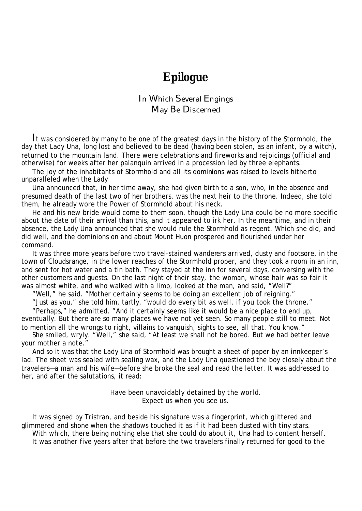# *Epilogue*

### In Which Several Engings May Be Discerned

It was considered by many to be one of the greatest days in the history of the Stormhold, the day that Lady Una, long lost and believed to be dead (having been stolen, as an infant, by a witch), returned to the mountain land. There were celebrations and fireworks and rejoicings (official and otherwise) for weeks after her palanquin arrived in a procession led by three elephants.

The joy of the inhabitants of Stormhold and all its dominions was raised to levels hitherto unparalleled when the Lady

Una announced that, in her time away, she had given birth to a son, who, in the absence and presumed death of the last two of her brothers, was the next heir to the throne. Indeed, she told them, he already wore the Power of Stormhold about his neck.

He and his new bride would come to them soon, though the Lady Una could be no more specific about the date of their arrival than this, and it appeared to irk her. In the meantime, and in their absence, the Lady Una announced that she would rule the Stormhold as regent. Which she did, and did well, and the dominions on and about Mount Huon prospered and flourished under her command.

It was three more years before two travel-stained wanderers arrived, dusty and footsore, in the town of Cloudsrange, in the lower reaches of the Stormhold proper, and they took a room in an inn, and sent for hot water and a tin bath. They stayed at the inn for several days, conversing with the other customers and guests. On the last night of their stay, the woman, whose hair was so fair it was almost white, and who walked with a limp, looked at the man, and said, "Well?"

"Well," he said. "Mother certainly seems to be doing an excellent job of reigning."

"Just as you," she told him, tartly, "would do every bit as well, if you took the throne."

"Perhaps," he admitted. "And it certainly seems like it would be a nice place to end up, eventually. But there are so many places we have not yet seen. So many people still to meet. Not to mention all the wrongs to right, villains to vanquish, sights to see, all that. You know."

She smiled, wryly. "Well," she said, "At least we shall not be bored. But we had better leave your mother a note."

And so it was that the Lady Una of Stormhold was brought a sheet of paper by an innkeeper's lad. The sheet was sealed with sealing wax, and the Lady Una questioned the boy closely about the travelers—a man and his wife—before she broke the seal and read the letter. It was addressed to her, and after the salutations, it read:

> *Have been unavoidably detained by the world. Expect us when you see us.*

It was signed by Tristran, and beside his signature was a fingerprint, which glittered and glimmered and shone when the shadows touched it as if it had been dusted with tiny stars. With which, there being nothing else that she could do about it, Una had to content herself. It was another five years after that before the two travelers finally returned for good to the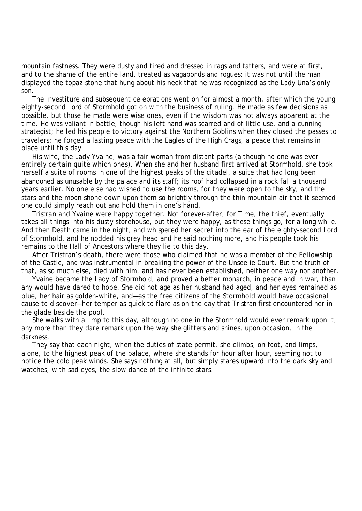mountain fastness. They were dusty and tired and dressed in rags and tatters, and were at first, and to the shame of the entire land, treated as vagabonds and rogues; it was not until the man displayed the topaz stone that hung about his neck that he was recognized as the Lady Una's only son.

The investiture and subsequent celebrations went on for almost a month, after which the young eighty-second Lord of Stormhold got on with the business of ruling. He made as few decisions as possible, but those he made were wise ones, even if the wisdom was not always apparent at the time. He was valiant in battle, though his left hand was scarred and of little use, and a cunning strategist; he led his people to victory against the Northern Goblins when they closed the passes to travelers; he forged a lasting peace with the Eagles of the High Crags, a peace that remains in place until this day.

His wife, the Lady Yvaine, was a fair woman from distant parts (although no one was ever entirely certain quite which ones). When she and her husband first arrived at Stormhold, she took herself a suite of rooms in one of the highest peaks of the citadel, a suite that had long been abandoned as unusable by the palace and its staff; its roof had collapsed in a rock fall a thousand years earlier. No one else had wished to use the rooms, for they were open to the sky, and the stars and the moon shone down upon them so brightly through the thin mountain air that it seemed one could simply reach out and hold them in one's hand.

Tristran and Yvaine were happy together. Not forever-after, for Time, the thief, eventually takes all things into his dusty storehouse, but they were happy, as these things go, for a long while. And then Death came in the night, and whispered her secret into the ear of the eighty-second Lord of Stormhold, and he nodded his grey head and he said nothing more, and his people took his remains to the Hall of Ancestors where they lie to this day.

After Tristran's death, there were those who claimed that he was a member of the Fellowship of the Castle, and was instrumental in breaking the power of the Unseelie Court. But the truth of that, as so much else, died with him, and has never been established, neither one way nor another.

Yvaine became the Lady of Stormhold, and proved a better monarch, in peace and in war, than any would have dared to hope. She did not age as her husband had aged, and her eyes remained as blue, her hair as golden-white, and—as the free citizens of the Stormhold would have occasional cause to discover—her temper as quick to flare as on the day that Tristran first encountered her in the glade beside the pool.

She walks with a limp to this day, although no one in the Stormhold would ever remark upon it, any more than they dare remark upon the way she glitters and shines, upon occasion, in the darkness.

They say that each night, when the duties of state permit, she climbs, on foot, and limps, alone, to the highest peak of the palace, where she stands for hour after hour, seeming not to notice the cold peak winds. She says nothing at all, but simply stares upward into the dark sky and watches, with sad eyes, the slow dance of the infinite stars.